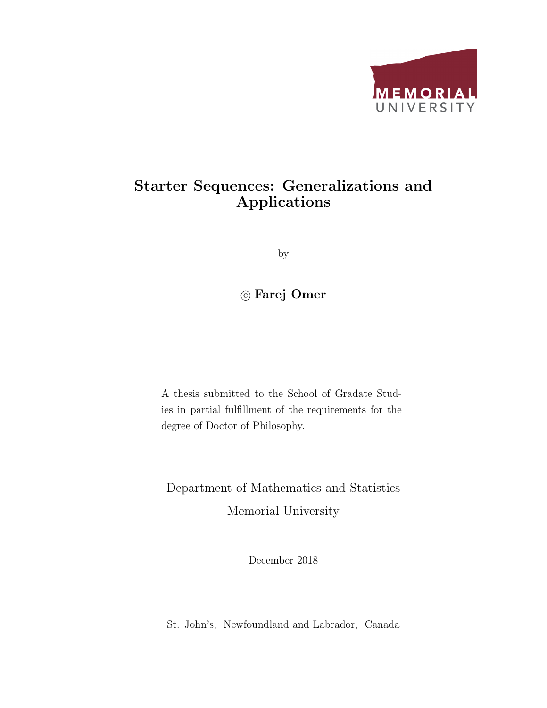

### Starter Sequences: Generalizations and Applications

by

c Farej Omer

A thesis submitted to the School of Gradate Studies in partial fulfillment of the requirements for the degree of Doctor of Philosophy.

Department of Mathematics and Statistics Memorial University

December 2018

St. John's, Newfoundland and Labrador, Canada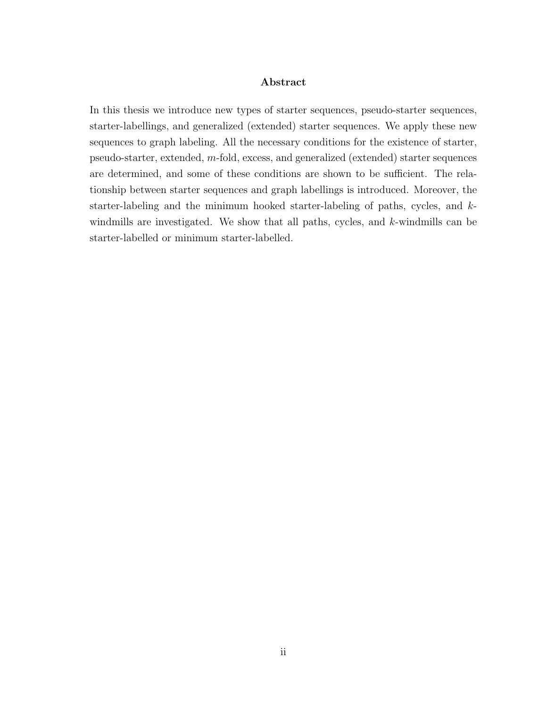#### Abstract

In this thesis we introduce new types of starter sequences, pseudo-starter sequences, starter-labellings, and generalized (extended) starter sequences. We apply these new sequences to graph labeling. All the necessary conditions for the existence of starter, pseudo-starter, extended, m-fold, excess, and generalized (extended) starter sequences are determined, and some of these conditions are shown to be sufficient. The relationship between starter sequences and graph labellings is introduced. Moreover, the starter-labeling and the minimum hooked starter-labeling of paths, cycles, and kwindmills are investigated. We show that all paths, cycles, and k-windmills can be starter-labelled or minimum starter-labelled.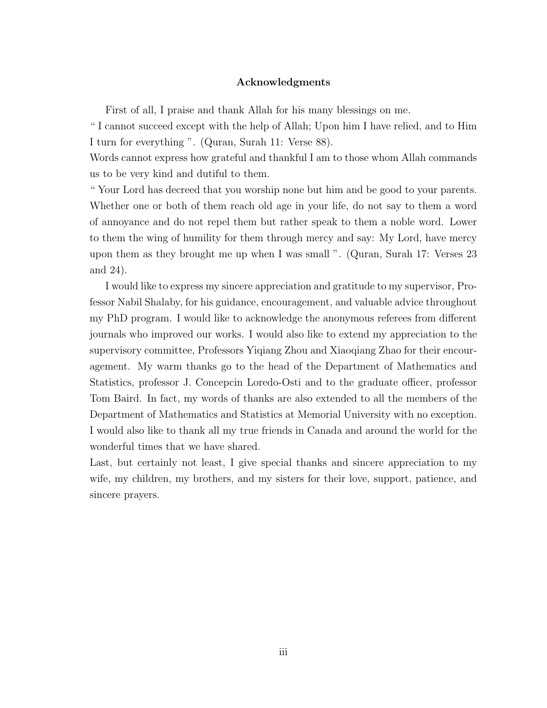#### Acknowledgments

First of all, I praise and thank Allah for his many blessings on me.

" I cannot succeed except with the help of Allah; Upon him I have relied, and to Him I turn for everything ". (Quran, Surah 11: Verse 88).

Words cannot express how grateful and thankful I am to those whom Allah commands us to be very kind and dutiful to them.

" Your Lord has decreed that you worship none but him and be good to your parents. Whether one or both of them reach old age in your life, do not say to them a word of annoyance and do not repel them but rather speak to them a noble word. Lower to them the wing of humility for them through mercy and say: My Lord, have mercy upon them as they brought me up when I was small ". (Quran, Surah 17: Verses 23 and 24).

I would like to express my sincere appreciation and gratitude to my supervisor, Professor Nabil Shalaby, for his guidance, encouragement, and valuable advice throughout my PhD program. I would like to acknowledge the anonymous referees from different journals who improved our works. I would also like to extend my appreciation to the supervisory committee, Professors Yiqiang Zhou and Xiaoqiang Zhao for their encouragement. My warm thanks go to the head of the Department of Mathematics and Statistics, professor J. Concepcin Loredo-Osti and to the graduate officer, professor Tom Baird. In fact, my words of thanks are also extended to all the members of the Department of Mathematics and Statistics at Memorial University with no exception. I would also like to thank all my true friends in Canada and around the world for the wonderful times that we have shared.

Last, but certainly not least, I give special thanks and sincere appreciation to my wife, my children, my brothers, and my sisters for their love, support, patience, and sincere prayers.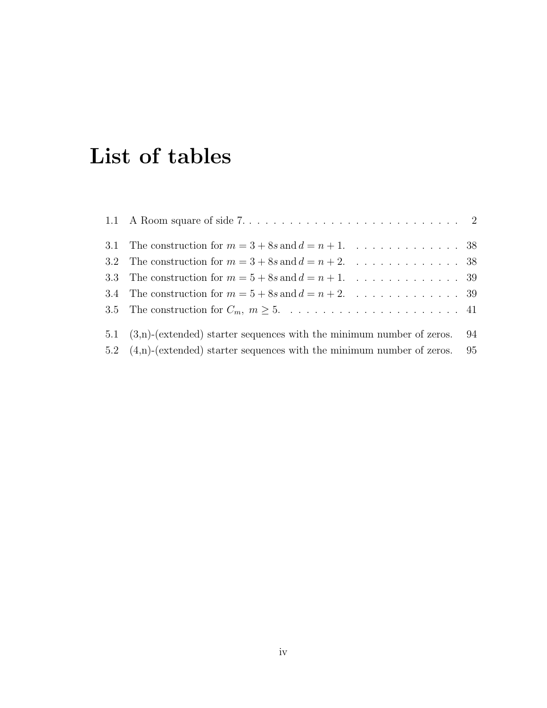## List of tables

| 1.1 A Room square of side $7. \ldots \ldots \ldots \ldots \ldots \ldots \ldots \ldots \ldots 2$ |  |
|-------------------------------------------------------------------------------------------------|--|
| 3.1 The construction for $m = 3 + 8s$ and $d = n + 1$ . 38                                      |  |
| 3.2 The construction for $m = 3 + 8s$ and $d = n + 2$ . 38                                      |  |
| 3.3 The construction for $m = 5 + 8s$ and $d = n + 1$ . 39                                      |  |
| 3.4 The construction for $m = 5 + 8s$ and $d = n + 2$ . 39                                      |  |
|                                                                                                 |  |
| 5.1 $(3,n)$ -(extended) starter sequences with the minimum number of zeros. 94                  |  |
| 5.2 $(4,n)$ -(extended) starter sequences with the minimum number of zeros. 95                  |  |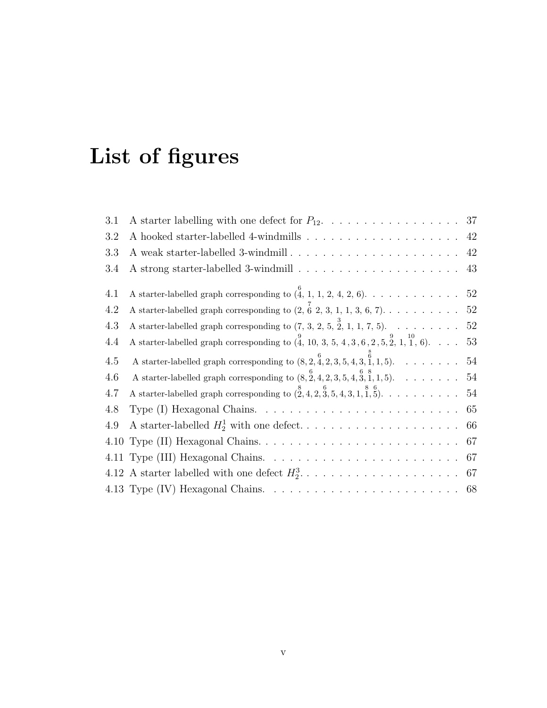# List of figures

| 3.1  |                                                                                                                                |  |
|------|--------------------------------------------------------------------------------------------------------------------------------|--|
| 3.2  |                                                                                                                                |  |
| 3.3  |                                                                                                                                |  |
| 3.4  |                                                                                                                                |  |
| 4.1  | A starter-labelled graph corresponding to $(\stackrel{6}{4}, 1, 1, 2, 4, 2, 6)$ . 52                                           |  |
| 4.2  | A starter-labelled graph corresponding to $(2, 6, 2, 3, 1, 1, 3, 6, 7)$ 52                                                     |  |
| 4.3  | A starter-labelled graph corresponding to $(7, 3, 2, 5, \overset{3}{2}, 1, 1, 7, 5)$ . 52                                      |  |
| 4.4  | A starter-labelled graph corresponding to $\begin{pmatrix} 9 \\ 4 \end{pmatrix}$ , 10, 3, 5, 4, 3, 6, 2, 5, 2, 1, 1, 6). 53    |  |
| 4.5  | A starter-labelled graph corresponding to $(8, 2, \frac{6}{4}, 2, 3, 5, 4, 3, \frac{6}{1}, 1, 5)$ . 54                         |  |
| 4.6  | A starter-labelled graph corresponding to $(8, 2, 4, 2, 3, 5, 4, 3, 1, 1, 5)$ . 54                                             |  |
| 4.7  | A starter-labelled graph corresponding to $(\stackrel{8}{2},4,2,\stackrel{6}{3},5,4,3,1,\stackrel{8}{1},\stackrel{6}{5})$ . 54 |  |
| 4.8  |                                                                                                                                |  |
| 4.9  |                                                                                                                                |  |
| 4.10 |                                                                                                                                |  |
|      |                                                                                                                                |  |
|      |                                                                                                                                |  |
|      |                                                                                                                                |  |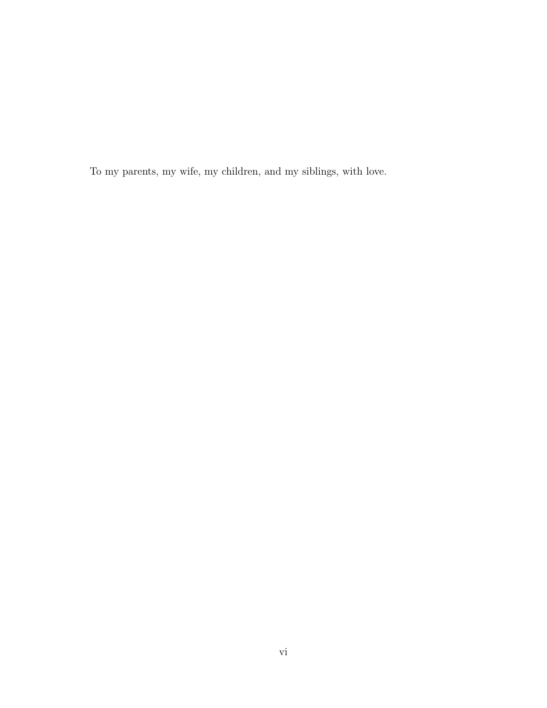To my parents, my wife, my children, and my siblings, with love.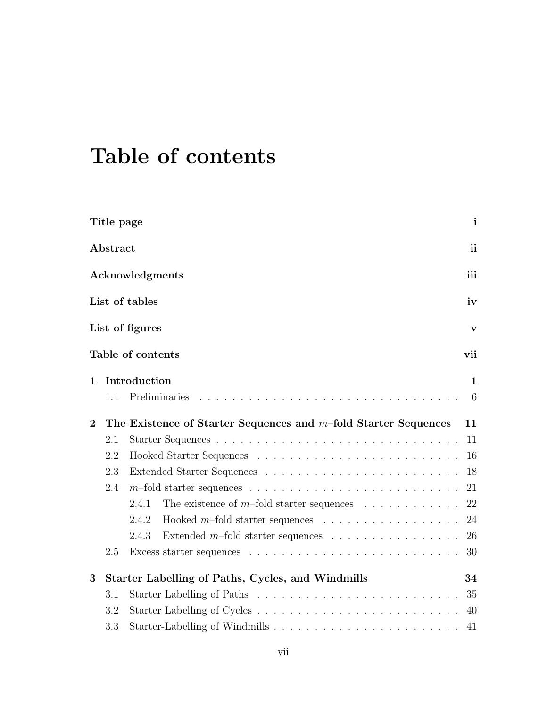# Table of contents

|                | Title page |                                                                                    | $\mathbf{i}$  |
|----------------|------------|------------------------------------------------------------------------------------|---------------|
|                | Abstract   |                                                                                    | <sub>ii</sub> |
|                |            | Acknowledgments                                                                    | iii           |
|                |            | List of tables                                                                     | iv            |
|                |            | List of figures                                                                    | V             |
|                |            | Table of contents                                                                  | vii           |
| $\mathbf{1}$   |            | Introduction                                                                       | $\mathbf{1}$  |
|                | 1.1        | Preliminaries                                                                      | 6             |
| $\overline{2}$ |            | The Existence of Starter Sequences and $m$ -fold Starter Sequences                 | 11            |
|                | 2.1        |                                                                                    | 11            |
|                | 2.2        |                                                                                    | 16            |
|                | 2.3        |                                                                                    | 18            |
|                | 2.4        |                                                                                    | 21            |
|                |            | 2.4.1<br>The existence of m-fold starter sequences $\ldots \ldots \ldots$          | 22            |
|                |            | Hooked $m$ -fold starter sequences $\ldots \ldots \ldots \ldots \ldots$<br>2.4.2   | 24            |
|                |            | Extended $m$ -fold starter sequences $\ldots \ldots \ldots \ldots \ldots$<br>2.4.3 | 26            |
|                | 2.5        |                                                                                    | 30            |
| 3              |            | Starter Labelling of Paths, Cycles, and Windmills                                  | 34            |
|                | 3.1        |                                                                                    | 35            |
|                | 3.2        |                                                                                    | 40            |
|                | 3.3        |                                                                                    | 41            |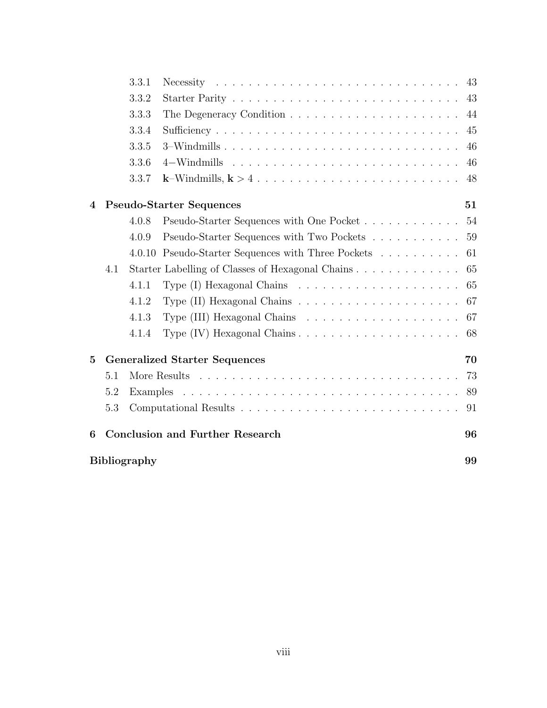|                  |     | 3.3.1               |                                                  | 43 |
|------------------|-----|---------------------|--------------------------------------------------|----|
|                  |     | 3.3.2               |                                                  | 43 |
|                  |     | 3.3.3               |                                                  | 44 |
|                  |     | 3.3.4               |                                                  | 45 |
|                  |     | 3.3.5               | 3–Windmills                                      | 46 |
|                  |     | 3.3.6               |                                                  | 46 |
|                  |     | 3.3.7               |                                                  | 48 |
| $\boldsymbol{4}$ |     |                     | <b>Pseudo-Starter Sequences</b>                  | 51 |
|                  |     | 4.0.8               | Pseudo-Starter Sequences with One Pocket         | 54 |
|                  |     | 4.0.9               | Pseudo-Starter Sequences with Two Pockets        | 59 |
|                  |     | 4.0.10              | Pseudo-Starter Sequences with Three Pockets      | 61 |
|                  | 4.1 |                     | Starter Labelling of Classes of Hexagonal Chains | 65 |
|                  |     | 4.1.1               |                                                  | 65 |
|                  |     | 4.1.2               |                                                  | 67 |
|                  |     | 4.1.3               |                                                  | 67 |
|                  |     | 4.1.4               |                                                  | 68 |
| $\overline{5}$   |     |                     | <b>Generalized Starter Sequences</b>             | 70 |
|                  | 5.1 |                     |                                                  | 73 |
|                  | 5.2 |                     |                                                  | 89 |
|                  | 5.3 |                     |                                                  | 91 |
| 6                |     |                     | <b>Conclusion and Further Research</b>           | 96 |
|                  |     | <b>Bibliography</b> |                                                  | 99 |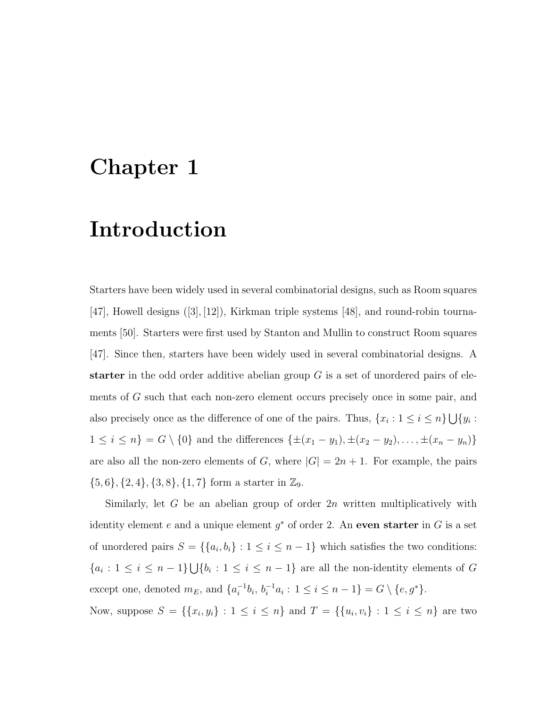### Chapter 1

### Introduction

Starters have been widely used in several combinatorial designs, such as Room squares [47], Howell designs ([3], [12]), Kirkman triple systems [48], and round-robin tournaments [50]. Starters were first used by Stanton and Mullin to construct Room squares [47]. Since then, starters have been widely used in several combinatorial designs. A starter in the odd order additive abelian group  $G$  is a set of unordered pairs of elements of G such that each non-zero element occurs precisely once in some pair, and also precisely once as the difference of one of the pairs. Thus,  $\{x_i : 1 \le i \le n\} \bigcup \{y_i :$  $1 \le i \le n$ } =  $G \setminus \{0\}$  and the differences  $\{\pm (x_1 - y_1), \pm (x_2 - y_2), \dots, \pm (x_n - y_n)\}$ are also all the non-zero elements of  $G$ , where  $|G| = 2n + 1$ . For example, the pairs  $\{5, 6\}, \{2, 4\}, \{3, 8\}, \{1, 7\}$  form a starter in  $\mathbb{Z}_9$ .

Similarly, let G be an abelian group of order  $2n$  written multiplicatively with identity element e and a unique element  $g^*$  of order 2. An even starter in G is a set of unordered pairs  $S = \{ \{a_i, b_i\} : 1 \leq i \leq n-1 \}$  which satisfies the two conditions:  ${a_i : 1 \leq i \leq n-1} \cup {b_i : 1 \leq i \leq n-1}$  are all the non-identity elements of G except one, denoted  $m_E$ , and  $\{a_i^{-1}$  $i^{-1}b_i, b_i^{-1}a_i: 1 \leq i \leq n-1$  =  $G \setminus \{e, g^*\}.$ Now, suppose  $S = \{ \{x_i, y_i\} : 1 \le i \le n \}$  and  $T = \{ \{u_i, v_i\} : 1 \le i \le n \}$  are two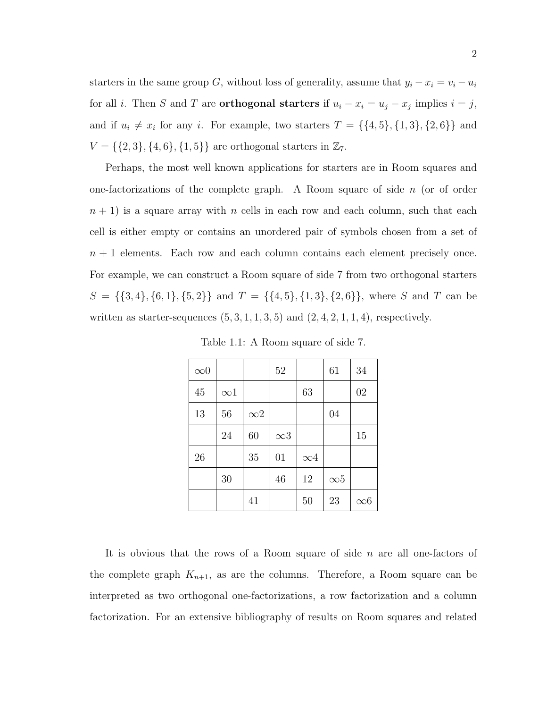starters in the same group G, without loss of generality, assume that  $y_i - x_i = v_i - u_i$ for all *i*. Then S and T are **orthogonal starters** if  $u_i - x_i = u_j - x_j$  implies  $i = j$ , and if  $u_i \neq x_i$  for any i. For example, two starters  $T = \{\{4, 5\}, \{1, 3\}, \{2, 6\}\}\$ and  $V = \{\{2, 3\}, \{4, 6\}, \{1, 5\}\}\$ are orthogonal starters in  $\mathbb{Z}_7$ .

Perhaps, the most well known applications for starters are in Room squares and one-factorizations of the complete graph. A Room square of side  $n$  (or of order  $n + 1$ ) is a square array with n cells in each row and each column, such that each cell is either empty or contains an unordered pair of symbols chosen from a set of  $n + 1$  elements. Each row and each column contains each element precisely once. For example, we can construct a Room square of side 7 from two orthogonal starters  $S = \{\{3, 4\}, \{6, 1\}, \{5, 2\}\}\$ and  $T = \{\{4, 5\}, \{1, 3\}, \{2, 6\}\}\$ , where S and T can be written as starter-sequences  $(5, 3, 1, 1, 3, 5)$  and  $(2, 4, 2, 1, 1, 4)$ , respectively.

| $\infty 0$ |            |            | 52         |            | 61         | 34         |
|------------|------------|------------|------------|------------|------------|------------|
| 45         | $\infty$ 1 |            |            | 63         |            | 02         |
| 13         | 56         | $\infty 2$ |            |            | 04         |            |
|            | 24         | 60         | $\infty$ 3 |            |            | 15         |
| 26         |            | 35         | 01         | $\infty$ 4 |            |            |
|            | 30         |            | 46         | 12         | $\infty 5$ |            |
|            |            | 41         |            | 50         | 23         | $\infty 6$ |

Table 1.1: A Room square of side 7.

It is obvious that the rows of a Room square of side  $n$  are all one-factors of the complete graph  $K_{n+1}$ , as are the columns. Therefore, a Room square can be interpreted as two orthogonal one-factorizations, a row factorization and a column factorization. For an extensive bibliography of results on Room squares and related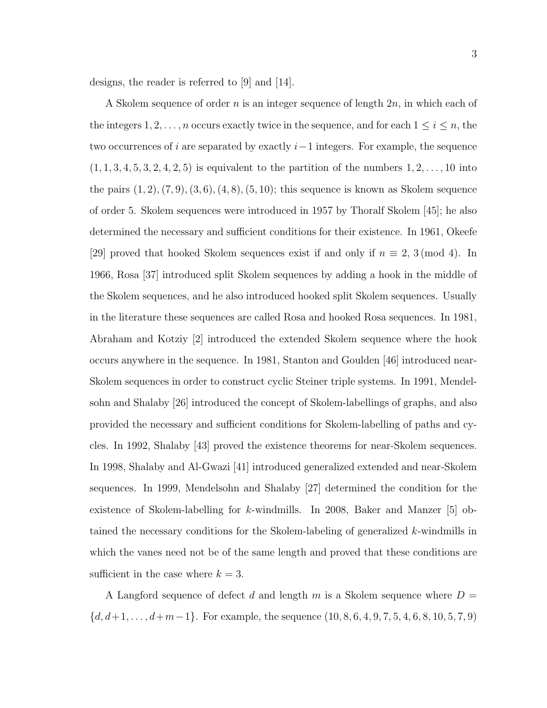designs, the reader is referred to [9] and [14].

A Skolem sequence of order n is an integer sequence of length  $2n$ , in which each of the integers  $1, 2, \ldots, n$  occurs exactly twice in the sequence, and for each  $1 \leq i \leq n$ , the two occurrences of i are separated by exactly  $i-1$  integers. For example, the sequence  $(1, 1, 3, 4, 5, 3, 2, 4, 2, 5)$  is equivalent to the partition of the numbers  $1, 2, ..., 10$  into the pairs  $(1, 2), (7, 9), (3, 6), (4, 8), (5, 10)$ ; this sequence is known as Skolem sequence of order 5. Skolem sequences were introduced in 1957 by Thoralf Skolem [45]; he also determined the necessary and sufficient conditions for their existence. In 1961, Okeefe [29] proved that hooked Skolem sequences exist if and only if  $n \equiv 2, 3 \pmod{4}$ . In 1966, Rosa [37] introduced split Skolem sequences by adding a hook in the middle of the Skolem sequences, and he also introduced hooked split Skolem sequences. Usually in the literature these sequences are called Rosa and hooked Rosa sequences. In 1981, Abraham and Kotziy [2] introduced the extended Skolem sequence where the hook occurs anywhere in the sequence. In 1981, Stanton and Goulden [46] introduced near-Skolem sequences in order to construct cyclic Steiner triple systems. In 1991, Mendelsohn and Shalaby [26] introduced the concept of Skolem-labellings of graphs, and also provided the necessary and sufficient conditions for Skolem-labelling of paths and cycles. In 1992, Shalaby [43] proved the existence theorems for near-Skolem sequences. In 1998, Shalaby and Al-Gwazi [41] introduced generalized extended and near-Skolem sequences. In 1999, Mendelsohn and Shalaby [27] determined the condition for the existence of Skolem-labelling for k-windmills. In 2008, Baker and Manzer [5] obtained the necessary conditions for the Skolem-labeling of generalized k-windmills in which the vanes need not be of the same length and proved that these conditions are sufficient in the case where  $k = 3$ .

A Langford sequence of defect d and length m is a Skolem sequence where  $D =$  $\{d, d+1, \ldots, d+m-1\}$ . For example, the sequence  $(10, 8, 6, 4, 9, 7, 5, 4, 6, 8, 10, 5, 7, 9)$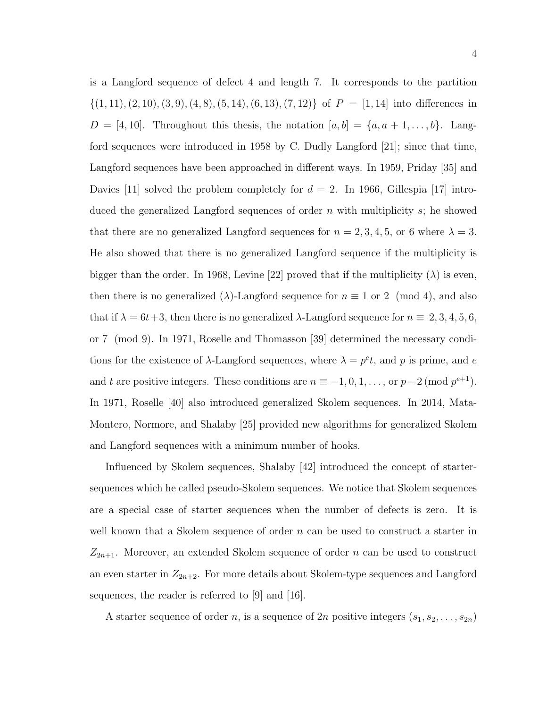is a Langford sequence of defect 4 and length 7. It corresponds to the partition  $\{(1, 11), (2, 10), (3, 9), (4, 8), (5, 14), (6, 13), (7, 12)\}\$  of  $P = [1, 14]$  into differences in  $D = [4, 10]$ . Throughout this thesis, the notation  $[a, b] = \{a, a+1, \ldots, b\}$ . Langford sequences were introduced in 1958 by C. Dudly Langford [21]; since that time, Langford sequences have been approached in different ways. In 1959, Priday [35] and Davies [11] solved the problem completely for  $d = 2$ . In 1966, Gillespia [17] introduced the generalized Langford sequences of order  $n$  with multiplicity  $s$ ; he showed that there are no generalized Langford sequences for  $n = 2, 3, 4, 5$ , or 6 where  $\lambda = 3$ . He also showed that there is no generalized Langford sequence if the multiplicity is bigger than the order. In 1968, Levine [22] proved that if the multiplicity  $(\lambda)$  is even, then there is no generalized  $(\lambda)$ -Langford sequence for  $n \equiv 1$  or 2 (mod 4), and also that if  $\lambda = 6t + 3$ , then there is no generalized  $\lambda$ -Langford sequence for  $n \equiv 2, 3, 4, 5, 6$ , or 7 (mod 9). In 1971, Roselle and Thomasson [39] determined the necessary conditions for the existence of  $\lambda$ -Langford sequences, where  $\lambda = p^e t$ , and p is prime, and e and t are positive integers. These conditions are  $n \equiv -1, 0, 1, \ldots$ , or  $p-2 \pmod{p^{e+1}}$ . In 1971, Roselle [40] also introduced generalized Skolem sequences. In 2014, Mata-Montero, Normore, and Shalaby [25] provided new algorithms for generalized Skolem and Langford sequences with a minimum number of hooks.

Influenced by Skolem sequences, Shalaby [42] introduced the concept of startersequences which he called pseudo-Skolem sequences. We notice that Skolem sequences are a special case of starter sequences when the number of defects is zero. It is well known that a Skolem sequence of order  $n$  can be used to construct a starter in  $Z_{2n+1}$ . Moreover, an extended Skolem sequence of order n can be used to construct an even starter in  $Z_{2n+2}$ . For more details about Skolem-type sequences and Langford sequences, the reader is referred to [9] and [16].

A starter sequence of order n, is a sequence of 2n positive integers  $(s_1, s_2, \ldots, s_{2n})$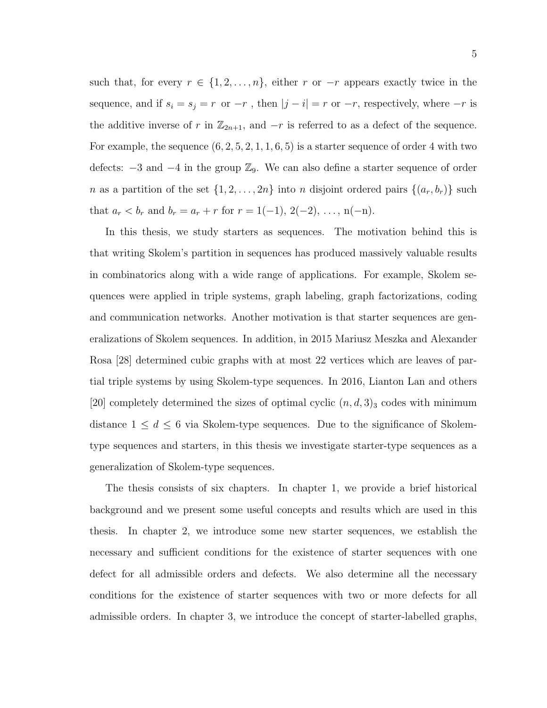such that, for every  $r \in \{1, 2, ..., n\}$ , either r or  $-r$  appears exactly twice in the sequence, and if  $s_i = s_j = r \,$  or  $-r$  , then  $|j - i| = r$  or  $-r,$  respectively, where  $-r$  is the additive inverse of r in  $\mathbb{Z}_{2n+1}$ , and  $-r$  is referred to as a defect of the sequence. For example, the sequence  $(6, 2, 5, 2, 1, 1, 6, 5)$  is a starter sequence of order 4 with two defects:  $-3$  and  $-4$  in the group  $\mathbb{Z}_9$ . We can also define a starter sequence of order *n* as a partition of the set  $\{1, 2, ..., 2n\}$  into *n* disjoint ordered pairs  $\{(a_r, b_r)\}$  such that  $a_r < b_r$  and  $b_r = a_r + r$  for  $r = 1(-1), 2(-2), \ldots, n(-n)$ .

In this thesis, we study starters as sequences. The motivation behind this is that writing Skolem's partition in sequences has produced massively valuable results in combinatorics along with a wide range of applications. For example, Skolem sequences were applied in triple systems, graph labeling, graph factorizations, coding and communication networks. Another motivation is that starter sequences are generalizations of Skolem sequences. In addition, in 2015 Mariusz Meszka and Alexander Rosa [28] determined cubic graphs with at most 22 vertices which are leaves of partial triple systems by using Skolem-type sequences. In 2016, Lianton Lan and others [20] completely determined the sizes of optimal cyclic  $(n, d, 3)$ <sub>3</sub> codes with minimum distance  $1 \leq d \leq 6$  via Skolem-type sequences. Due to the significance of Skolemtype sequences and starters, in this thesis we investigate starter-type sequences as a generalization of Skolem-type sequences.

The thesis consists of six chapters. In chapter 1, we provide a brief historical background and we present some useful concepts and results which are used in this thesis. In chapter 2, we introduce some new starter sequences, we establish the necessary and sufficient conditions for the existence of starter sequences with one defect for all admissible orders and defects. We also determine all the necessary conditions for the existence of starter sequences with two or more defects for all admissible orders. In chapter 3, we introduce the concept of starter-labelled graphs,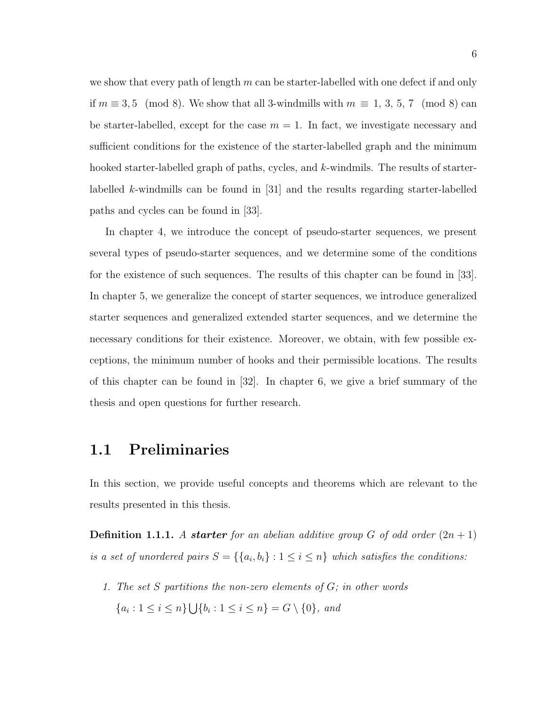we show that every path of length  $m$  can be starter-labelled with one defect if and only if  $m \equiv 3, 5 \pmod{8}$ . We show that all 3-windmills with  $m \equiv 1, 3, 5, 7 \pmod{8}$  can be starter-labelled, except for the case  $m = 1$ . In fact, we investigate necessary and sufficient conditions for the existence of the starter-labelled graph and the minimum hooked starter-labelled graph of paths, cycles, and k-windmils. The results of starterlabelled k-windmills can be found in [31] and the results regarding starter-labelled paths and cycles can be found in [33].

In chapter 4, we introduce the concept of pseudo-starter sequences, we present several types of pseudo-starter sequences, and we determine some of the conditions for the existence of such sequences. The results of this chapter can be found in [33]. In chapter 5, we generalize the concept of starter sequences, we introduce generalized starter sequences and generalized extended starter sequences, and we determine the necessary conditions for their existence. Moreover, we obtain, with few possible exceptions, the minimum number of hooks and their permissible locations. The results of this chapter can be found in  $|32|$ . In chapter 6, we give a brief summary of the thesis and open questions for further research.

### 1.1 Preliminaries

In this section, we provide useful concepts and theorems which are relevant to the results presented in this thesis.

**Definition 1.1.1.** A **starter** for an abelian additive group G of odd order  $(2n + 1)$ is a set of unordered pairs  $S = \{ \{a_i, b_i\} : 1 \leq i \leq n \}$  which satisfies the conditions:

1. The set S partitions the non-zero elements of G; in other words  $\{a_i : 1 \le i \le n\} \bigcup \{b_i : 1 \le i \le n\} = G \setminus \{0\}, \text{ and}$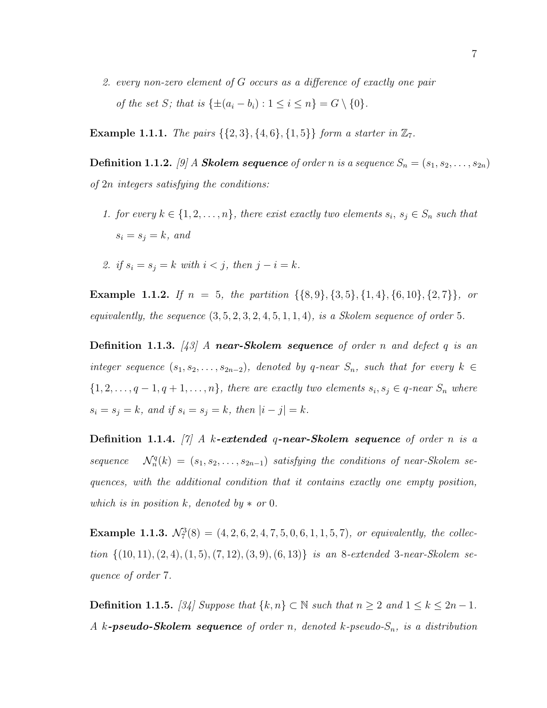2. every non-zero element of G occurs as a difference of exactly one pair of the set S; that is  $\{\pm (a_i - b_i) : 1 \leq i \leq n\} = G \setminus \{0\}.$ 

**Example 1.1.1.** The pairs  $\{\{2, 3\}, \{4, 6\}, \{1, 5\}\}\$  form a starter in  $\mathbb{Z}_7$ .

**Definition 1.1.2.** [9] A **Skolem sequence** of order n is a sequence  $S_n = (s_1, s_2, \ldots, s_{2n})$ of 2n integers satisfying the conditions:

- 1. for every  $k \in \{1, 2, ..., n\}$ , there exist exactly two elements  $s_i, s_j \in S_n$  such that  $s_i = s_j = k$ , and
- 2. if  $s_i = s_j = k$  with  $i < j$ , then  $j i = k$ .

**Example 1.1.2.** If  $n = 5$ , the partition  $\{\{8, 9\}, \{3, 5\}, \{1, 4\}, \{6, 10\}, \{2, 7\}\}\$ , or equivalently, the sequence  $(3, 5, 2, 3, 2, 4, 5, 1, 1, 4)$ , is a Skolem sequence of order 5.

**Definition 1.1.3.** [43] A near-Skolem sequence of order n and defect q is an integer sequence  $(s_1, s_2, \ldots, s_{2n-2})$ , denoted by q-near  $S_n$ , such that for every  $k \in$  $\{1, 2, \ldots, q-1, q+1, \ldots, n\}$ , there are exactly two elements  $s_i, s_j \in q$ -near  $S_n$  where  $s_i = s_j = k$ , and if  $s_i = s_j = k$ , then  $|i - j| = k$ .

**Definition 1.1.4.** [7] A k-extended q-near-Skolem sequence of order n is a  $sequence$  $\mathcal{F}_n^q(k) = (s_1, s_2, \ldots, s_{2n-1})$  satisfying the conditions of near-Skolem sequences, with the additional condition that it contains exactly one empty position, which is in position k, denoted by  $*$  or 0.

**Example 1.1.3.**  $\mathcal{N}_7^3(8) = (4, 2, 6, 2, 4, 7, 5, 0, 6, 1, 1, 5, 7)$ , or equivalently, the collection  $\{(10, 11), (2, 4), (1, 5), (7, 12), (3, 9), (6, 13)\}\$ is an 8-extended 3-near-Skolem sequence of order 7.

**Definition 1.1.5.** [34] Suppose that  $\{k, n\}$  ⊂ N such that  $n \ge 2$  and  $1 \le k \le 2n - 1$ . A k-**pseudo-Skolem sequence** of order n, denoted k-pseudo- $S_n$ , is a distribution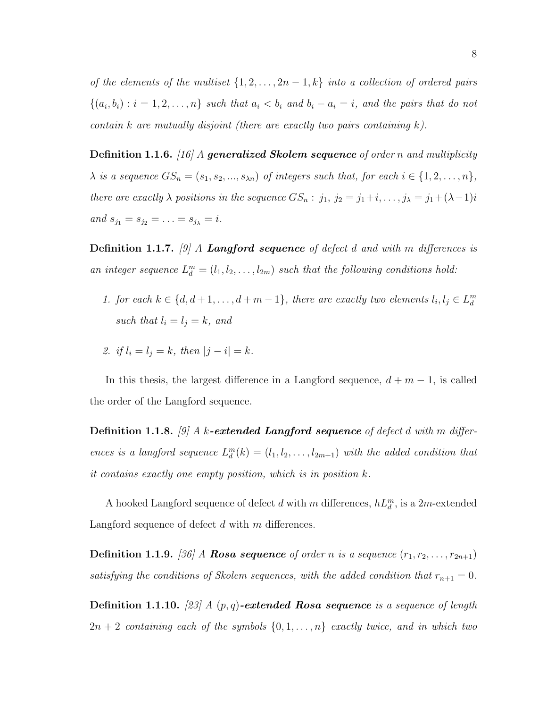of the elements of the multiset  $\{1, 2, \ldots, 2n-1, k\}$  into a collection of ordered pairs  $\{(a_i,b_i): i=1,2,\ldots,n\}$  such that  $a_i < b_i$  and  $b_i - a_i = i$ , and the pairs that do not contain k are mutually disjoint (there are exactly two pairs containing  $k$ ).

**Definition 1.1.6.** [16] A **generalized Skolem sequence** of order n and multiplicity  $\lambda$  is a sequence  $GS_n = (s_1, s_2, ..., s_{\lambda n})$  of integers such that, for each  $i \in \{1, 2, ..., n\}$ , there are exactly  $\lambda$  positions in the sequence  $GS_n : j_1, j_2 = j_1+i, \ldots, j_\lambda = j_1+(\lambda-1)i$ and  $s_{j_1} = s_{j_2} = \ldots = s_{j_\lambda} = i$ .

**Definition 1.1.7.** [9] A **Langford sequence** of defect d and with m differences is an integer sequence  $L_1^m = (l_1, l_2, \ldots, l_{2m})$  such that the following conditions hold:

- 1. for each  $k \in \{d, d+1, \ldots, d+m-1\}$ , there are exactly two elements  $l_i, l_j \in L_d^m$ such that  $l_i = l_j = k$ , and
- 2. if  $l_i = l_j = k$ , then  $|j i| = k$ .

In this thesis, the largest difference in a Langford sequence,  $d + m - 1$ , is called the order of the Langford sequence.

**Definition 1.1.8.** [9] A k-extended Langford sequence of defect d with m differences is a langford sequence  $L_d^m(k) = (l_1, l_2, \ldots, l_{2m+1})$  with the added condition that it contains exactly one empty position, which is in position k.

A hooked Langford sequence of defect d with m differences,  $hL_d^m$ , is a  $2m$ -extended Langford sequence of defect  $d$  with  $m$  differences.

**Definition 1.1.9.** [36] A **Rosa sequence** of order n is a sequence  $(r_1, r_2, \ldots, r_{2n+1})$ satisfying the conditions of Skolem sequences, with the added condition that  $r_{n+1} = 0$ .

**Definition 1.1.10.** [23] A  $(p, q)$ -extended Rosa sequence is a sequence of length  $2n + 2$  containing each of the symbols  $\{0, 1, \ldots, n\}$  exactly twice, and in which two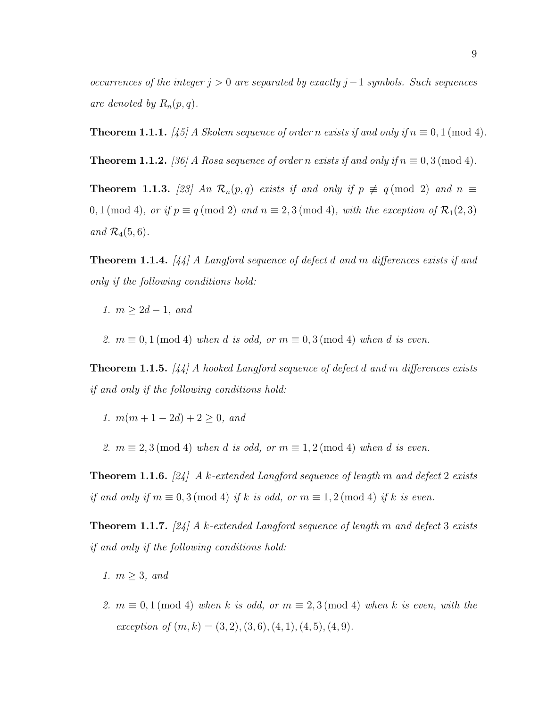occurrences of the integer  $j > 0$  are separated by exactly  $j-1$  symbols. Such sequences are denoted by  $R_n(p,q)$ .

**Theorem 1.1.1.** [45] A Skolem sequence of order n exists if and only if  $n \equiv 0, 1 \pmod{4}$ .

**Theorem 1.1.2.** [36] A Rosa sequence of order n exists if and only if  $n \equiv 0, 3 \pmod{4}$ .

**Theorem 1.1.3.** [23] An  $\mathcal{R}_n(p,q)$  exists if and only if  $p \not\equiv q \pmod{2}$  and  $n \equiv$ 0, 1 (mod 4), or if  $p \equiv q \pmod{2}$  and  $n \equiv 2, 3 \pmod{4}$ , with the exception of  $\mathcal{R}_1(2,3)$ and  $\mathcal{R}_4(5,6)$ .

Theorem 1.1.4. [44] A Langford sequence of defect d and m differences exists if and only if the following conditions hold:

1.  $m > 2d - 1$ , and

2.  $m \equiv 0, 1 \pmod{4}$  when d is odd, or  $m \equiv 0, 3 \pmod{4}$  when d is even.

**Theorem 1.1.5.** [44] A hooked Langford sequence of defect d and m differences exists if and only if the following conditions hold:

1.  $m(m+1-2d)+2\geq 0$ , and

2.  $m \equiv 2, 3 \pmod{4}$  when d is odd, or  $m \equiv 1, 2 \pmod{4}$  when d is even.

**Theorem 1.1.6.** [24] A k-extended Langford sequence of length m and defect 2 exists if and only if  $m \equiv 0, 3 \pmod{4}$  if k is odd, or  $m \equiv 1, 2 \pmod{4}$  if k is even.

**Theorem 1.1.7.** [24] A k-extended Langford sequence of length m and defect 3 exists if and only if the following conditions hold:

1.  $m \geq 3$ , and

2.  $m \equiv 0, 1 \pmod{4}$  when k is odd, or  $m \equiv 2, 3 \pmod{4}$  when k is even, with the exception of  $(m, k) = (3, 2), (3, 6), (4, 1), (4, 5), (4, 9).$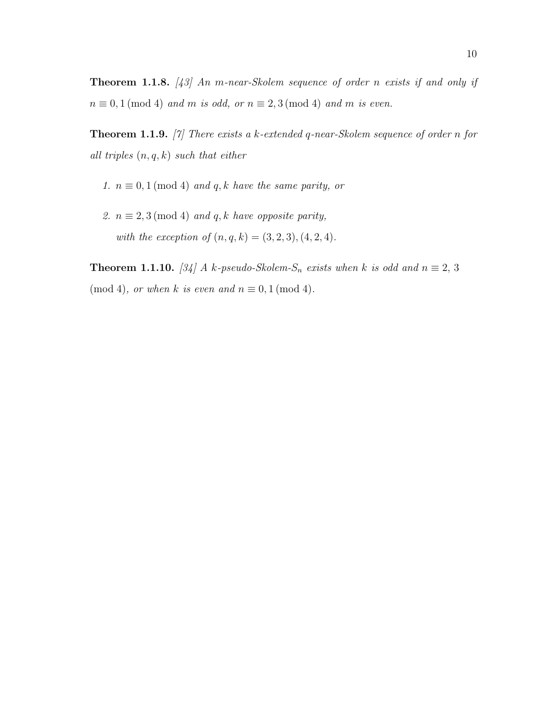**Theorem 1.1.8.** [43] An m-near-Skolem sequence of order n exists if and only if  $n \equiv 0, 1 \pmod{4}$  and m is odd, or  $n \equiv 2, 3 \pmod{4}$  and m is even.

**Theorem 1.1.9.** [7] There exists a k-extended q-near-Skolem sequence of order n for all triples  $(n, q, k)$  such that either

- 1.  $n \equiv 0, 1 \pmod{4}$  and q, k have the same parity, or
- 2.  $n \equiv 2, 3 \pmod{4}$  and q, k have opposite parity, with the exception of  $(n, q, k) = (3, 2, 3), (4, 2, 4)$ .

**Theorem 1.1.10.** [34] A k-pseudo-Skolem-S<sub>n</sub> exists when k is odd and  $n \equiv 2, 3$  $(mod 4)$ , or when k is even and  $n \equiv 0, 1 \pmod{4}$ .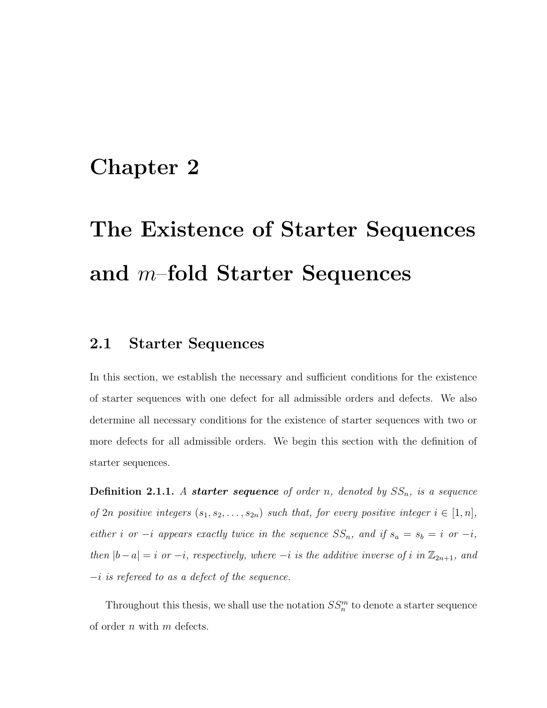### Chapter 2

# The Existence of Starter Sequences and m–fold Starter Sequences

### 2.1 Starter Sequences

In this section, we establish the necessary and sufficient conditions for the existence of starter sequences with one defect for all admissible orders and defects. We also determine all necessary conditions for the existence of starter sequences with two or more defects for all admissible orders. We begin this section with the definition of starter sequences.

**Definition 2.1.1.** A **starter sequence** of order n, denoted by  $SS_n$ , is a sequence of  $2n$  positive integers  $(s_1, s_2, \ldots, s_{2n})$  such that, for every positive integer  $i \in [1, n]$ , either i or  $-i$  appears exactly twice in the sequence  $SS_n$ , and if  $s_a = s_b = i$  or  $-i$ , then  $|b-a|=i$  or  $-i$ , respectively, where  $-i$  is the additive inverse of i in  $\mathbb{Z}_{2n+1}$ , and  $-i$  is refereed to as a defect of the sequence.

Throughout this thesis, we shall use the notation  $SS_n^m$  to denote a starter sequence of order  $n$  with  $m$  defects.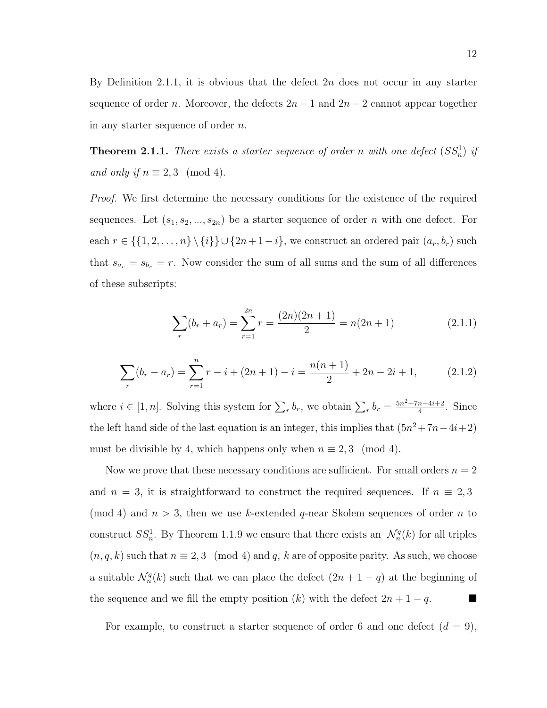By Definition 2.1.1, it is obvious that the defect  $2n$  does not occur in any starter sequence of order n. Moreover, the defects  $2n - 1$  and  $2n - 2$  cannot appear together in any starter sequence of order n.

**Theorem 2.1.1.** There exists a starter sequence of order n with one defect  $(SS_n^1)$  if and only if  $n \equiv 2,3 \pmod{4}$ .

Proof. We first determine the necessary conditions for the existence of the required sequences. Let  $(s_1, s_2, ..., s_{2n})$  be a starter sequence of order n with one defect. For each  $r \in \{\{1, 2, ..., n\} \setminus \{i\}\} \cup \{2n + 1 - i\}$ , we construct an ordered pair  $(a_r, b_r)$  such that  $s_{a_r} = s_{b_r} = r$ . Now consider the sum of all sums and the sum of all differences of these subscripts:

$$
\sum_{r} (b_r + a_r) = \sum_{r=1}^{2n} r = \frac{(2n)(2n+1)}{2} = n(2n+1)
$$
 (2.1.1)

$$
\sum_{r} (b_r - a_r) = \sum_{r=1}^{n} r - i + (2n + 1) - i = \frac{n(n+1)}{2} + 2n - 2i + 1,
$$
 (2.1.2)

where  $i \in [1, n]$ . Solving this system for  $\sum_r b_r$ , we obtain  $\sum_r b_r = \frac{5n^2 + 7n - 4i + 2}{4}$  $\frac{n-4i+2}{4}$ . Since the left hand side of the last equation is an integer, this implies that  $(5n^2+7n-4i+2)$ must be divisible by 4, which happens only when  $n \equiv 2,3 \pmod{4}$ .

Now we prove that these necessary conditions are sufficient. For small orders  $n = 2$ and  $n = 3$ , it is straightforward to construct the required sequences. If  $n \equiv 2, 3$ (mod 4) and  $n > 3$ , then we use k-extended q-near Skolem sequences of order n to construct  $SS_n^1$ . By Theorem 1.1.9 we ensure that there exists an  $\mathcal{N}_n^q(k)$  for all triples  $(n, q, k)$  such that  $n \equiv 2, 3 \pmod{4}$  and q, k are of opposite parity. As such, we choose a suitable  $\mathcal{N}_n^q(k)$  such that we can place the defect  $(2n + 1 - q)$  at the beginning of the sequence and we fill the empty position  $(k)$  with the defect  $2n + 1 - q$ .

For example, to construct a starter sequence of order 6 and one defect  $(d = 9)$ ,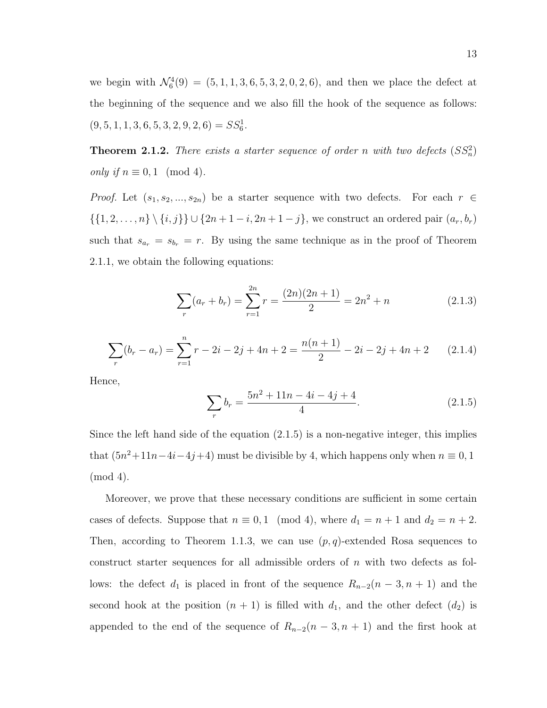we begin with  $\mathcal{N}_6^4(9) = (5, 1, 1, 3, 6, 5, 3, 2, 0, 2, 6)$ , and then we place the defect at the beginning of the sequence and we also fill the hook of the sequence as follows:  $(9, 5, 1, 1, 3, 6, 5, 3, 2, 9, 2, 6) = SS_6^1.$ 

**Theorem 2.1.2.** There exists a starter sequence of order n with two defects  $(SS<sub>n</sub><sup>2</sup>)$ only if  $n \equiv 0, 1 \pmod{4}$ .

*Proof.* Let  $(s_1, s_2, ..., s_{2n})$  be a starter sequence with two defects. For each  $r \in$  $\{\{1, 2, ..., n\} \setminus \{i, j\}\} \cup \{2n + 1 - i, 2n + 1 - j\}$ , we construct an ordered pair  $(a_r, b_r)$ such that  $s_{a_r} = s_{b_r} = r$ . By using the same technique as in the proof of Theorem 2.1.1, we obtain the following equations:

$$
\sum_{r} (a_r + b_r) = \sum_{r=1}^{2n} r = \frac{(2n)(2n+1)}{2} = 2n^2 + n \tag{2.1.3}
$$

$$
\sum_{r} (b_r - a_r) = \sum_{r=1}^{n} r - 2i - 2j + 4n + 2 = \frac{n(n+1)}{2} - 2i - 2j + 4n + 2 \qquad (2.1.4)
$$

Hence,

$$
\sum_{r} b_r = \frac{5n^2 + 11n - 4i - 4j + 4}{4}.
$$
\n(2.1.5)

Since the left hand side of the equation  $(2.1.5)$  is a non-negative integer, this implies that  $(5n^2+11n-4i-4j+4)$  must be divisible by 4, which happens only when  $n \equiv 0, 1$ (mod 4).

Moreover, we prove that these necessary conditions are sufficient in some certain cases of defects. Suppose that  $n \equiv 0, 1 \pmod{4}$ , where  $d_1 = n + 1$  and  $d_2 = n + 2$ . Then, according to Theorem 1.1.3, we can use  $(p, q)$ -extended Rosa sequences to construct starter sequences for all admissible orders of  $n$  with two defects as follows: the defect  $d_1$  is placed in front of the sequence  $R_{n-2}(n-3, n+1)$  and the second hook at the position  $(n + 1)$  is filled with  $d_1$ , and the other defect  $(d_2)$  is appended to the end of the sequence of  $R_{n-2}(n-3, n+1)$  and the first hook at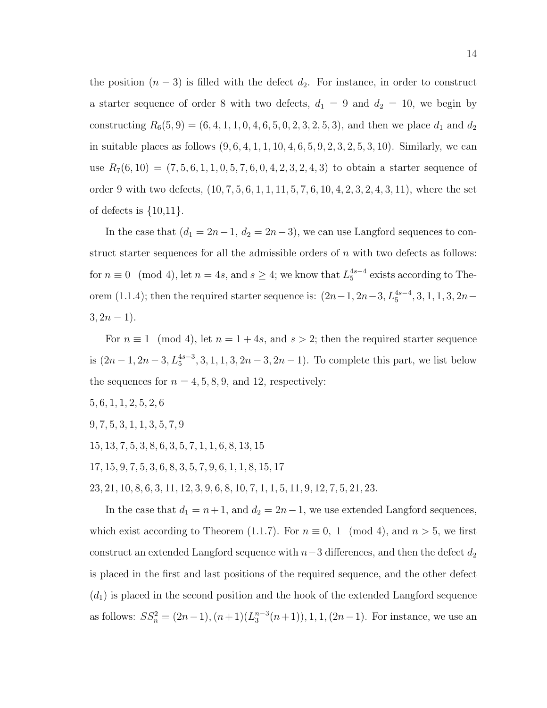the position  $(n-3)$  is filled with the defect  $d_2$ . For instance, in order to construct a starter sequence of order 8 with two defects,  $d_1 = 9$  and  $d_2 = 10$ , we begin by constructing  $R_6(5, 9) = (6, 4, 1, 1, 0, 4, 6, 5, 0, 2, 3, 2, 5, 3)$ , and then we place  $d_1$  and  $d_2$ in suitable places as follows  $(9, 6, 4, 1, 1, 10, 4, 6, 5, 9, 2, 3, 2, 5, 3, 10)$ . Similarly, we can use  $R_7(6, 10) = (7, 5, 6, 1, 1, 0, 5, 7, 6, 0, 4, 2, 3, 2, 4, 3)$  to obtain a starter sequence of order 9 with two defects,  $(10, 7, 5, 6, 1, 1, 11, 5, 7, 6, 10, 4, 2, 3, 2, 4, 3, 11)$ , where the set of defects is  $\{10,11\}$ .

In the case that  $(d_1 = 2n-1, d_2 = 2n-3)$ , we can use Langford sequences to construct starter sequences for all the admissible orders of  $n$  with two defects as follows: for  $n \equiv 0 \pmod{4}$ , let  $n = 4s$ , and  $s \geq 4$ ; we know that  $L_5^{4s-4}$  exists according to Theorem (1.1.4); then the required starter sequence is:  $(2n-1, 2n-3, L_5^{4s-4}, 3, 1, 1, 3, 2n 3, 2n-1$ ).

For  $n \equiv 1 \pmod{4}$ , let  $n = 1 + 4s$ , and  $s > 2$ ; then the required starter sequence is  $(2n-1, 2n-3, L_5^{4s-3}, 3, 1, 1, 3, 2n-3, 2n-1)$ . To complete this part, we list below the sequences for  $n = 4, 5, 8, 9$ , and 12, respectively:

- 5, 6, 1, 1, 2, 5, 2, 6
- 9, 7, 5, 3, 1, 1, 3, 5, 7, 9
- 15, 13, 7, 5, 3, 8, 6, 3, 5, 7, 1, 1, 6, 8, 13, 15
- 17, 15, 9, 7, 5, 3, 6, 8, 3, 5, 7, 9, 6, 1, 1, 8, 15, 17

23, 21, 10, 8, 6, 3, 11, 12, 3, 9, 6, 8, 10, 7, 1, 1, 5, 11, 9, 12, 7, 5, 21, 23.

In the case that  $d_1 = n + 1$ , and  $d_2 = 2n - 1$ , we use extended Langford sequences, which exist according to Theorem (1.1.7). For  $n \equiv 0, 1 \pmod{4}$ , and  $n > 5$ , we first construct an extended Langford sequence with  $n-3$  differences, and then the defect  $d_2$ is placed in the first and last positions of the required sequence, and the other defect  $(d_1)$  is placed in the second position and the hook of the extended Langford sequence as follows:  $SS_n^2 = (2n-1), (n+1)(L_3^{n-3}(n+1)), 1, 1, (2n-1)$ . For instance, we use an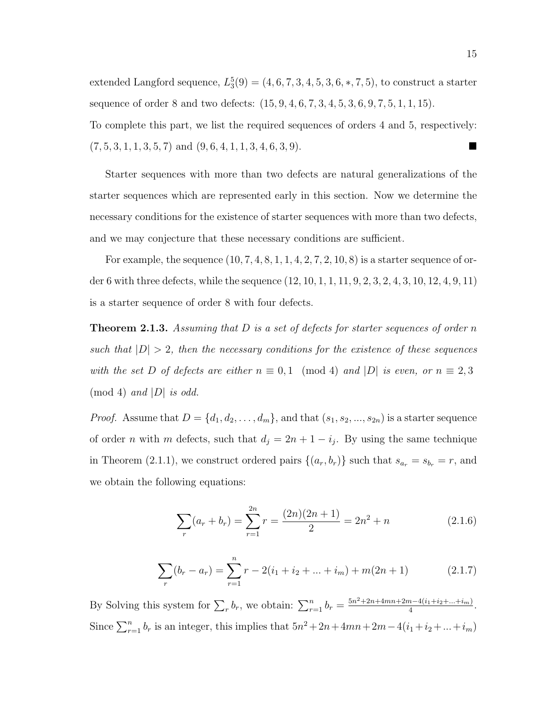extended Langford sequence,  $L_3^5(9) = (4, 6, 7, 3, 4, 5, 3, 6, *, 7, 5)$ , to construct a starter sequence of order 8 and two defects:  $(15, 9, 4, 6, 7, 3, 4, 5, 3, 6, 9, 7, 5, 1, 1, 15)$ . To complete this part, we list the required sequences of orders 4 and 5, respectively:  $(7, 5, 3, 1, 1, 3, 5, 7)$  and  $(9, 6, 4, 1, 1, 3, 4, 6, 3, 9)$ .

Starter sequences with more than two defects are natural generalizations of the starter sequences which are represented early in this section. Now we determine the necessary conditions for the existence of starter sequences with more than two defects, and we may conjecture that these necessary conditions are sufficient.

For example, the sequence  $(10, 7, 4, 8, 1, 1, 4, 2, 7, 2, 10, 8)$  is a starter sequence of order 6 with three defects, while the sequence (12, 10, 1, 1, 11, 9, 2, 3, 2, 4, 3, 10, 12, 4, 9, 11) is a starter sequence of order 8 with four defects.

**Theorem 2.1.3.** Assuming that D is a set of defects for starter sequences of order n such that  $|D| > 2$ , then the necessary conditions for the existence of these sequences with the set D of defects are either  $n \equiv 0,1 \pmod{4}$  and  $|D|$  is even, or  $n \equiv 2,3$  $\pmod{4}$  and  $|D|$  is odd.

*Proof.* Assume that  $D = \{d_1, d_2, \ldots, d_m\}$ , and that  $(s_1, s_2, \ldots, s_{2n})$  is a starter sequence of order *n* with *m* defects, such that  $d_j = 2n + 1 - i_j$ . By using the same technique in Theorem (2.1.1), we construct ordered pairs  $\{(a_r, b_r)\}\$  such that  $s_{a_r} = s_{b_r} = r$ , and we obtain the following equations:

$$
\sum_{r} (a_r + b_r) = \sum_{r=1}^{2n} r = \frac{(2n)(2n+1)}{2} = 2n^2 + n \tag{2.1.6}
$$

$$
\sum_{r} (b_r - a_r) = \sum_{r=1}^{n} r - 2(i_1 + i_2 + \dots + i_m) + m(2n + 1)
$$
 (2.1.7)

By Solving this system for  $\sum_{r} b_r$ , we obtain:  $\sum_{r=1}^{n} b_r = \frac{5n^2 + 2n + 4mn + 2m - 4(i_1 + i_2 + ... + i_m)}{4}$  $\frac{n-4(i_1+i_2+\ldots+i_m)}{4}$ . Since  $\sum_{r=1}^{n} b_r$  is an integer, this implies that  $5n^2 + 2n + 4mn + 2m - 4(i_1 + i_2 + ... + i_m)$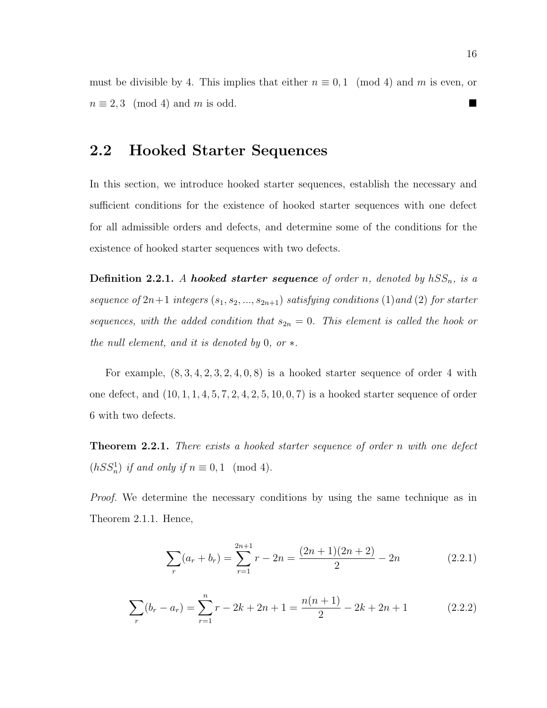must be divisible by 4. This implies that either  $n \equiv 0, 1 \pmod{4}$  and m is even, or  $n \equiv 2,3 \pmod{4}$  and m is odd.

### 2.2 Hooked Starter Sequences

In this section, we introduce hooked starter sequences, establish the necessary and sufficient conditions for the existence of hooked starter sequences with one defect for all admissible orders and defects, and determine some of the conditions for the existence of hooked starter sequences with two defects.

**Definition 2.2.1.** A hooked starter sequence of order n, denoted by  $hSS_n$ , is a sequence of  $2n+1$  integers  $(s_1, s_2, ..., s_{2n+1})$  satisfying conditions  $(1)$  and  $(2)$  for starter sequences, with the added condition that  $s_{2n} = 0$ . This element is called the hook or the null element, and it is denoted by 0, or  $*$ .

For example,  $(8, 3, 4, 2, 3, 2, 4, 0, 8)$  is a hooked starter sequence of order 4 with one defect, and  $(10, 1, 1, 4, 5, 7, 2, 4, 2, 5, 10, 0, 7)$  is a hooked starter sequence of order 6 with two defects.

**Theorem 2.2.1.** There exists a hooked starter sequence of order n with one defect  $(hSS_n^1)$  if and only if  $n \equiv 0, 1 \pmod{4}$ .

Proof. We determine the necessary conditions by using the same technique as in Theorem 2.1.1. Hence,

$$
\sum_{r} (a_r + b_r) = \sum_{r=1}^{2n+1} r - 2n = \frac{(2n+1)(2n+2)}{2} - 2n
$$
 (2.2.1)

$$
\sum_{r} (b_r - a_r) = \sum_{r=1}^{n} r - 2k + 2n + 1 = \frac{n(n+1)}{2} - 2k + 2n + 1 \tag{2.2.2}
$$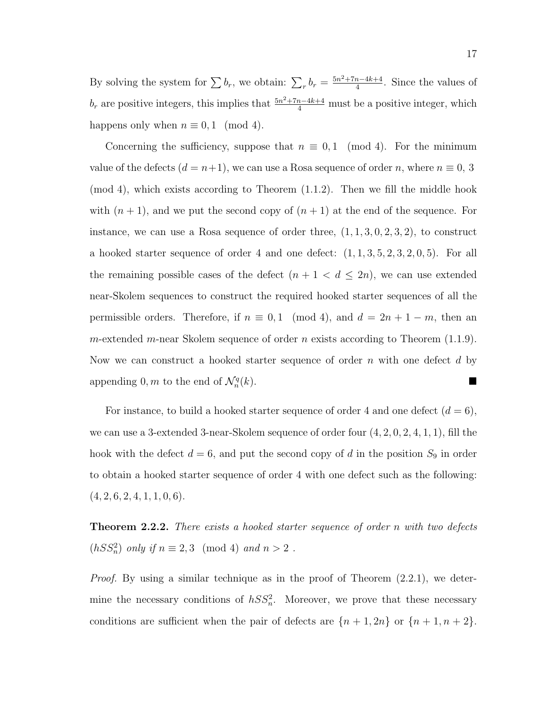By solving the system for  $\sum b_r$ , we obtain:  $\sum_r b_r = \frac{5n^2 + 7n - 4k + 4}{4}$  $\frac{n-4k+4}{4}$ . Since the values of  $b_r$  are positive integers, this implies that  $\frac{5n^2+7n-4k+4}{4}$  must be a positive integer, which happens only when  $n \equiv 0, 1 \pmod{4}$ .

Concerning the sufficiency, suppose that  $n \equiv 0, 1 \pmod{4}$ . For the minimum value of the defects  $(d = n+1)$ , we can use a Rosa sequence of order n, where  $n \equiv 0, 3$ (mod 4), which exists according to Theorem (1.1.2). Then we fill the middle hook with  $(n + 1)$ , and we put the second copy of  $(n + 1)$  at the end of the sequence. For instance, we can use a Rosa sequence of order three,  $(1, 1, 3, 0, 2, 3, 2)$ , to construct a hooked starter sequence of order 4 and one defect:  $(1, 1, 3, 5, 2, 3, 2, 0, 5)$ . For all the remaining possible cases of the defect  $(n + 1 < d \leq 2n)$ , we can use extended near-Skolem sequences to construct the required hooked starter sequences of all the permissible orders. Therefore, if  $n \equiv 0, 1 \pmod{4}$ , and  $d = 2n + 1 - m$ , then an m-extended m-near Skolem sequence of order n exists according to Theorem  $(1.1.9)$ . Now we can construct a hooked starter sequence of order n with one defect d by appending 0, m to the end of  $\mathcal{N}_n^q$  $(k).$ 

For instance, to build a hooked starter sequence of order 4 and one defect  $(d = 6)$ , we can use a 3-extended 3-near-Skolem sequence of order four (4, 2, 0, 2, 4, 1, 1), fill the hook with the defect  $d = 6$ , and put the second copy of d in the position  $S_9$  in order to obtain a hooked starter sequence of order 4 with one defect such as the following:  $(4, 2, 6, 2, 4, 1, 1, 0, 6).$ 

**Theorem 2.2.2.** There exists a hooked starter sequence of order n with two defects  $(hSS_n^2)$  only if  $n \equiv 2,3 \pmod{4}$  and  $n > 2$ .

*Proof.* By using a similar technique as in the proof of Theorem  $(2.2.1)$ , we determine the necessary conditions of  $hSS_n^2$ . Moreover, we prove that these necessary conditions are sufficient when the pair of defects are  $\{n+1, 2n\}$  or  $\{n+1, n+2\}$ .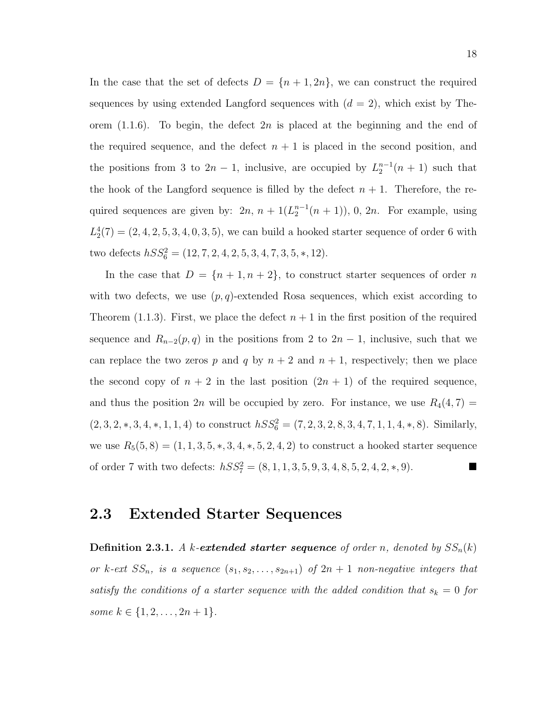In the case that the set of defects  $D = \{n+1, 2n\}$ , we can construct the required sequences by using extended Langford sequences with  $(d = 2)$ , which exist by Theorem  $(1.1.6)$ . To begin, the defect  $2n$  is placed at the beginning and the end of the required sequence, and the defect  $n + 1$  is placed in the second position, and the positions from 3 to  $2n-1$ , inclusive, are occupied by  $L_2^{n-1}(n+1)$  such that the hook of the Langford sequence is filled by the defect  $n + 1$ . Therefore, the required sequences are given by:  $2n, n + 1(L_2^{n-1}(n+1)), 0, 2n$ . For example, using  $L_2^4(7) = (2, 4, 2, 5, 3, 4, 0, 3, 5)$ , we can build a hooked starter sequence of order 6 with two defects  $hSS_6^2 = (12, 7, 2, 4, 2, 5, 3, 4, 7, 3, 5, *, 12).$ 

In the case that  $D = \{n + 1, n + 2\}$ , to construct starter sequences of order n with two defects, we use  $(p, q)$ -extended Rosa sequences, which exist according to Theorem (1.1.3). First, we place the defect  $n+1$  in the first position of the required sequence and  $R_{n-2}(p, q)$  in the positions from 2 to  $2n - 1$ , inclusive, such that we can replace the two zeros p and q by  $n + 2$  and  $n + 1$ , respectively; then we place the second copy of  $n + 2$  in the last position  $(2n + 1)$  of the required sequence, and thus the position 2n will be occupied by zero. For instance, we use  $R_4(4, 7)$  =  $(2, 3, 2, *, 3, 4, *, 1, 1, 4)$  to construct  $hSS_6^2 = (7, 2, 3, 2, 8, 3, 4, 7, 1, 1, 4, *, 8)$ . Similarly, we use  $R_5(5,8) = (1, 1, 3, 5, *, 3, 4, *, 5, 2, 4, 2)$  to construct a hooked starter sequence of order 7 with two defects:  $hSS_7^2 = (8, 1, 1, 3, 5, 9, 3, 4, 8, 5, 2, 4, 2, *, 9)$ .

### 2.3 Extended Starter Sequences

**Definition 2.3.1.** A k-extended starter sequence of order n, denoted by  $SS_n(k)$ or k-ext  $SS_n$ , is a sequence  $(s_1, s_2, \ldots, s_{2n+1})$  of  $2n+1$  non-negative integers that satisfy the conditions of a starter sequence with the added condition that  $s_k = 0$  for some  $k \in \{1, 2, \ldots, 2n + 1\}.$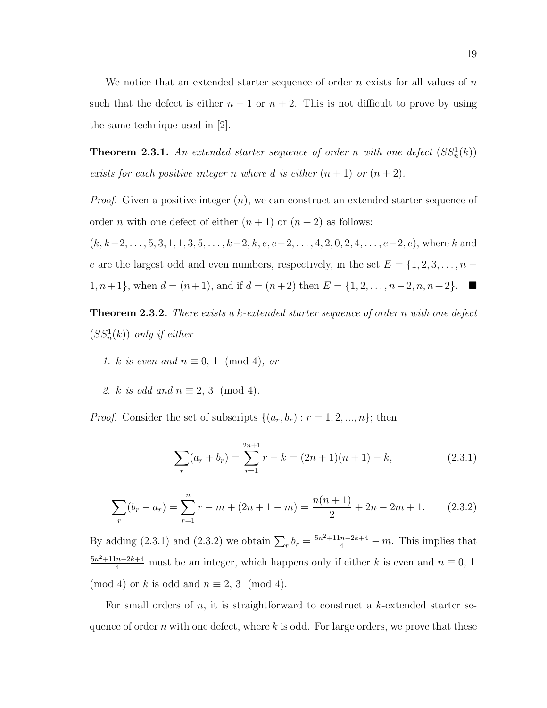We notice that an extended starter sequence of order n exists for all values of  $n$ such that the defect is either  $n + 1$  or  $n + 2$ . This is not difficult to prove by using the same technique used in [2].

**Theorem 2.3.1.** An extended starter sequence of order n with one defect  $(SS_n^1(k))$ exists for each positive integer n where d is either  $(n + 1)$  or  $(n + 2)$ .

*Proof.* Given a positive integer  $(n)$ , we can construct an extended starter sequence of order *n* with one defect of either  $(n + 1)$  or  $(n + 2)$  as follows:

 $(k, k-2, \ldots, 5, 3, 1, 1, 3, 5, \ldots, k-2, k, e, e-2, \ldots, 4, 2, 0, 2, 4, \ldots, e-2, e)$ , where k and e are the largest odd and even numbers, respectively, in the set  $E = \{1, 2, 3, \ldots, n - \}$ 1, *n* + 1}, when  $d = (n + 1)$ , and if  $d = (n + 2)$  then  $E = \{1, 2, ..., n-2, n, n+2\}$ . ■

**Theorem 2.3.2.** There exists a k-extended starter sequence of order n with one defect  $(SS<sub>n</sub><sup>1</sup>(k))$  only if either

- 1. k is even and  $n \equiv 0, 1 \pmod{4}$ , or
- 2. k is odd and  $n \equiv 2, 3 \pmod{4}$ .

*Proof.* Consider the set of subscripts  $\{(a_r, b_r) : r = 1, 2, ..., n\}$ ; then

$$
\sum_{r} (a_r + b_r) = \sum_{r=1}^{2n+1} r - k = (2n+1)(n+1) - k,
$$
\n(2.3.1)

$$
\sum_{r} (b_r - a_r) = \sum_{r=1}^{n} r - m + (2n + 1 - m) = \frac{n(n+1)}{2} + 2n - 2m + 1.
$$
 (2.3.2)

By adding (2.3.1) and (2.3.2) we obtain  $\sum_{r} b_r = \frac{5n^2 + 11n - 2k + 4}{4} - m$ . This implies that  $\frac{5n^2+11n-2k+4}{4}$  must be an integer, which happens only if either k is even and  $n \equiv 0, 1$ (mod 4) or k is odd and  $n \equiv 2, 3 \pmod{4}$ .

For small orders of n, it is straightforward to construct a k-extended starter sequence of order  $n$  with one defect, where  $k$  is odd. For large orders, we prove that these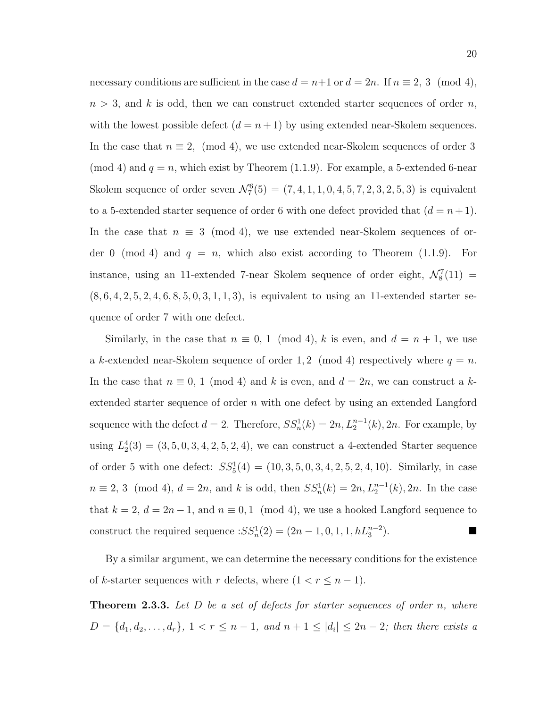necessary conditions are sufficient in the case  $d = n+1$  or  $d = 2n$ . If  $n \equiv 2, 3 \pmod{4}$ ,  $n > 3$ , and k is odd, then we can construct extended starter sequences of order n, with the lowest possible defect  $(d = n + 1)$  by using extended near-Skolem sequences. In the case that  $n \equiv 2$ , (mod 4), we use extended near-Skolem sequences of order 3 (mod 4) and  $q = n$ , which exist by Theorem (1.1.9). For example, a 5-extended 6-near Skolem sequence of order seven  $\mathcal{N}_7^6(5) = (7, 4, 1, 1, 0, 4, 5, 7, 2, 3, 2, 5, 3)$  is equivalent to a 5-extended starter sequence of order 6 with one defect provided that  $(d = n + 1)$ . In the case that  $n \equiv 3 \pmod{4}$ , we use extended near-Skolem sequences of order 0 (mod 4) and  $q = n$ , which also exist according to Theorem (1.1.9). For instance, using an 11-extended 7-near Skolem sequence of order eight,  $\mathcal{N}_8^7(11)$  =  $(8, 6, 4, 2, 5, 2, 4, 6, 8, 5, 0, 3, 1, 1, 3)$ , is equivalent to using an 11-extended starter sequence of order 7 with one defect.

Similarly, in the case that  $n \equiv 0, 1 \pmod{4}$ , k is even, and  $d = n + 1$ , we use a k-extended near-Skolem sequence of order 1, 2 (mod 4) respectively where  $q = n$ . In the case that  $n \equiv 0, 1 \pmod{4}$  and k is even, and  $d = 2n$ , we can construct a kextended starter sequence of order  $n$  with one defect by using an extended Langford sequence with the defect  $d = 2$ . Therefore,  $SS_n^1(k) = 2n$ ,  $L_2^{n-1}(k)$ , 2n. For example, by using  $L_2^4(3) = (3, 5, 0, 3, 4, 2, 5, 2, 4)$ , we can construct a 4-extended Starter sequence of order 5 with one defect:  $SS_5^1(4) = (10, 3, 5, 0, 3, 4, 2, 5, 2, 4, 10)$ . Similarly, in case  $n \equiv 2, 3 \pmod{4}$ ,  $d = 2n$ , and k is odd, then  $SS_n^1(k) = 2n, L_2^{n-1}(k), 2n$ . In the case that  $k = 2$ ,  $d = 2n - 1$ , and  $n \equiv 0, 1 \pmod{4}$ , we use a hooked Langford sequence to construct the required sequence  $:SS_n^1(2) = (2n - 1, 0, 1, 1, hL_3^{n-2})$  $\Box$ 

By a similar argument, we can determine the necessary conditions for the existence of k-starter sequences with r defects, where  $(1 < r \leq n - 1)$ .

**Theorem 2.3.3.** Let  $D$  be a set of defects for starter sequences of order  $n$ , where  $D = \{d_1, d_2, \ldots, d_r\},\ 1 < r \leq n-1,\ and\ n+1 \leq |d_i| \leq 2n-2;\ then\ there\ exists\ a$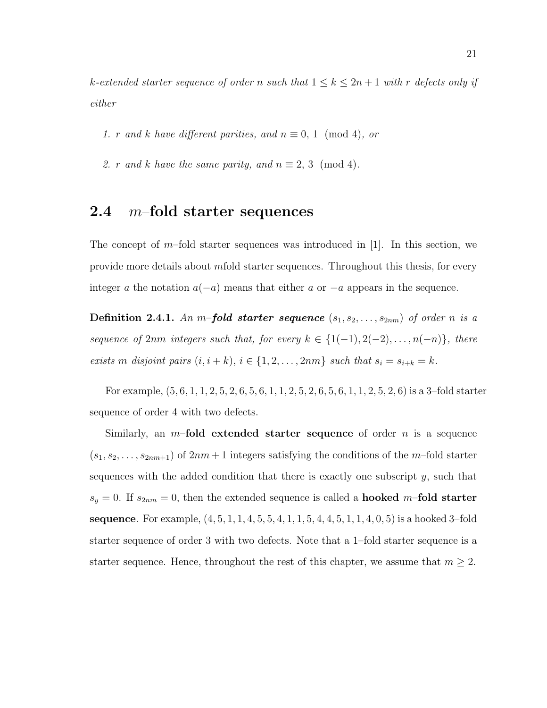k-extended starter sequence of order n such that  $1 \leq k \leq 2n+1$  with r defects only if either

1. r and k have different parities, and  $n \equiv 0, 1 \pmod{4}$ , or

2. r and k have the same parity, and  $n \equiv 2, 3 \pmod{4}$ .

### 2.4  $m$ -fold starter sequences

The concept of  $m$ -fold starter sequences was introduced in [1]. In this section, we provide more details about mfold starter sequences. Throughout this thesis, for every integer a the notation  $a(-a)$  means that either a or  $-a$  appears in the sequence.

**Definition 2.4.1.** An m-fold starter sequence  $(s_1, s_2, \ldots, s_{2nm})$  of order n is a sequence of 2nm integers such that, for every  $k \in \{1(-1), 2(-2), \ldots, n(-n)\},\$  there exists m disjoint pairs  $(i, i + k)$ ,  $i \in \{1, 2, ..., 2nm\}$  such that  $s_i = s_{i+k} = k$ .

For example, (5, 6, 1, 1, 2, 5, 2, 6, 5, 6, 1, 1, 2, 5, 2, 6, 5, 6, 1, 1, 2, 5, 2, 6) is a 3–fold starter sequence of order 4 with two defects.

Similarly, an  $m$ -fold extended starter sequence of order n is a sequence  $(s_1, s_2, \ldots, s_{2nm+1})$  of  $2nm+1$  integers satisfying the conditions of the m-fold starter sequences with the added condition that there is exactly one subscript  $y$ , such that  $s_y = 0$ . If  $s_{2nm} = 0$ , then the extended sequence is called a **hooked** m-fold starter **sequence**. For example,  $(4, 5, 1, 1, 4, 5, 5, 4, 1, 1, 5, 4, 4, 5, 1, 1, 4, 0, 5)$  is a hooked 3-fold starter sequence of order 3 with two defects. Note that a 1–fold starter sequence is a starter sequence. Hence, throughout the rest of this chapter, we assume that  $m \geq 2$ .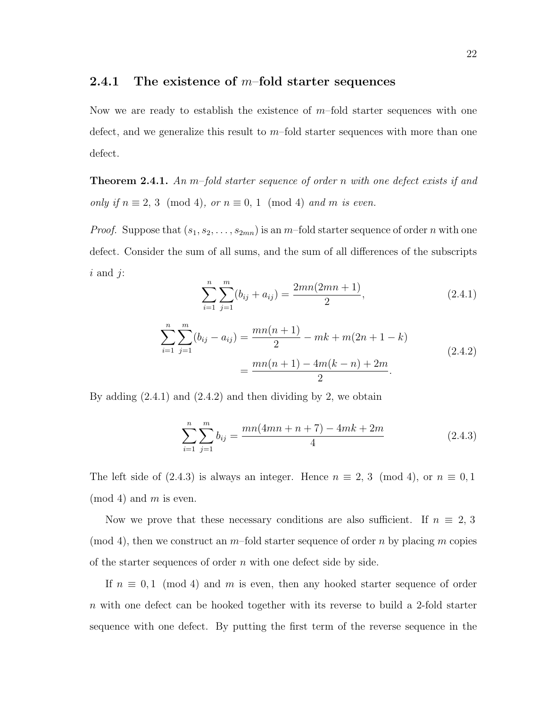### 2.4.1 The existence of  $m$ -fold starter sequences

Now we are ready to establish the existence of  $m$ -fold starter sequences with one defect, and we generalize this result to  $m$ -fold starter sequences with more than one defect.

**Theorem 2.4.1.** An m-fold starter sequence of order n with one defect exists if and only if  $n \equiv 2, 3 \pmod{4}$ , or  $n \equiv 0, 1 \pmod{4}$  and m is even.

*Proof.* Suppose that  $(s_1, s_2, \ldots, s_{2mn})$  is an m-fold starter sequence of order n with one defect. Consider the sum of all sums, and the sum of all differences of the subscripts  $i$  and  $j$ :

$$
\sum_{i=1}^{n} \sum_{j=1}^{m} (b_{ij} + a_{ij}) = \frac{2mn(2mn+1)}{2},
$$
\n(2.4.1)

$$
\sum_{i=1}^{n} \sum_{j=1}^{m} (b_{ij} - a_{ij}) = \frac{mn(n+1)}{2} - mk + m(2n+1-k)
$$
  
= 
$$
\frac{mn(n+1) - 4m(k-n) + 2m}{2}.
$$
 (2.4.2)

By adding  $(2.4.1)$  and  $(2.4.2)$  and then dividing by 2, we obtain

$$
\sum_{i=1}^{n} \sum_{j=1}^{m} b_{ij} = \frac{mn(4mn+n+7) - 4mk + 2m}{4}
$$
 (2.4.3)

The left side of (2.4.3) is always an integer. Hence  $n \equiv 2, 3 \pmod{4}$ , or  $n \equiv 0, 1$  $(mod 4)$  and m is even.

Now we prove that these necessary conditions are also sufficient. If  $n \equiv 2, 3$ (mod 4), then we construct an  $m$ -fold starter sequence of order n by placing m copies of the starter sequences of order  $n$  with one defect side by side.

If  $n \equiv 0,1 \pmod{4}$  and m is even, then any hooked starter sequence of order n with one defect can be hooked together with its reverse to build a 2-fold starter sequence with one defect. By putting the first term of the reverse sequence in the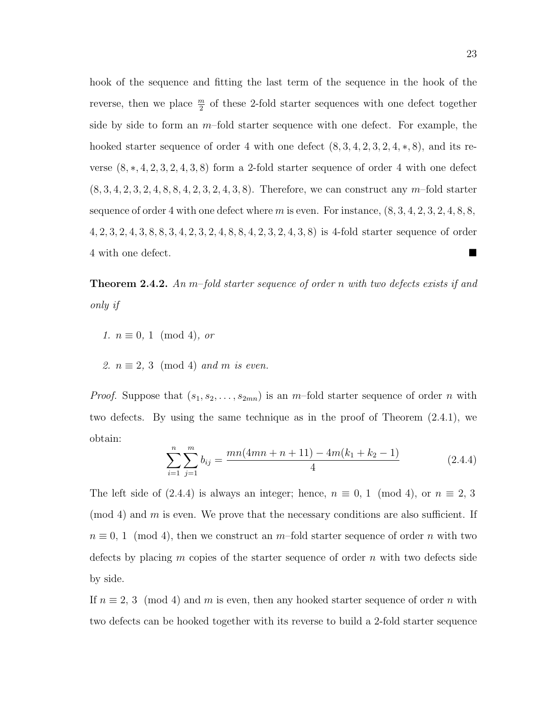hook of the sequence and fitting the last term of the sequence in the hook of the reverse, then we place  $\frac{m}{2}$  of these 2-fold starter sequences with one defect together side by side to form an  $m$ –fold starter sequence with one defect. For example, the hooked starter sequence of order 4 with one defect  $(8, 3, 4, 2, 3, 2, 4, *, 8)$ , and its reverse  $(8,*,4,2,3,2,4,3,8)$  form a 2-fold starter sequence of order 4 with one defect  $(8, 3, 4, 2, 3, 2, 4, 8, 8, 4, 2, 3, 2, 4, 3, 8)$ . Therefore, we can construct any m-fold starter sequence of order 4 with one defect where  $m$  is even. For instance,  $(8, 3, 4, 2, 3, 2, 4, 8, 8,$ 4, 2, 3, 2, 4, 3, 8, 8, 3, 4, 2, 3, 2, 4, 8, 8, 4, 2, 3, 2, 4, 3, 8) is 4-fold starter sequence of order 4 with one defect.

**Theorem 2.4.2.** An m-fold starter sequence of order n with two defects exists if and only if

- 1.  $n \equiv 0, 1 \pmod{4}$ , or
- 2.  $n \equiv 2, 3 \pmod{4}$  and m is even.

*Proof.* Suppose that  $(s_1, s_2, \ldots, s_{2mn})$  is an m-fold starter sequence of order n with two defects. By using the same technique as in the proof of Theorem (2.4.1), we obtain:

$$
\sum_{i=1}^{n} \sum_{j=1}^{m} b_{ij} = \frac{mn(4mn+n+11) - 4m(k_1+k_2-1)}{4}
$$
 (2.4.4)

The left side of (2.4.4) is always an integer; hence,  $n \equiv 0, 1 \pmod{4}$ , or  $n \equiv 2, 3$  $\pmod{4}$  and m is even. We prove that the necessary conditions are also sufficient. If  $n \equiv 0, 1 \pmod{4}$ , then we construct an m–fold starter sequence of order n with two defects by placing  $m$  copies of the starter sequence of order  $n$  with two defects side by side.

If  $n \equiv 2, 3 \pmod{4}$  and m is even, then any hooked starter sequence of order n with two defects can be hooked together with its reverse to build a 2-fold starter sequence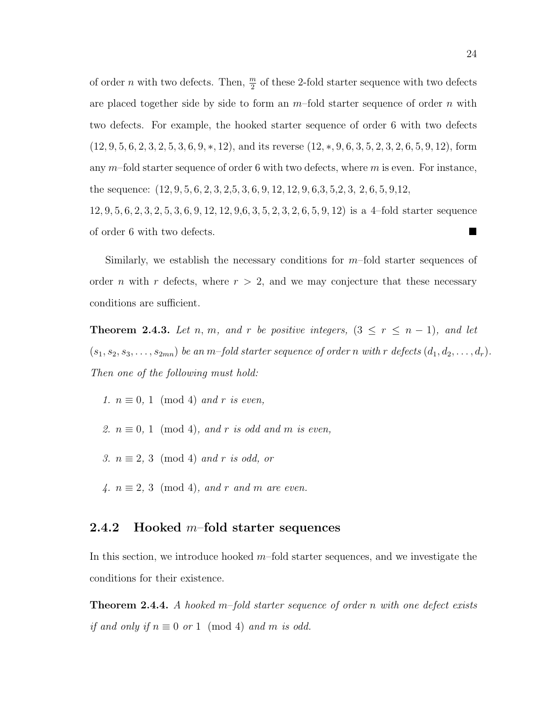of order n with two defects. Then,  $\frac{m}{2}$  of these 2-fold starter sequence with two defects are placed together side by side to form an  $m$ -fold starter sequence of order n with two defects. For example, the hooked starter sequence of order 6 with two defects  $(12, 9, 5, 6, 2, 3, 2, 5, 3, 6, 9, *, 12)$ , and its reverse  $(12, *, 9, 6, 3, 5, 2, 3, 2, 6, 5, 9, 12)$ , form any  $m$ –fold starter sequence of order 6 with two defects, where  $m$  is even. For instance, the sequence: (12, 9, 5, 6, 2, 3, 2,5, 3, 6, 9, 12, 12, 9, 6,3, 5,2, 3, 2, 6, 5, 9,12, 12, 9, 5, 6, 2, 3, 2, 5, 3, 6, 9, 12, 12, 9,6, 3, 5, 2, 3, 2, 6, 5, 9, 12) is a 4–fold starter sequence of order 6 with two defects.

Similarly, we establish the necessary conditions for  $m$ -fold starter sequences of order *n* with *r* defects, where  $r > 2$ , and we may conjecture that these necessary conditions are sufficient.

**Theorem 2.4.3.** Let n, m, and r be positive integers,  $(3 \le r \le n - 1)$ , and let  $(s_1, s_2, s_3, \ldots, s_{2mn})$  be an m-fold starter sequence of order n with r defects  $(d_1, d_2, \ldots, d_r)$ . Then one of the following must hold:

1.  $n \equiv 0, 1 \pmod{4}$  and r is even,

- 2.  $n \equiv 0, 1 \pmod{4}$ , and r is odd and m is even,
- 3.  $n \equiv 2, 3 \pmod{4}$  and r is odd, or
- 4.  $n \equiv 2, 3 \pmod{4}$ , and r and m are even.

### 2.4.2 Hooked  $m$ -fold starter sequences

In this section, we introduce hooked  $m$ -fold starter sequences, and we investigate the conditions for their existence.

**Theorem 2.4.4.** A hooked m-fold starter sequence of order n with one defect exists if and only if  $n \equiv 0$  or 1 (mod 4) and m is odd.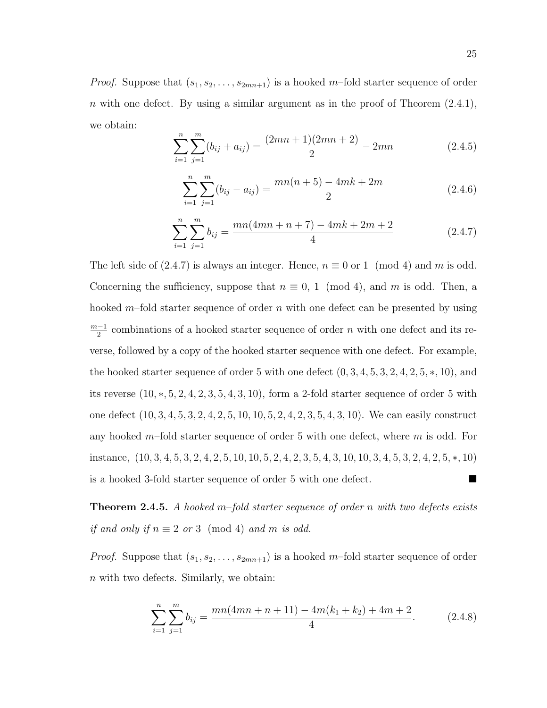*Proof.* Suppose that  $(s_1, s_2, \ldots, s_{2mn+1})$  is a hooked m-fold starter sequence of order n with one defect. By using a similar argument as in the proof of Theorem  $(2.4.1)$ , we obtain:

$$
\sum_{i=1}^{n} \sum_{j=1}^{m} (b_{ij} + a_{ij}) = \frac{(2mn+1)(2mn+2)}{2} - 2mn
$$
 (2.4.5)

$$
\sum_{i=1}^{n} \sum_{j=1}^{m} (b_{ij} - a_{ij}) = \frac{mn(n+5) - 4mk + 2m}{2}
$$
 (2.4.6)

$$
\sum_{i=1}^{n} \sum_{j=1}^{m} b_{ij} = \frac{mn(4mn+n+7) - 4mk + 2m + 2}{4}
$$
 (2.4.7)

The left side of (2.4.7) is always an integer. Hence,  $n \equiv 0$  or 1 (mod 4) and m is odd. Concerning the sufficiency, suppose that  $n \equiv 0, 1 \pmod{4}$ , and m is odd. Then, a hooked  $m$ –fold starter sequence of order n with one defect can be presented by using  $m-1$  $\frac{-1}{2}$  combinations of a hooked starter sequence of order n with one defect and its reverse, followed by a copy of the hooked starter sequence with one defect. For example, the hooked starter sequence of order 5 with one defect  $(0, 3, 4, 5, 3, 2, 4, 2, 5, *, 10)$ , and its reverse  $(10, \ast, 5, 2, 4, 2, 3, 5, 4, 3, 10)$ , form a 2-fold starter sequence of order 5 with one defect (10, 3, 4, 5, 3, 2, 4, 2, 5, 10, 10, 5, 2, 4, 2, 3, 5, 4, 3, 10). We can easily construct any hooked  $m$ -fold starter sequence of order 5 with one defect, where  $m$  is odd. For instance, (10, 3, 4, 5, 3, 2, 4, 2, 5, 10, 10, 5, 2, 4, 2, 3, 5, 4, 3, 10, 10, 3, 4, 5, 3, 2, 4, 2, 5, ∗, 10) is a hooked 3-fold starter sequence of order 5 with one defect.

**Theorem 2.4.5.** A hooked m–fold starter sequence of order n with two defects exists if and only if  $n \equiv 2$  or 3 (mod 4) and m is odd.

*Proof.* Suppose that  $(s_1, s_2, \ldots, s_{2mn+1})$  is a hooked m–fold starter sequence of order n with two defects. Similarly, we obtain:

$$
\sum_{i=1}^{n} \sum_{j=1}^{m} b_{ij} = \frac{mn(4mn+n+11) - 4m(k_1+k_2) + 4m+2}{4}.
$$
 (2.4.8)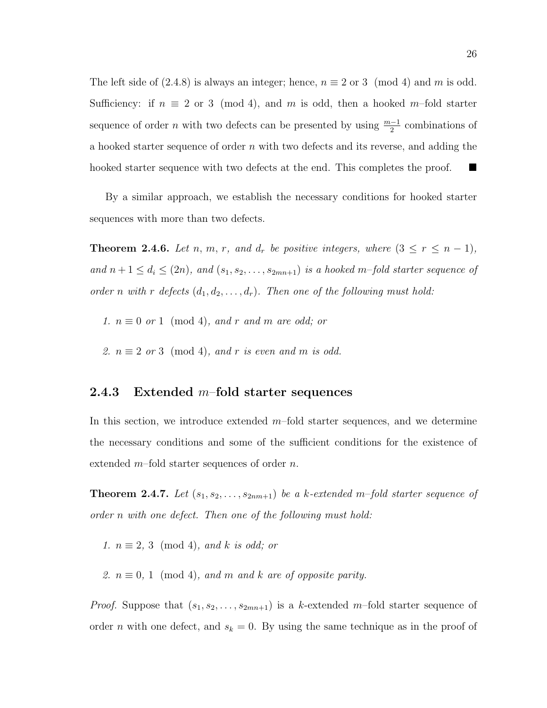The left side of  $(2.4.8)$  is always an integer; hence,  $n \equiv 2$  or 3 (mod 4) and m is odd. Sufficiency: if  $n \equiv 2$  or 3 (mod 4), and m is odd, then a hooked m–fold starter sequence of order *n* with two defects can be presented by using  $\frac{m-1}{2}$  combinations of a hooked starter sequence of order n with two defects and its reverse, and adding the hooked starter sequence with two defects at the end. This completes the proof.

By a similar approach, we establish the necessary conditions for hooked starter sequences with more than two defects.

**Theorem 2.4.6.** Let n, m, r, and  $d_r$  be positive integers, where  $(3 \leq r \leq n-1)$ , and  $n+1 \leq d_i \leq (2n)$ , and  $(s_1, s_2, \ldots, s_{2mn+1})$  is a hooked m-fold starter sequence of order n with r defects  $(d_1, d_2, \ldots, d_r)$ . Then one of the following must hold:

1.  $n \equiv 0$  or 1 (mod 4), and r and m are odd; or

2.  $n \equiv 2 \text{ or } 3 \pmod{4}$ , and r is even and m is odd.

#### 2.4.3 Extended  $m$ -fold starter sequences

In this section, we introduce extended  $m$ -fold starter sequences, and we determine the necessary conditions and some of the sufficient conditions for the existence of extended  $m$ -fold starter sequences of order  $n$ .

**Theorem 2.4.7.** Let  $(s_1, s_2, \ldots, s_{2nm+1})$  be a k-extended m-fold starter sequence of order n with one defect. Then one of the following must hold:

1.  $n \equiv 2, 3 \pmod{4}$ , and k is odd; or

2.  $n \equiv 0, 1 \pmod{4}$ , and m and k are of opposite parity.

*Proof.* Suppose that  $(s_1, s_2, \ldots, s_{2mn+1})$  is a k-extended m-fold starter sequence of order *n* with one defect, and  $s_k = 0$ . By using the same technique as in the proof of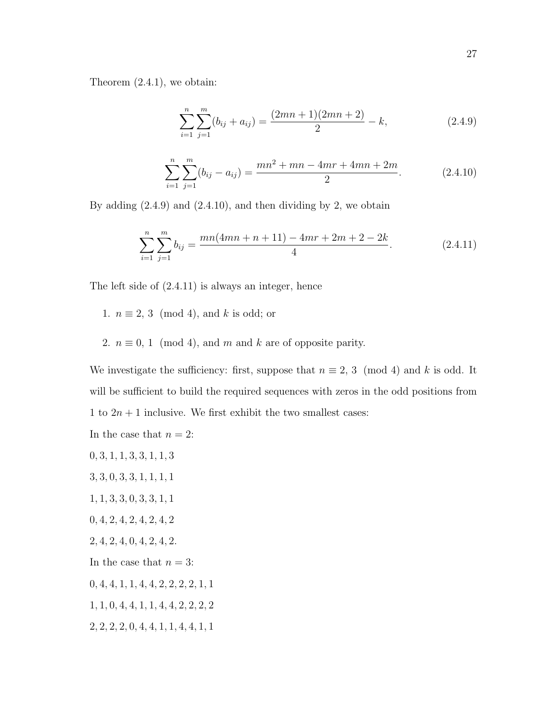Theorem (2.4.1), we obtain:

$$
\sum_{i=1}^{n} \sum_{j=1}^{m} (b_{ij} + a_{ij}) = \frac{(2mn+1)(2mn+2)}{2} - k,
$$
\n(2.4.9)

$$
\sum_{i=1}^{n} \sum_{j=1}^{m} (b_{ij} - a_{ij}) = \frac{mn^2 + mn - 4mr + 4mn + 2m}{2}.
$$
 (2.4.10)

By adding  $(2.4.9)$  and  $(2.4.10)$ , and then dividing by 2, we obtain

$$
\sum_{i=1}^{n} \sum_{j=1}^{m} b_{ij} = \frac{mn(4mn+n+11) - 4mr + 2m + 2 - 2k}{4}.
$$
 (2.4.11)

The left side of (2.4.11) is always an integer, hence

- 1.  $n \equiv 2, 3 \pmod{4}$ , and k is odd; or
- 2.  $n \equiv 0, 1 \pmod{4}$ , and m and k are of opposite parity.

We investigate the sufficiency: first, suppose that  $n \equiv 2, 3 \pmod{4}$  and k is odd. It will be sufficient to build the required sequences with zeros in the odd positions from 1 to  $2n + 1$  inclusive. We first exhibit the two smallest cases:

In the case that  $n = 2$ :

- $0, 3, 1, 1, 3, 3, 1, 1, 3$
- 3, 3, 0, 3, 3, 1, 1, 1, 1
- 1, 1, 3, 3, 0, 3, 3, 1, 1
- 0, 4, 2, 4, 2, 4, 2, 4, 2
- 2, 4, 2, 4, 0, 4, 2, 4, 2.
- In the case that  $n = 3$ :
- $0, 4, 4, 1, 1, 4, 4, 2, 2, 2, 2, 1, 1$
- 1, 1, 0, 4, 4, 1, 1, 4, 4, 2, 2, 2, 2
- 2, 2, 2, 2, 0, 4, 4, 1, 1, 4, 4, 1, 1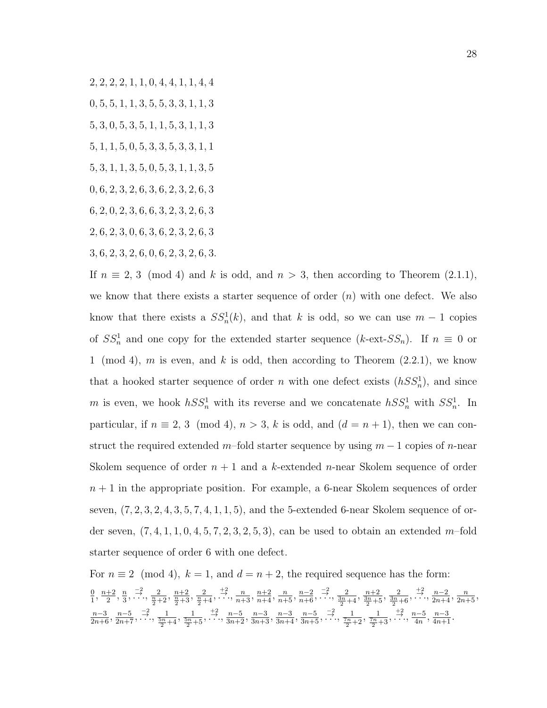2, 2, 2, 2, 1, 1, 0, 4, 4, 1, 1, 4, 4

- 0, 5, 5, 1, 1, 3, 5, 5, 3, 3, 1, 1, 3
- 5, 3, 0, 5, 3, 5, 1, 1, 5, 3, 1, 1, 3
- 5, 1, 1, 5, 0, 5, 3, 3, 5, 3, 3, 1, 1
- 5, 3, 1, 1, 3, 5, 0, 5, 3, 1, 1, 3, 5
- 0, 6, 2, 3, 2, 6, 3, 6, 2, 3, 2, 6, 3
- 6, 2, 0, 2, 3, 6, 6, 3, 2, 3, 2, 6, 3
- 2, 6, 2, 3, 0, 6, 3, 6, 2, 3, 2, 6, 3
- 3, 6, 2, 3, 2, 6, 0, 6, 2, 3, 2, 6, 3.

If  $n \equiv 2, 3 \pmod{4}$  and k is odd, and  $n > 3$ , then according to Theorem  $(2.1.1)$ , we know that there exists a starter sequence of order  $(n)$  with one defect. We also know that there exists a  $SS_n^1(k)$ , and that k is odd, so we can use  $m-1$  copies of  $SS_n^1$  and one copy for the extended starter sequence (k-ext- $SS_n$ ). If  $n \equiv 0$  or 1 (mod 4), m is even, and k is odd, then according to Theorem  $(2.2.1)$ , we know that a hooked starter sequence of order n with one defect exists  $(hSS_n^1)$ , and since m is even, we hook  $hSS_n^1$  with its reverse and we concatenate  $hSS_n^1$  with  $SS_n^1$ . In particular, if  $n \equiv 2, 3 \pmod{4}$ ,  $n > 3$ , k is odd, and  $(d = n + 1)$ , then we can construct the required extended m–fold starter sequence by using  $m-1$  copies of n-near Skolem sequence of order  $n + 1$  and a k-extended n-near Skolem sequence of order  $n + 1$  in the appropriate position. For example, a 6-near Skolem sequences of order seven,  $(7, 2, 3, 2, 4, 3, 5, 7, 4, 1, 1, 5)$ , and the 5-extended 6-near Skolem sequence of order seven,  $(7, 4, 1, 1, 0, 4, 5, 7, 2, 3, 2, 5, 3)$ , can be used to obtain an extended m–fold starter sequence of order 6 with one defect.

For  $n \equiv 2 \pmod{4}$ ,  $k = 1$ , and  $d = n + 2$ , the required sequence has the form: 0  $\frac{0}{1}, \frac{n+2}{2}$  $\frac{+2}{2}, \frac{n}{3}$  $\frac{n}{2}, \frac{-2}{3}, \frac{2}{\cdots}, \frac{n+2}{\frac{n}{2}+3}, \frac{2}{\frac{n}{2}+4}, \frac{+2}{\cdots}, \frac{n}{n+3}, \frac{n+2}{n+4}, \frac{n}{n+5}, \frac{n-2}{n+6}, \frac{-2}{\cdots}, \frac{2}{\frac{3n}{2}+4}, \frac{n+2}{\frac{3n}{2}+5}, \frac{2}{\frac{3n}{2}+6}, \frac{+2}{\cdots}, \frac{n-2}{2n+4}, \frac{n}{2n+5}, \frac{n}{2n+6}$  $\frac{n-3}{2n+6}, \frac{n-5}{2n+7}, \frac{-2}{\cdots}, \frac{1}{\frac{5n}{2}+4}, \frac{1}{\frac{5n}{2}+5}, \frac{+2}{\cdots}, \frac{n-5}{3n+2}, \frac{n-3}{3n+3}, \frac{n-3}{3n+4}, \frac{n-5}{3n+5}, \frac{-2}{\cdots}, \frac{1}{\frac{7n}{2}+2}, \frac{1}{\frac{7n}{2}+3}, \frac{+2}{\cdots}, \frac{n-5}{4n}, \frac{n-3}{4n+1}.$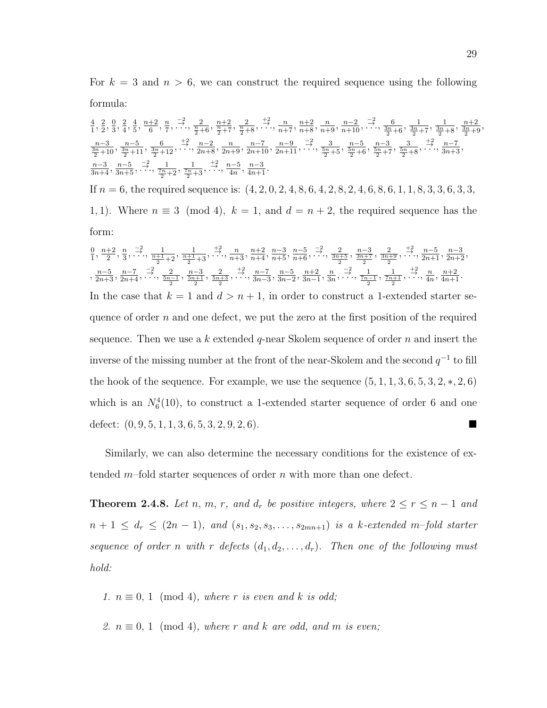For  $k = 3$  and  $n > 6$ , we can construct the required sequence using the following formula:

$$
\frac{4}{1}, \frac{2}{2}, \frac{0}{3}, \frac{2}{4}, \frac{4}{5}, \frac{n+2}{6}, \frac{n}{7}, \frac{-2}{\cdots}, \frac{2}{\frac{n}{2}+6}, \frac{n+2}{\frac{n}{2}+7}, \frac{2}{\frac{n}{2}+8}, \frac{+2}{\cdots}, \frac{n}{n+7}, \frac{n+2}{n+8}, \frac{n}{n+9}, \frac{n-2}{n+10}, \frac{-2}{\cdots}, \frac{6}{\frac{3n}{2}+6}, \frac{1}{\frac{3n}{2}+7}, \frac{1}{\frac{3n}{2}+8}, \frac{n+2}{\frac{3n}{2}+9}, \frac{n-5}{\frac{3n}{2}+11}, \frac{6}{\frac{3n}{2}+12}, \frac{+2}{\cdots}, \frac{n-2}{2n+8}, \frac{n-7}{2n+9}, \frac{n-9}{2n+10}, \frac{-2}{2n+11}, \dots, \frac{4}{5n+5}, \frac{n-5}{5n+6}, \frac{n-3}{5n+7}, \frac{3}{5n+8}, \dots, \frac{4}{3n+3}, \frac{n-5}{3n+4}, \frac{-2}{3n+5}, \dots, \frac{1}{\frac{n}{2}+2}, \frac{1}{\frac{n}{2}+3}, \frac{+2}{\cdots}, \frac{n-5}{4n}, \frac{n-3}{4n+1}.
$$

If  $n = 6$ , the required sequence is:  $(4, 2, 0, 2, 4, 8, 6, 4, 2, 8, 2, 4, 6, 8, 6, 1, 1, 8, 3, 3, 6, 3, 3,$ 1, 1). Where  $n \equiv 3 \pmod{4}$ ,  $k = 1$ , and  $d = n + 2$ , the required sequence has the form:

$$
\frac{0}{1}, \frac{n+2}{2}, \frac{n}{3}, \frac{-2}{3}, \frac{1}{\frac{n+1}{2}} + \frac{1}{2}, \frac{1}{\frac{n+1}{2}} + \frac{2}{3}, \frac{n}{\cdots}, \frac{n+2}{n+3}, \frac{n-2}{n+5}, \frac{n-5}{n+6}, \frac{-2}{\cdots}, \frac{2}{\frac{3n+5}{2}}, \frac{n-3}{\frac{3n+2}{2}}, \frac{2}{\frac{3n+5}{2}}, \frac{1}{\cdots}, \frac{n-5}{2n+1}, \frac{n-3}{2n+2},
$$
\n
$$
\frac{n-5}{2n+3}, \frac{n-7}{2n+4}, \frac{-2}{\cdots}, \frac{2}{\frac{5n-1}{2}}, \frac{n-3}{\frac{5n+1}{2}}, \frac{2}{\cdots}, \frac{2}{\cdots}, \frac{n-7}{3n-3}, \frac{n-5}{3n-2}, \frac{n+2}{3n-1}, \frac{n}{3n}, \cdots, \frac{-2}{7n-1}, \frac{1}{7n+1}, \cdots, \frac{12}{4n}, \frac{n+2}{4n+1}.
$$
\nIn the case that  $k = 1$  and  $d > n + 1$ , in order to construct a 1-extended starter sequence of order *n* and one defect, we put the zero at the first position of the required sequence. Then we use a *k* extended *q*-near Skolem sequence of order *n* and insert the inverse of the missing number at the front of the near-Skolem and the second  $q^{-1}$  to fill the hook of the sequence. For example, we use the sequence (5, 1, 1, 3, 6, 5, 3, 2, \*, 2, 6) which is an  $N_6^4(10)$ , to construct a 1-extended starter sequence of order 6 and one defect: (0, 9, 5, 1, 1, 3, 6, 5, 3, 2, 9, 2, 6).

Similarly, we can also determine the necessary conditions for the existence of extended  $m$ -fold starter sequences of order n with more than one defect.

**Theorem 2.4.8.** Let n, m, r, and  $d_r$  be positive integers, where  $2 \le r \le n-1$  and  $n + 1 \leq d_r \leq (2n - 1)$ , and  $(s_1, s_2, s_3, \ldots, s_{2mn+1})$  is a k-extended m-fold starter sequence of order n with r defects  $(d_1, d_2, \ldots, d_r)$ . Then one of the following must hold:

1.  $n \equiv 0, 1 \pmod{4}$ , where r is even and k is odd;

2.  $n \equiv 0, 1 \pmod{4}$ , where r and k are odd, and m is even;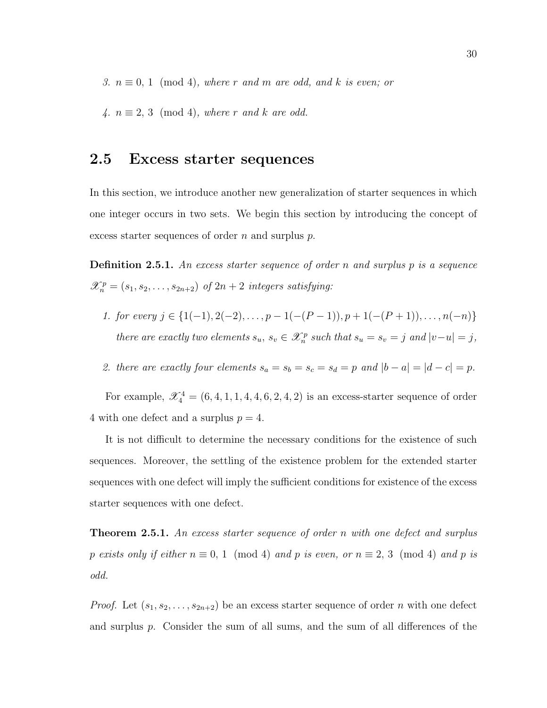3.  $n \equiv 0, 1 \pmod{4}$ , where r and m are odd, and k is even; or

4.  $n \equiv 2, 3 \pmod{4}$ , where r and k are odd.

## 2.5 Excess starter sequences

In this section, we introduce another new generalization of starter sequences in which one integer occurs in two sets. We begin this section by introducing the concept of excess starter sequences of order  $n$  and surplus  $p$ .

**Definition 2.5.1.** An excess starter sequence of order n and surplus  $p$  is a sequence  $\mathscr{X}_n^p = (s_1, s_2, \ldots, s_{2n+2})$  of  $2n+2$  integers satisfying:

1. for every  $j \in \{1(-1), 2(-2), \ldots, p-1(-(P-1)), p+1(-(P+1)), \ldots, n(-n)\}\$ there are exactly two elements  $s_u, s_v \in \mathcal{X}_n^p$  such that  $s_u = s_v = j$  and  $|v - u| = j$ ,

2. there are exactly four elements  $s_a = s_b = s_c = s_d = p$  and  $|b - a| = |d - c| = p$ .

For example,  $\mathcal{X}_4^4 = (6, 4, 1, 1, 4, 4, 6, 2, 4, 2)$  is an excess-starter sequence of order 4 with one defect and a surplus  $p = 4$ .

It is not difficult to determine the necessary conditions for the existence of such sequences. Moreover, the settling of the existence problem for the extended starter sequences with one defect will imply the sufficient conditions for existence of the excess starter sequences with one defect.

**Theorem 2.5.1.** An excess starter sequence of order n with one defect and surplus p exists only if either  $n \equiv 0, 1 \pmod{4}$  and p is even, or  $n \equiv 2, 3 \pmod{4}$  and p is odd.

*Proof.* Let  $(s_1, s_2, \ldots, s_{2n+2})$  be an excess starter sequence of order n with one defect and surplus p. Consider the sum of all sums, and the sum of all differences of the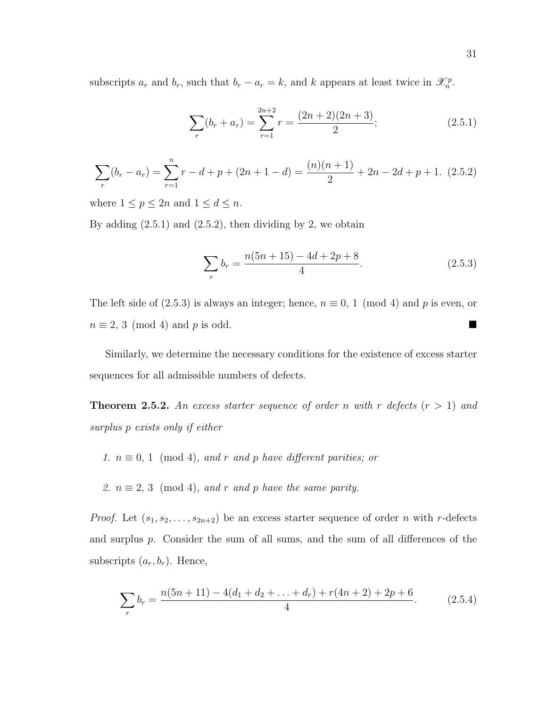subscripts  $a_r$  and  $b_r$ , such that  $b_r - a_r = k$ , and k appears at least twice in  $\mathcal{X}_n^p$ .

$$
\sum_{r} (b_r + a_r) = \sum_{r=1}^{2n+2} r = \frac{(2n+2)(2n+3)}{2};
$$
\n(2.5.1)

$$
\sum_{r} (b_r - a_r) = \sum_{r=1}^{n} r - d + p + (2n + 1 - d) = \frac{(n)(n+1)}{2} + 2n - 2d + p + 1.
$$
 (2.5.2)

where  $1 \le p \le 2n$  and  $1 \le d \le n$ .

By adding  $(2.5.1)$  and  $(2.5.2)$ , then dividing by 2, we obtain

$$
\sum_{r} b_r = \frac{n(5n+15) - 4d + 2p + 8}{4}.
$$
\n(2.5.3)

The left side of (2.5.3) is always an integer; hence,  $n \equiv 0, 1 \pmod{4}$  and p is even, or  $n \equiv 2, 3 \pmod{4}$  and p is odd.

Similarly, we determine the necessary conditions for the existence of excess starter sequences for all admissible numbers of defects.

**Theorem 2.5.2.** An excess starter sequence of order n with r defects  $(r > 1)$  and surplus p exists only if either

- 1.  $n \equiv 0, 1 \pmod{4}$ , and r and p have different parities; or
- 2.  $n \equiv 2, 3 \pmod{4}$ , and r and p have the same parity.

*Proof.* Let  $(s_1, s_2, \ldots, s_{2n+2})$  be an excess starter sequence of order n with r-defects and surplus p. Consider the sum of all sums, and the sum of all differences of the subscripts  $(a_r, b_r)$ . Hence,

$$
\sum_{r} b_r = \frac{n(5n+11) - 4(d_1 + d_2 + \dots + d_r) + r(4n+2) + 2p + 6}{4}.
$$
 (2.5.4)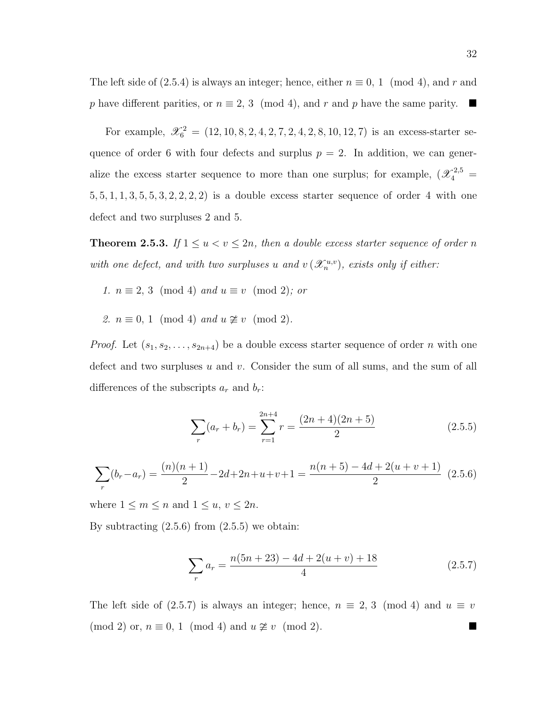The left side of (2.5.4) is always an integer; hence, either  $n \equiv 0, 1 \pmod{4}$ , and r and p have different parities, or  $n \equiv 2, 3 \pmod{4}$ , and r and p have the same parity.

For example,  $\mathcal{X}_6^2 = (12, 10, 8, 2, 4, 2, 7, 2, 4, 2, 8, 10, 12, 7)$  is an excess-starter sequence of order 6 with four defects and surplus  $p = 2$ . In addition, we can generalize the excess starter sequence to more than one surplus; for example,  $(\mathscr{X}_4^{2,5}$  =  $5, 5, 1, 1, 3, 5, 5, 3, 2, 2, 2, 2$  is a double excess starter sequence of order 4 with one defect and two surpluses 2 and 5.

**Theorem 2.5.3.** If  $1 \le u < v \le 2n$ , then a double excess starter sequence of order n with one defect, and with two surpluses u and  $v(\mathscr{X}_n^{u,v})$ , exists only if either:

- 1.  $n \equiv 2, 3 \pmod{4}$  and  $u \equiv v \pmod{2}$ ; or
- 2.  $n \equiv 0, 1 \pmod{4}$  and  $u \not\cong v \pmod{2}$ .

*Proof.* Let  $(s_1, s_2, \ldots, s_{2n+4})$  be a double excess starter sequence of order n with one defect and two surpluses u and v. Consider the sum of all sums, and the sum of all differences of the subscripts  $a_r$  and  $b_r$ :

$$
\sum_{r} (a_r + b_r) = \sum_{r=1}^{2n+4} r = \frac{(2n+4)(2n+5)}{2}
$$
 (2.5.5)

$$
\sum_{r} (b_r - a_r) = \frac{(n)(n+1)}{2} - 2d + 2n + u + v + 1 = \frac{n(n+5) - 4d + 2(u + v + 1)}{2} \tag{2.5.6}
$$

where  $1 \leq m \leq n$  and  $1 \leq u, v \leq 2n$ .

By subtracting  $(2.5.6)$  from  $(2.5.5)$  we obtain:

$$
\sum_{r} a_r = \frac{n(5n+23) - 4d + 2(u+v) + 18}{4} \tag{2.5.7}
$$

The left side of (2.5.7) is always an integer; hence,  $n \equiv 2, 3 \pmod{4}$  and  $u \equiv v$  $(\text{mod } 2)$  or,  $n \equiv 0, 1 \pmod{4}$  and  $u \not\cong v \pmod{2}$ .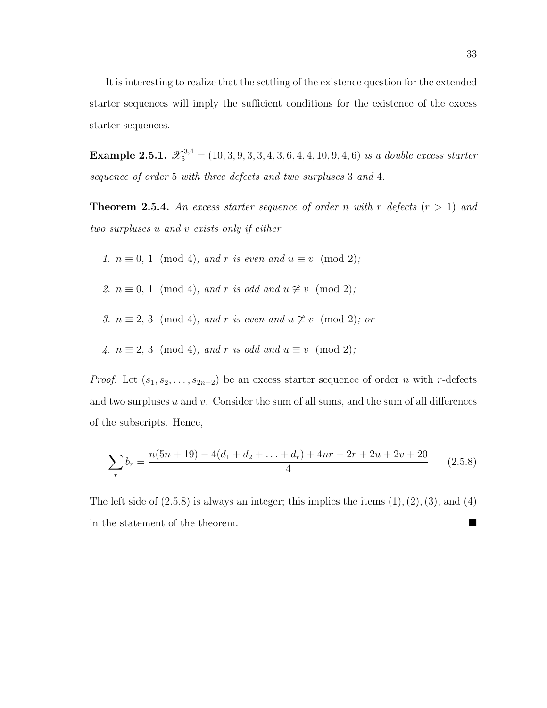It is interesting to realize that the settling of the existence question for the extended starter sequences will imply the sufficient conditions for the existence of the excess starter sequences.

**Example 2.5.1.**  $\mathscr{X}_5^{3,4} = (10, 3, 9, 3, 3, 4, 3, 6, 4, 4, 10, 9, 4, 6)$  is a double excess starter sequence of order 5 with three defects and two surpluses 3 and 4.

**Theorem 2.5.4.** An excess starter sequence of order n with r defects  $(r > 1)$  and two surpluses u and v exists only if either

- 1.  $n \equiv 0, 1 \pmod{4}$ , and r is even and  $u \equiv v \pmod{2}$ ;
- 2.  $n \equiv 0, 1 \pmod{4}$ , and r is odd and  $u \not\cong v \pmod{2}$ ;
- 3.  $n \equiv 2, 3 \pmod{4}$ , and r is even and  $u \not\cong v \pmod{2}$ ; or
- 4.  $n \equiv 2, 3 \pmod{4}$ , and r is odd and  $u \equiv v \pmod{2}$ ;

*Proof.* Let  $(s_1, s_2, \ldots, s_{2n+2})$  be an excess starter sequence of order n with r-defects and two surpluses  $u$  and  $v$ . Consider the sum of all sums, and the sum of all differences of the subscripts. Hence,

$$
\sum_{r} b_r = \frac{n(5n+19) - 4(d_1 + d_2 + \dots + d_r) + 4nr + 2r + 2u + 2v + 20}{4}
$$
 (2.5.8)

The left side of  $(2.5.8)$  is always an integer; this implies the items  $(1), (2), (3),$  and  $(4)$ in the statement of the theorem.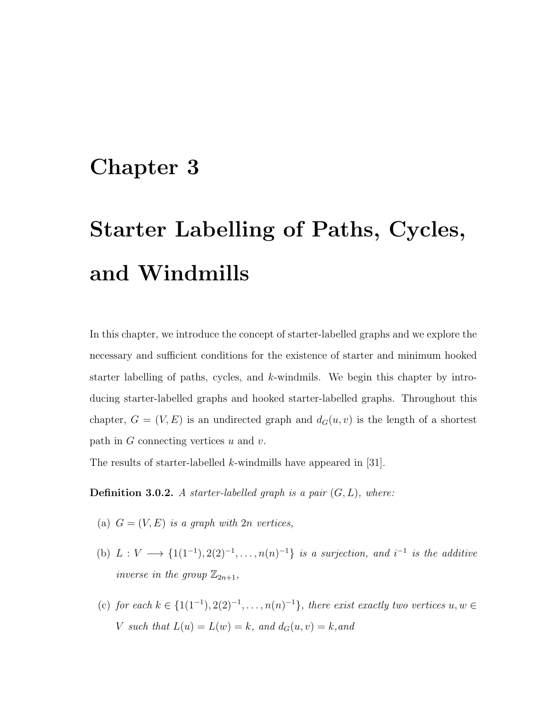# Chapter 3

# Starter Labelling of Paths, Cycles, and Windmills

In this chapter, we introduce the concept of starter-labelled graphs and we explore the necessary and sufficient conditions for the existence of starter and minimum hooked starter labelling of paths, cycles, and  $k$ -windmils. We begin this chapter by introducing starter-labelled graphs and hooked starter-labelled graphs. Throughout this chapter,  $G = (V, E)$  is an undirected graph and  $d_G(u, v)$  is the length of a shortest path in  $G$  connecting vertices  $u$  and  $v$ .

The results of starter-labelled k-windmills have appeared in [31].

**Definition 3.0.2.** A starter-labelled graph is a pair  $(G, L)$ , where:

- (a)  $G = (V, E)$  is a graph with  $2n$  vertices,
- (b)  $L: V \longrightarrow \{1(1^{-1}), 2(2)^{-1}, \ldots, n(n)^{-1}\}\$  is a surjection, and  $i^{-1}$  is the additive inverse in the group  $\mathbb{Z}_{2n+1}$ ,
- (c) for each  $k \in \{1,1^{-1}, 2(2)^{-1}, \ldots, n(n)^{-1}\},$  there exist exactly two vertices  $u, w \in$ V such that  $L(u) = L(w) = k$ , and  $d_G(u, v) = k$ , and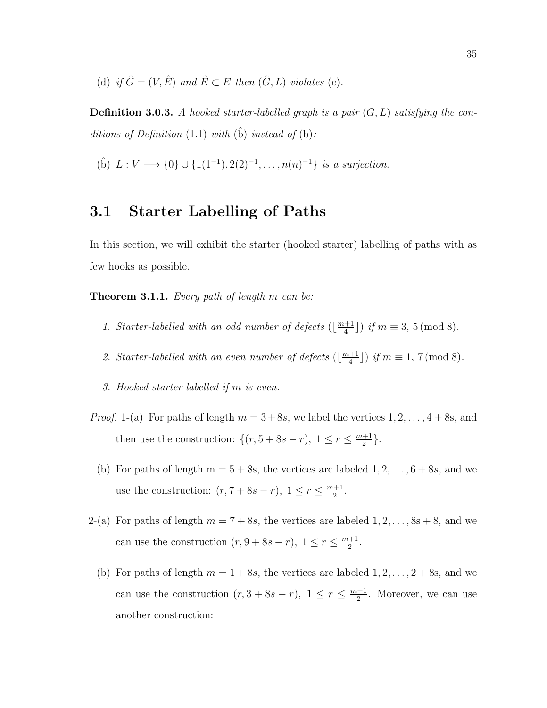(d) if  $\hat{G} = (V, \hat{E})$  and  $\hat{E} \subset E$  then  $(\hat{G}, L)$  violates (c).

**Definition 3.0.3.** A hooked starter-labelled graph is a pair  $(G, L)$  satisfying the conditions of Definition  $(1.1)$  with  $(b)$  instead of  $(b)$ :

(b)  $L: V \longrightarrow \{0\} \cup \{1(1^{-1}), 2(2)^{-1}, \ldots, n(n)^{-1}\}$  is a surjection.

## 3.1 Starter Labelling of Paths

In this section, we will exhibit the starter (hooked starter) labelling of paths with as few hooks as possible.

**Theorem 3.1.1.** Every path of length  $m$  can be:

- 1. Starter-labelled with an odd number of defects  $(\frac{m+1}{4})$  $\frac{+1}{4}$ ]) if  $m \equiv 3, 5 \pmod{8}$ .
- 2. Starter-labelled with an even number of defects  $(\frac{m+1}{4})$  $\left(\frac{+1}{4}\right)$  if  $m \equiv 1, 7 \pmod{8}$ .
- 3. Hooked starter-labelled if m is even.
- *Proof.* 1-(a) For paths of length  $m = 3+8s$ , we label the vertices  $1, 2, ..., 4+8s$ , and then use the construction:  $\{(r, 5+8s-r), 1 \leq r \leq \frac{m+1}{2}\}$  $\frac{+1}{2}$ .
	- (b) For paths of length  $m = 5 + 8s$ , the vertices are labeled  $1, 2, \ldots, 6 + 8s$ , and we use the construction:  $(r, 7+8s-r)$ ,  $1 \leq r \leq \frac{m+1}{2}$  $\frac{+1}{2}$ .
- 2-(a) For paths of length  $m = 7 + 8s$ , the vertices are labeled  $1, 2, ..., 8s + 8$ , and we can use the construction  $(r, 9+8s-r)$ ,  $1 \leq r \leq \frac{m+1}{2}$  $\frac{+1}{2}$ .
	- (b) For paths of length  $m = 1 + 8s$ , the vertices are labeled  $1, 2, \ldots, 2 + 8s$ , and we can use the construction  $(r, 3+8s-r)$ ,  $1 \leq r \leq \frac{m+1}{2}$  $\frac{+1}{2}$ . Moreover, we can use another construction: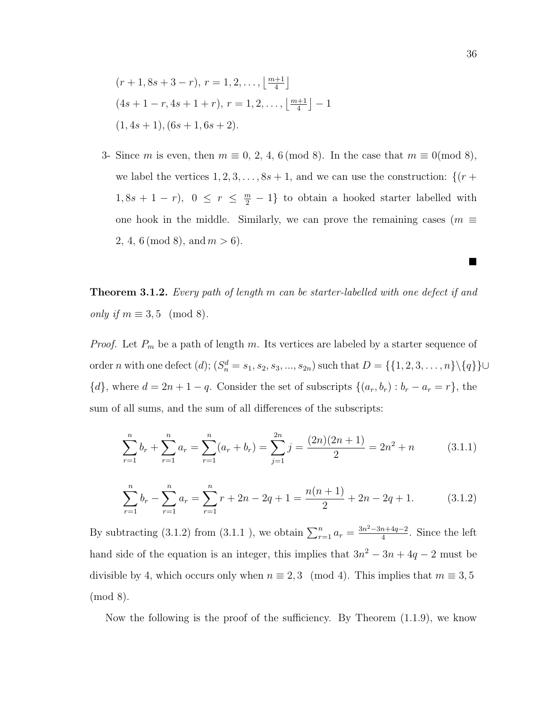$$
(r+1, 8s+3-r), r = 1, 2, ..., \lfloor \frac{m+1}{4} \rfloor
$$
  
\n $(4s+1-r, 4s+1+r), r = 1, 2, ..., \lfloor \frac{m+1}{4} \rfloor - 1$   
\n $(1, 4s+1), (6s+1, 6s+2).$ 

3- Since m is even, then  $m \equiv 0, 2, 4, 6 \pmod{8}$ . In the case that  $m \equiv 0 \pmod{8}$ , we label the vertices  $1, 2, 3, \ldots, 8s + 1$ , and we can use the construction:  $\{(r +$  $1, 8s + 1 - r$ ,  $0 \leq r \leq \frac{m}{2} - 1$  to obtain a hooked starter labelled with one hook in the middle. Similarly, we can prove the remaining cases ( $m \equiv$ 2, 4, 6 (mod 8), and  $m > 6$ ).

Theorem 3.1.2. Every path of length m can be starter-labelled with one defect if and only if  $m \equiv 3, 5 \pmod{8}$ .

*Proof.* Let  $P_m$  be a path of length m. Its vertices are labeled by a starter sequence of order *n* with one defect  $(d)$ ;  $(S_n^d = s_1, s_2, s_3, ..., s_{2n})$  such that  $D = \{\{1, 2, 3, ..., n\} \setminus \{q\}\}$  ${d}$ , where  $d = 2n + 1 - q$ . Consider the set of subscripts  ${(a_r, b_r) : b_r - a_r = r}$ , the sum of all sums, and the sum of all differences of the subscripts:

$$
\sum_{r=1}^{n} b_r + \sum_{r=1}^{n} a_r = \sum_{r=1}^{n} (a_r + b_r) = \sum_{j=1}^{2n} j = \frac{(2n)(2n+1)}{2} = 2n^2 + n \tag{3.1.1}
$$

$$
\sum_{r=1}^{n} b_r - \sum_{r=1}^{n} a_r = \sum_{r=1}^{n} r + 2n - 2q + 1 = \frac{n(n+1)}{2} + 2n - 2q + 1.
$$
 (3.1.2)

By subtracting (3.1.2) from (3.1.1), we obtain  $\sum_{r=1}^{n} a_r = \frac{3n^2 - 3n + 4q - 2}{4}$  $\frac{n+4q-2}{4}$ . Since the left hand side of the equation is an integer, this implies that  $3n^2 - 3n + 4q - 2$  must be divisible by 4, which occurs only when  $n \equiv 2,3 \pmod{4}$ . This implies that  $m \equiv 3,5$ (mod 8).

Now the following is the proof of the sufficiency. By Theorem (1.1.9), we know

 $\blacksquare$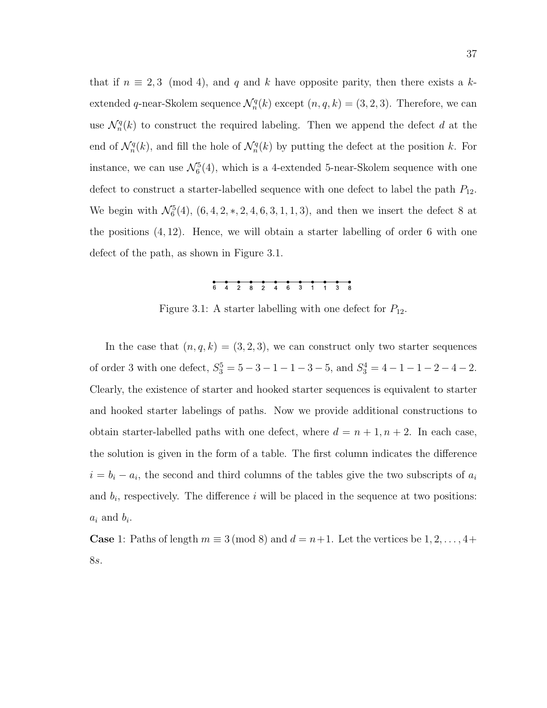that if  $n \equiv 2,3 \pmod{4}$ , and q and k have opposite parity, then there exists a kextended q-near-Skolem sequence  $\mathcal{N}_n^q(k)$  except  $(n, q, k) = (3, 2, 3)$ . Therefore, we can use  $\mathcal{N}_n^q(k)$  to construct the required labeling. Then we append the defect d at the end of  $\mathcal{N}_n^q(k)$ , and fill the hole of  $\mathcal{N}_n^q(k)$  by putting the defect at the position k. For instance, we can use  $\mathcal{N}_6^5(4)$ , which is a 4-extended 5-near-Skolem sequence with one defect to construct a starter-labelled sequence with one defect to label the path  $P_{12}$ . We begin with  $\mathcal{N}_6^5(4)$ ,  $(6, 4, 2, *, 2, 4, 6, 3, 1, 1, 3)$ , and then we insert the defect 8 at the positions (4, 12). Hence, we will obtain a starter labelling of order 6 with one defect of the path, as shown in Figure 3.1.

Figure 3.1: A starter labelling with one defect for  $P_{12}$ .

In the case that  $(n, q, k) = (3, 2, 3)$ , we can construct only two starter sequences of order 3 with one defect,  $S_3^5 = 5 - 3 - 1 - 1 - 3 - 5$ , and  $S_3^4 = 4 - 1 - 1 - 2 - 4 - 2$ . Clearly, the existence of starter and hooked starter sequences is equivalent to starter and hooked starter labelings of paths. Now we provide additional constructions to obtain starter-labelled paths with one defect, where  $d = n + 1, n + 2$ . In each case, the solution is given in the form of a table. The first column indicates the difference  $i = b_i - a_i$ , the second and third columns of the tables give the two subscripts of  $a_i$ and  $b_i$ , respectively. The difference i will be placed in the sequence at two positions:  $a_i$  and  $b_i$ .

**Case** 1: Paths of length  $m \equiv 3 \pmod{8}$  and  $d = n+1$ . Let the vertices be  $1, 2, ..., 4+$ 8s.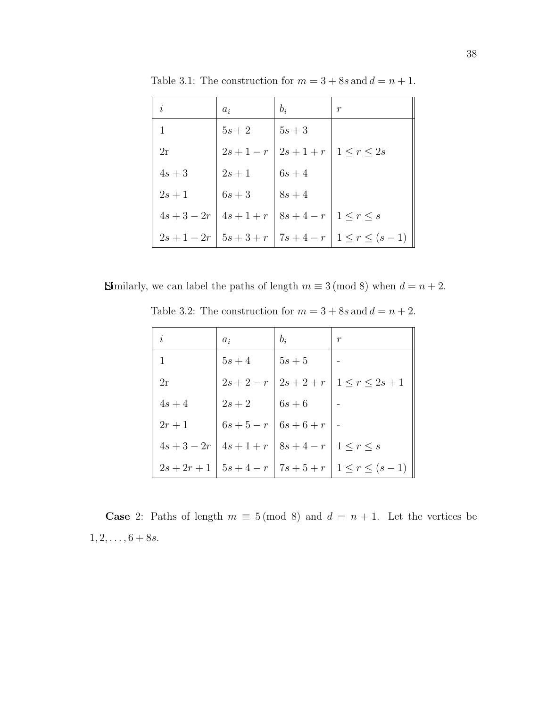| i             | $a_i$               | $b_i$                                    | $\mathcal{r}$                                           |
|---------------|---------------------|------------------------------------------|---------------------------------------------------------|
|               | $5s+2$              | $\mid 5s+3$                              |                                                         |
| 2r            |                     | $2s+1-r$   $2s+1+r$   $1 \leq r \leq 2s$ |                                                         |
| $4s+3$        | $\left 2s+1\right $ | $6s+4$                                   |                                                         |
| $2s + 1$      | $6s+3$              | $8s+4$                                   |                                                         |
| $4s + 3 - 2r$ |                     | $4s+1+r$   $8s+4-r$   $1 \leq r \leq s$  |                                                         |
|               |                     |                                          | $2s+1-2r$   $5s+3+r$   $7s+4-r$   $1 \leq r \leq (s-1)$ |

Table 3.1: The construction for  $m = 3 + 8s$  and  $d = n + 1$ .

Similarly, we can label the paths of length  $m \equiv 3 \pmod{8}$  when  $d = n + 2$ .

Table 3.2: The construction for  $m = 3 + 8s$  and  $d = n + 2$ .

| $\dot{i}$        | $a_i$               | $b_i$                                   | $\,r$                                                                                             |
|------------------|---------------------|-----------------------------------------|---------------------------------------------------------------------------------------------------|
|                  | $5s+4$              | $5s+5$                                  |                                                                                                   |
| 2r               |                     |                                         | $2s+2-r$   $2s+2+r$   $1 \leq r \leq 2s+1$                                                        |
| $4s+4$           | $2s+2$              | $6s+6$                                  |                                                                                                   |
| $\parallel 2r+1$ | $6s+5-r$   $6s+6+r$ |                                         |                                                                                                   |
| $4s + 3 - 2r$    |                     | $4s+1+r$   $8s+4-r$   $1 \leq r \leq s$ |                                                                                                   |
|                  |                     |                                         | $\parallel 2s + 2r + 1 \parallel 5s + 4 - r \parallel 7s + 5 + r \parallel 1 \leq r \leq (s - 1)$ |

**Case** 2: Paths of length  $m \equiv 5 \pmod{8}$  and  $d = n + 1$ . Let the vertices be  $1, 2, \ldots, 6+8s.$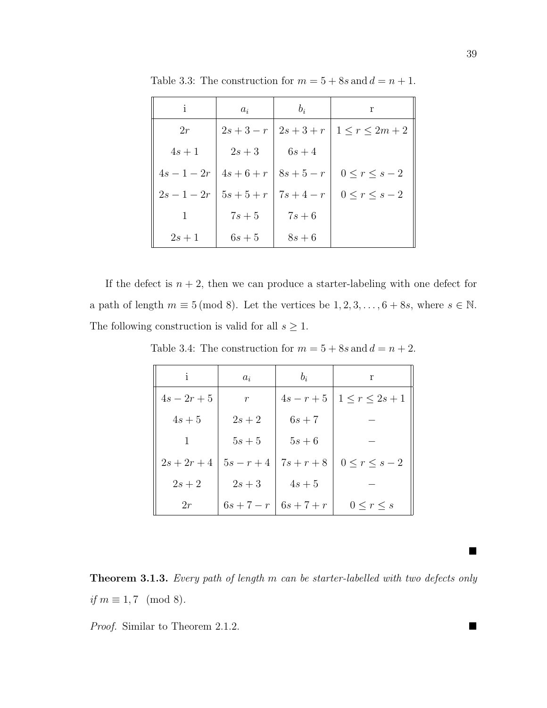| $\mathbf{i}$  | $a_i$               | $b_i$        | r                                          |
|---------------|---------------------|--------------|--------------------------------------------|
| 2r            |                     |              | $2s+3-r$   $2s+3+r$   $1 \leq r \leq 2m+2$ |
| $4s+1$        | $2s+3$              | $6s+4$       |                                            |
| $4s - 1 - 2r$ | $4s+6+r$   $8s+5-r$ |              | $0 \leq r \leq s-2$                        |
| $2s - 1 - 2r$ | $5s + 5 + r$        | $7s + 4 - r$ | $0 \leq r \leq s-2$                        |
|               | $7s+5$              | $7s+6$       |                                            |
| $2s+1$        | $6s+5$              | $8s+6$       |                                            |

Table 3.3: The construction for  $m = 5 + 8s$  and  $d = n + 1$ .

If the defect is  $n + 2$ , then we can produce a starter-labeling with one defect for a path of length  $m \equiv 5 \pmod{8}$ . Let the vertices be  $1, 2, 3, \ldots, 6 + 8s$ , where  $s \in \mathbb{N}$ . The following construction is valid for all  $s \geq 1$ .

Table 3.4: The construction for  $m = 5 + 8s$  and  $d = n + 2$ .

| $\mathbf{1}$  | $a_i$        | $b_i$        | r                   |
|---------------|--------------|--------------|---------------------|
| $4s - 2r + 5$ | $r_{\rm}$    | $4s - r + 5$ | $1\leq r\leq 2s+1$  |
| $4s+5$        | $2s+2$       | $6s+7$       |                     |
|               | $5s+5$       | $5s+6$       |                     |
| $2s + 2r + 4$ | $5s - r + 4$ | $7s + r + 8$ | $0 \leq r \leq s-2$ |
| $2s+2$        | $2s+3$       | $4s+5$       |                     |
| 2r            | $6s + 7 - r$ | $6s + 7 + r$ | $0 \leq r \leq s$   |

Theorem 3.1.3. Every path of length m can be starter-labelled with two defects only if  $m \equiv 1, 7 \pmod{8}$ .

Proof. Similar to Theorem 2.1.2.

■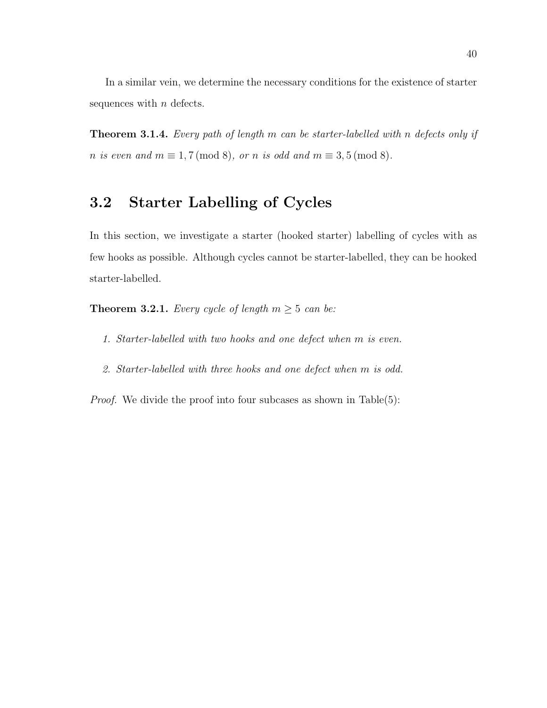In a similar vein, we determine the necessary conditions for the existence of starter sequences with  $n$  defects.

**Theorem 3.1.4.** Every path of length m can be starter-labelled with n defects only if n is even and  $m \equiv 1, 7 \pmod{8}$ , or n is odd and  $m \equiv 3, 5 \pmod{8}$ .

# 3.2 Starter Labelling of Cycles

In this section, we investigate a starter (hooked starter) labelling of cycles with as few hooks as possible. Although cycles cannot be starter-labelled, they can be hooked starter-labelled.

**Theorem 3.2.1.** Every cycle of length  $m \geq 5$  can be:

- 1. Starter-labelled with two hooks and one defect when m is even.
- 2. Starter-labelled with three hooks and one defect when m is odd.

*Proof.* We divide the proof into four subcases as shown in Table(5):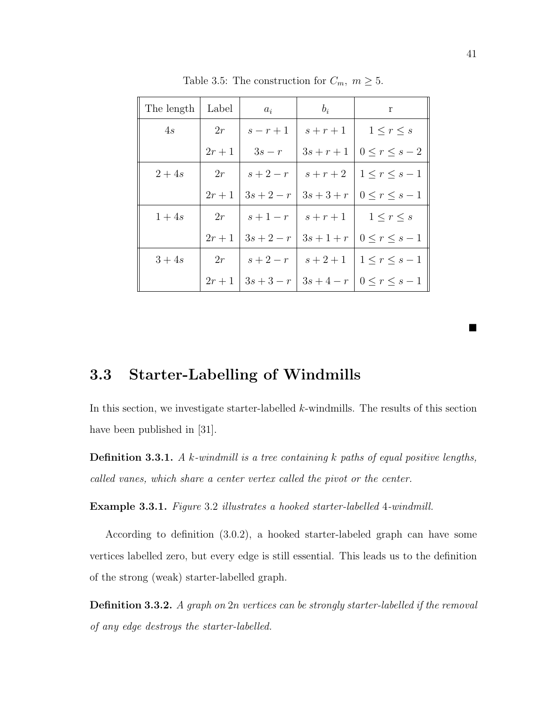| The length | Label  | $a_i$        | $b_i$        | r                   |
|------------|--------|--------------|--------------|---------------------|
| 4s         | 2r     | $s-r+1$      | $s+r+1$      | $1 \leq r \leq s$   |
|            | $2r+1$ | $3s-r$       | $3s + r + 1$ | $0 \leq r \leq s-2$ |
| $2+4s$     | 2r     | $s+2-r$      | $s+r+2$      | $1\leq r\leq s-1$   |
|            | $2r+1$ | $3s + 2 - r$ | $3s + 3 + r$ | $0 \leq r \leq s-1$ |
| $1+4s$     | 2r     | $s+1-r$      | $s+r+1$      | $1\leq r\leq s$     |
|            | $2r+1$ | $3s + 2 - r$ | $3s + 1 + r$ | $0 \leq r \leq s-1$ |
| $3+4s$     | 2r     | $s+2-r$      | $s + 2 + 1$  | $1\leq r\leq s-1$   |
|            | $2r+1$ | $3s + 3 - r$ | $3s + 4 - r$ | $0 \leq r \leq s-1$ |

Table 3.5: The construction for  $C_m$ ,  $m \geq 5$ .

# 3.3 Starter-Labelling of Windmills

In this section, we investigate starter-labelled k-windmills. The results of this section have been published in [31].

**Definition 3.3.1.** A k-windmill is a tree containing k paths of equal positive lengths, called vanes, which share a center vertex called the pivot or the center.

Example 3.3.1. Figure 3.2 illustrates a hooked starter-labelled 4-windmill.

According to definition (3.0.2), a hooked starter-labeled graph can have some vertices labelled zero, but every edge is still essential. This leads us to the definition of the strong (weak) starter-labelled graph.

**Definition 3.3.2.** A graph on 2n vertices can be strongly starter-labelled if the removal of any edge destroys the starter-labelled.

 $\blacksquare$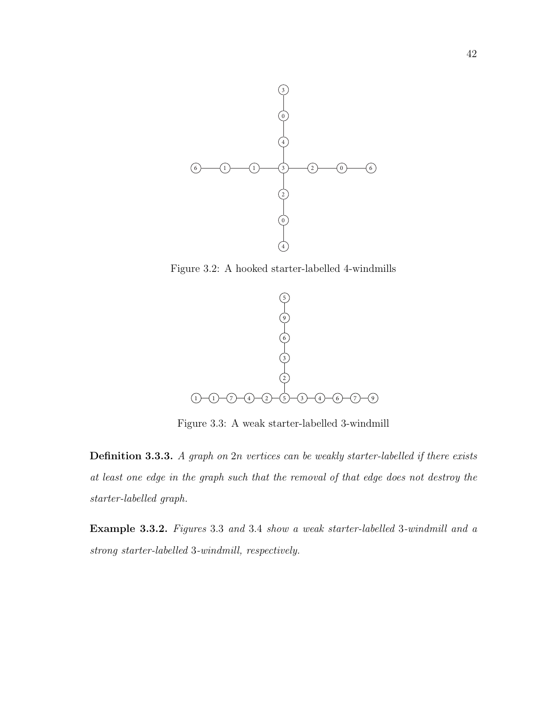

Figure 3.2: A hooked starter-labelled 4-windmills.  $\mathcal{S}_{\mathcal{A}}$ 



Figure 3.3: A weak starter-labelled 3-windmill

**Definition 3.3.3.** A graph on 2n vertices can be weakly starter-labelled if there exists is a graph such that the removal of that edge does not destroy the  $\sim$   $\sim$   $\sim$ where  $\mathcal{L}_{\text{max}}$  $\cos$  not acsitog the According to Definition 2, a hooked starter-labelled at least one edge in the graph such that the removal of that edge does not destroy the  $\mathcal{L}_{\mathbf{z}}$  ,  $\mathcal{L}_{\mathbf{z}}$  ,  $\mathcal{L}_{\mathbf{z}}$  ,  $\mathcal{L}_{\mathbf{z}}$  ,  $\mathcal{L}_{\mathbf{z}}$  ,  $\mathcal{L}_{\mathbf{z}}$  ,  $\mathcal{L}_{\mathbf{z}}$  ,  $\mathcal{L}_{\mathbf{z}}$  ,  $\mathcal{L}_{\mathbf{z}}$  ,  $\mathcal{L}_{\mathbf{z}}$  ,  $\mathcal{L}_{\mathbf{z}}$  ,  $\mathcal{L}_{\mathbf{z}}$  ,  $\mathcal{L}_{\mathbf{z}}$  , obvious degeneracy condition for a starter-label (a hooked a hooked (a hooked a hooked a hooked a hooked a hooked a hooked a hooked a hooked a hooked a hooked a hooked a hooked a hooked a hooked a hooked a hooked a hooked starter-labelled graph.

 $\Omega$  even d mill reconcatively *strong starter-labelled* 3-windmill, respectively.  $\emph{uses 3.3 and 3.4 show a weak starter-labelled 3-windmill and a}$ **Example 3.3.2.** Figures 3.3 and 3.4 show a weak starter-labelled 3-windmill and a  $\mathcal{L}$  at least one edge in the graph such that  $\mathcal{L}$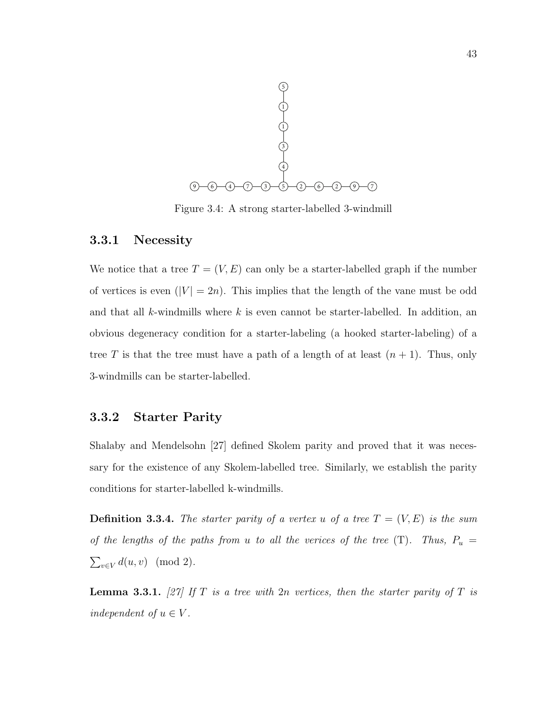

Figure 3.4: A strong starter-labelled 3-windmill

#### $\overline{L}$ 3.3.1 Necessity

We notice that a tree  $T = (V, E)$  can only be a starter-labelled graph if the number Table 2 of vertices is even  $(|V| = 2n)$ . This implies that the length of the vane must be odd and that all k-windmills where k is even cannot be starter-labelled. In addition, an  $\mathcal{O}(\mathcal{O}_\mathcal{A})$  and  $\mathcal{O}(\mathcal{O}_\mathcal{A})$  and  $\mathcal{O}(\mathcal{O}_\mathcal{A})$  and  $\mathcal{O}(\mathcal{O}_\mathcal{A})$ obvious degeneracy condition for a starter-labeling (a hooked starter-labeling) of a tree T is that the tree must have a path of a length of at least  $(n + 1)$ . Thus, only  $\overline{\mathcal{D}}$ 3-windmills can be starter-labelled.

# **3.3.2** Starter Parity

 $A = \frac{1}{2}$ sary for the existence of any Skolem-labelled tree. Similarly, w  $\mathcal{L} = \mathcal{L} \mathcal{L}$  that a tree only be starter-labelled if  $\mathcal{L} = \mathcal{L} \mathcal{L}$ Shalaby and Mendelsohn [27] defined Skolem parity and proved that it was necessary for the existence of any Skolem-labelled tree. Similarly, we establish the parity starter-label) of a tree is that the tree must have a path of conditions for starter-labelled k-windmills.

 $\mathbf{R} \cdot \mathbf{C}$  if any edge destroys the starter of any edge destroys the starter of any edge destroys the starter of any edge destroy of any edge destroy of any edge destroy of any edge destroys the starter of any edge *Definition 5.* A general behavior of 1  $\mathcal{L}$  is at least one edge in the graph such that  $\mathcal{L}$  $\sum_{v\in V} d(u, v) \pmod{2}.$ **Definition 3.3.4.** The starter parity of a vertex u of a tree  $T = (V, E)$  is the sum paths from u to all the verices of the  $tr$ of the lengths of the paths from u to all the verices of the tree (T). Thus,  $P_u =$ *Definition 8.* The starter particle particle starter particle started by  $\frac{1}{2}$ 

> $\overline{v}$ **Lemma 9** (Mendelsohn and Shalaby [13]). *If is a tree with* **Lemma 3.3.1.** [27] If T is a tree with 2n vertices, then the starter parity of T is independent of  $u \in V$ .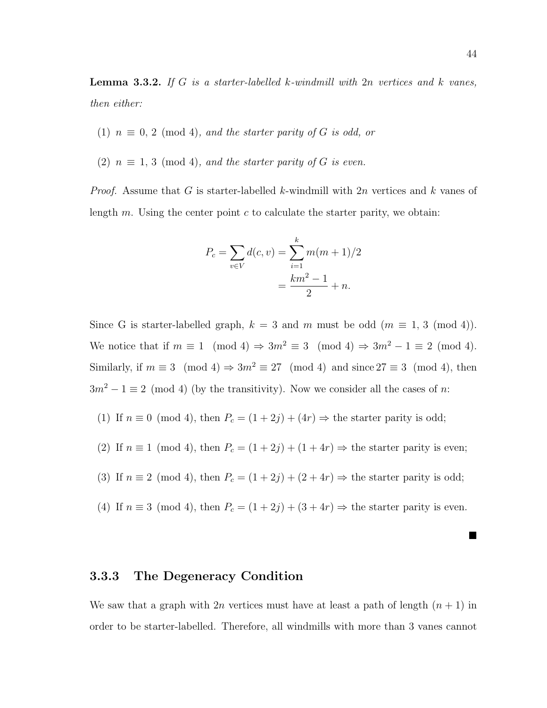**Lemma 3.3.2.** If G is a starter-labelled k-windmill with  $2n$  vertices and k vanes, then either:

- (1)  $n \equiv 0, 2 \pmod{4}$ , and the starter parity of G is odd, or
- (2)  $n \equiv 1, 3 \pmod{4}$ , and the starter parity of G is even.

*Proof.* Assume that G is starter-labelled k-windmill with  $2n$  vertices and k vanes of length  $m$ . Using the center point  $c$  to calculate the starter parity, we obtain:

$$
P_c = \sum_{v \in V} d(c, v) = \sum_{i=1}^{k} m(m+1)/2
$$

$$
= \frac{km^2 - 1}{2} + n.
$$

Since G is starter-labelled graph,  $k = 3$  and m must be odd  $(m \equiv 1, 3 \pmod{4})$ . We notice that if  $m \equiv 1 \pmod{4} \Rightarrow 3m^2 \equiv 3 \pmod{4} \Rightarrow 3m^2 - 1 \equiv 2 \pmod{4}$ . Similarly, if  $m \equiv 3 \pmod{4} \Rightarrow 3m^2 \equiv 27 \pmod{4}$  and since  $27 \equiv 3 \pmod{4}$ , then  $3m^2 - 1 \equiv 2 \pmod{4}$  (by the transitivity). Now we consider all the cases of n:

- (1) If  $n \equiv 0 \pmod{4}$ , then  $P_c = (1 + 2j) + (4r) \Rightarrow$  the starter parity is odd;
- (2) If  $n \equiv 1 \pmod{4}$ , then  $P_c = (1 + 2j) + (1 + 4r) \Rightarrow$  the starter parity is even;

(3) If 
$$
n \equiv 2 \pmod{4}
$$
, then  $P_c = (1 + 2j) + (2 + 4r) \Rightarrow$  the starter parity is odd;

(4) If  $n \equiv 3 \pmod{4}$ , then  $P_c = (1 + 2j) + (3 + 4r) \Rightarrow$  the starter parity is even.

#### 3.3.3 The Degeneracy Condition

We saw that a graph with  $2n$  vertices must have at least a path of length  $(n + 1)$  in order to be starter-labelled. Therefore, all windmills with more than 3 vanes cannot

■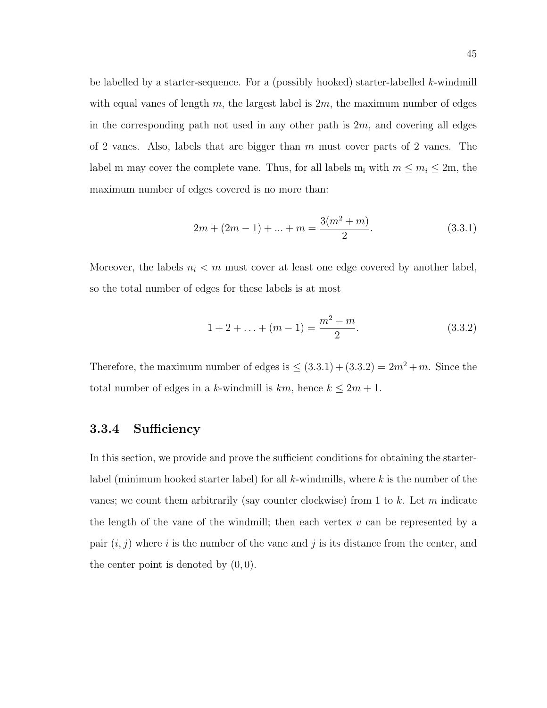be labelled by a starter-sequence. For a (possibly hooked) starter-labelled k-windmill with equal vanes of length m, the largest label is  $2m$ , the maximum number of edges in the corresponding path not used in any other path is  $2m$ , and covering all edges of 2 vanes. Also, labels that are bigger than  $m$  must cover parts of 2 vanes. The label m may cover the complete vane. Thus, for all labels  $m_i$  with  $m \le m_i \le 2m$ , the maximum number of edges covered is no more than:

$$
2m + (2m - 1) + \dots + m = \frac{3(m^2 + m)}{2}.
$$
\n(3.3.1)

Moreover, the labels  $n_i < m$  must cover at least one edge covered by another label, so the total number of edges for these labels is at most

$$
1 + 2 + \ldots + (m - 1) = \frac{m^2 - m}{2}.
$$
 (3.3.2)

Therefore, the maximum number of edges is  $\leq (3.3.1) + (3.3.2) = 2m^2 + m$ . Since the total number of edges in a k-windmill is  $km$ , hence  $k \leq 2m + 1$ .

#### 3.3.4 Sufficiency

In this section, we provide and prove the sufficient conditions for obtaining the starterlabel (minimum hooked starter label) for all  $k$ -windmills, where  $k$  is the number of the vanes; we count them arbitrarily (say counter clockwise) from 1 to  $k$ . Let m indicate the length of the vane of the windmill; then each vertex  $v$  can be represented by a pair  $(i, j)$  where i is the number of the vane and j is its distance from the center, and the center point is denoted by  $(0, 0)$ .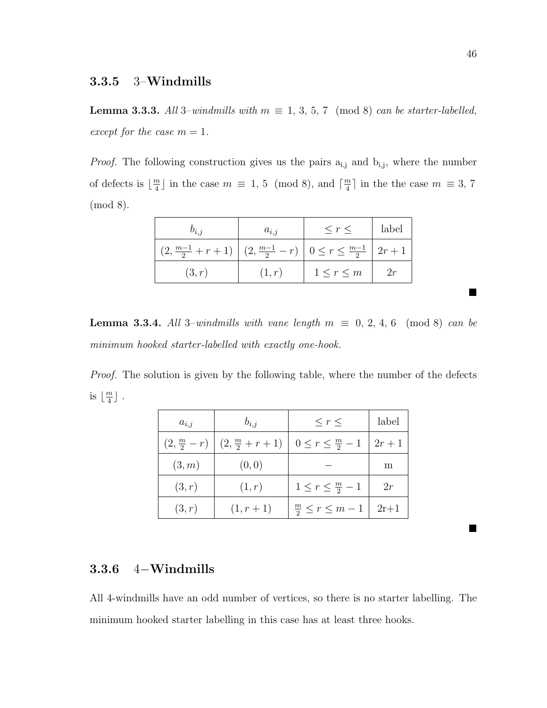#### 3.3.5 3–Windmills

**Lemma 3.3.3.** All 3–windmills with  $m \equiv 1, 3, 5, 7 \pmod{8}$  can be starter-labelled, except for the case  $m = 1$ .

*Proof.* The following construction gives us the pairs  $a_{i,j}$  and  $b_{i,j}$ , where the number of defects is  $\left| \frac{m}{4} \right|$  $\frac{m}{4}$  in the case  $m \equiv 1, 5 \pmod{8}$ , and  $\lceil \frac{m}{4} \rceil$  $\frac{m}{4}$  in the the case  $m \equiv 3, 7$ (mod 8).

| $v_{i,i}$                                                                            | $a_{i,i}$ | $\leq r \leq$     | label |
|--------------------------------------------------------------------------------------|-----------|-------------------|-------|
| $(2, \frac{m-1}{2}+r+1)$ $(2, \frac{m-1}{2}-r)$ $0 \leq r \leq \frac{m-1}{2}$ $2r+1$ |           |                   |       |
| (3,r)                                                                                | (1,r)     | $1 \leq r \leq m$ | 2r    |

**Lemma 3.3.4.** All 3–windmills with vane length  $m \equiv 0, 2, 4, 6 \pmod{8}$  can be minimum hooked starter-labelled with exactly one-hook.

Proof. The solution is given by the following table, where the number of the defects is  $\left| \frac{m}{4} \right|$  $\frac{m}{4}$ ].

| $a_{i,i}$ | $b_{i,j}$                                         | $\leq r \leq$                        | label  |
|-----------|---------------------------------------------------|--------------------------------------|--------|
|           | $(2, \frac{m}{2} - r)$ $(2, \frac{m}{2} + r + 1)$ | $0\leq r\leq \frac{m}{2}-1$          | $2r+1$ |
| (3,m)     | (0, 0)                                            |                                      | m      |
| (3,r)     | (1,r)                                             | $1\leq r\leq \frac{m}{2}-1$          | 2r     |
| (3,r)     | $(1, r + 1)$                                      | $\frac{m}{2} \leq r \leq m-1$   2r+1 |        |

## 3.3.6 4−Windmills

All 4-windmills have an odd number of vertices, so there is no starter labelling. The minimum hooked starter labelling in this case has at least three hooks.

 $\blacksquare$ 

 $\blacksquare$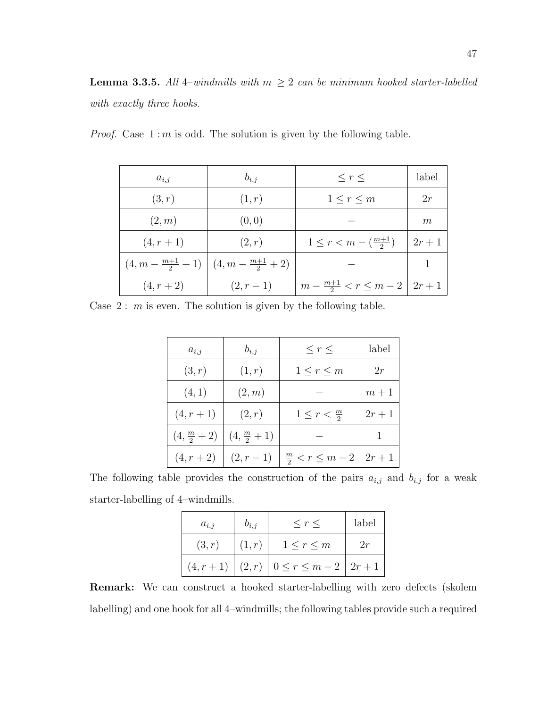| $a_{i,j}$    | $b_{i,j}$                                                 | $\leq r \leq$                                  | label  |
|--------------|-----------------------------------------------------------|------------------------------------------------|--------|
| (3,r)        | (1,r)                                                     | $1 \leq r \leq m$                              | 2r     |
| (2,m)        | (0, 0)                                                    |                                                | m      |
| $(4, r + 1)$ | (2,r)                                                     | $1 \leq r < m - \left(\frac{m+1}{2}\right)$    | $2r+1$ |
|              | $(4, m - \frac{m+1}{2} + 1)$ $(4, m - \frac{m+1}{2} + 2)$ |                                                |        |
| $(4, r + 2)$ | $(2, r - 1)$                                              | $m - \frac{m+1}{2} < r \leq m - 2 \mid 2r + 1$ |        |

*Proof.* Case  $1 : m$  is odd. The solution is given by the following table.

Case  $2: m$  is even. The solution is given by the following table.

| $a_{i,i}$              | $b_{i,j}$              | $\leq r \leq$                                | label  |
|------------------------|------------------------|----------------------------------------------|--------|
| (3,r)                  | (1,r)                  | $1 \leq r \leq m$                            | 2r     |
| (4,1)                  | (2,m)                  |                                              | $m+1$  |
| $(4, r + 1)$           | (2,r)                  | $1\leq r<\frac{m}{2}$                        | $2r+1$ |
| $(4, \frac{m}{2} + 2)$ | $(4, \frac{m}{2} + 1)$ |                                              |        |
| $(4, r + 2)$           |                        | $(2, r-1)$ $\frac{m}{2} < r \leq m-2$ $2r+1$ |        |

The following table provides the construction of the pairs  $a_{i,j}$  and  $b_{i,j}$  for a weak starter-labelling of 4–windmills.

| $a_{i,j}$ | $b_{i,j}$          | $\langle r \rangle$                                | label |
|-----------|--------------------|----------------------------------------------------|-------|
| (3,r)     | $\mid$ $(1,r)\mid$ | $1 \leq r \leq m$                                  | 2r    |
|           |                    | $(4, r + 1)   (2, r)   0 \le r \le m - 2   2r + 1$ |       |

Remark: We can construct a hooked starter-labelling with zero defects (skolem labelling) and one hook for all 4–windmills; the following tables provide such a required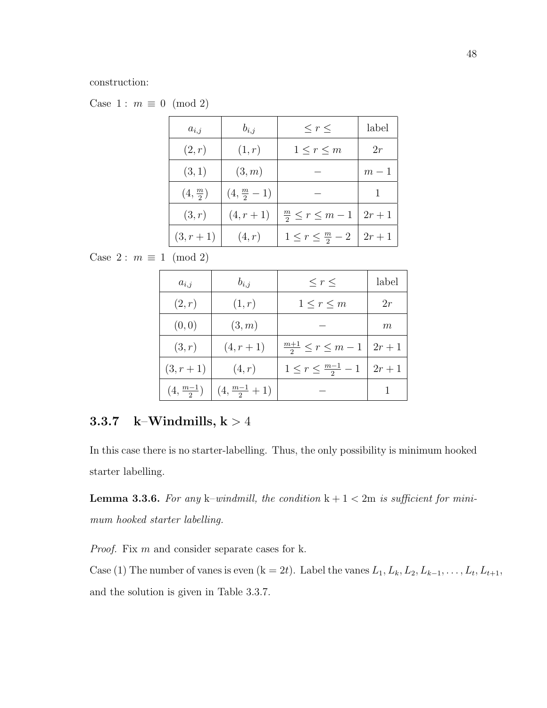construction:

Case 1 :  $m \equiv 0 \pmod{2}$ 

| $a_{i,j}$                    | $b_{i,j}$              | $\leq r \leq$                 | label  |
|------------------------------|------------------------|-------------------------------|--------|
| (2,r)                        | (1,r)                  | $1\leq r\leq m$               | 2r     |
| (3,1)                        | (3,m)                  |                               | $m-1$  |
| $\left(4,\frac{m}{2}\right)$ | $(4, \frac{m}{2} - 1)$ |                               |        |
| (3,r)                        | $(4, r + 1)$           | $\frac{m}{2} \leq r \leq m-1$ | $2r+1$ |
| $(3, r + 1)$                 | (4,r)                  | $1\leq r\leq \frac{m}{2}-2$   | $2r+1$ |

Case 2 :  $m \equiv 1 \pmod{2}$ 

| $a_{i,j}$            | $b_{i,j}$                | $\leq r \leq$                   | label  |
|----------------------|--------------------------|---------------------------------|--------|
| (2,r)                | (1,r)                    | $1 \leq r \leq m$               | 2r     |
| (0,0)                | (3,m)                    |                                 | m      |
| (3,r)                | $(4, r + 1)$             | $\frac{m+1}{2} \leq r \leq m-1$ | $2r+1$ |
| $(3, r + 1)$         | (4,r)                    | $1 \leq r \leq \frac{m-1}{2}-1$ | $2r+1$ |
| $(4, \frac{m-1}{2})$ | $(4, \frac{m-1}{2} + 1)$ |                                 |        |

## 3.3.7 k–Windmills,  $k > 4$

In this case there is no starter-labelling. Thus, the only possibility is minimum hooked starter labelling.

**Lemma 3.3.6.** For any k–windmill, the condition  $k + 1 < 2m$  is sufficient for minimum hooked starter labelling.

Proof. Fix m and consider separate cases for k.

Case (1) The number of vanes is even  $(k = 2t)$ . Label the vanes  $L_1, L_k, L_2, L_{k-1}, \ldots, L_t, L_{t+1}$ , and the solution is given in Table 3.3.7.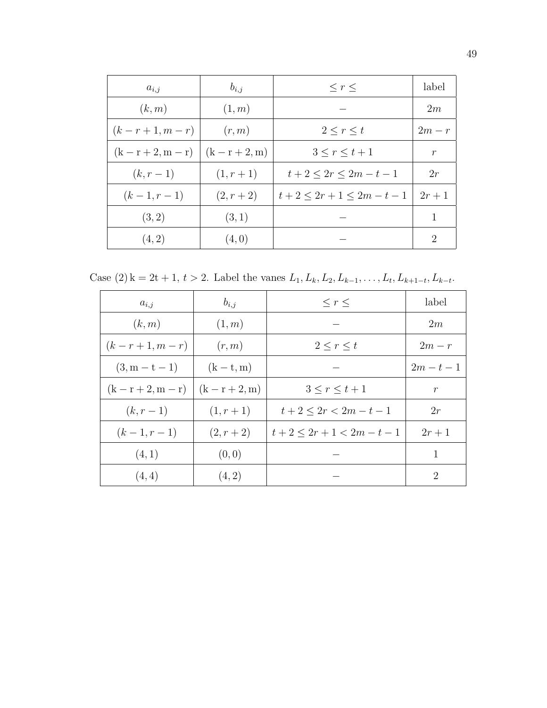| $a_{i,j}$            | $b_{i,j}$        | $\leq r \leq$               | label          |
|----------------------|------------------|-----------------------------|----------------|
| (k,m)                | (1,m)            |                             | 2m             |
| $(k - r + 1, m - r)$ | (r, m)           | $2 \leq r \leq t$           | $2m-r$         |
| $(k - r + 2, m - r)$ | $(k - r + 2, m)$ | $3 < r < t + 1$             | $\mathcal{r}$  |
| $(k, r - 1)$         | $(1, r + 1)$     | $t+2 \leq 2r \leq 2m-t-1$   | 2r             |
| $(k-1, r-1)$         | $(2, r + 2)$     | $t+2 \leq 2r+1 \leq 2m-t-1$ | $2r+1$         |
| (3,2)                | (3,1)            |                             | 1              |
| (4, 2)               | (4,0)            |                             | $\overline{2}$ |

Case (2) k = 2t + 1, t > 2. Label the vanes  $L_1, L_k, L_2, L_{k-1}, \ldots, L_t, L_{k+1-t}, L_{k-t}$ .

| $a_{i,j}$            | $b_{i,j}$        | $\leq r \leq$               | label         |
|----------------------|------------------|-----------------------------|---------------|
| (k,m)                | (1,m)            |                             | 2m            |
| $(k - r + 1, m - r)$ | (r, m)           | $2 \leq r \leq t$           | $2m-r$        |
| $(3, m - t - 1)$     | $(k-t, m)$       |                             | $2m - t - 1$  |
| $(k - r + 2, m - r)$ | $(k - r + 2, m)$ | $3 < r < t + 1$             | $\mathcal{r}$ |
| $(k, r - 1)$         | $(1, r + 1)$     | $t+2 \leq 2r < 2m-t-1$      | 2r            |
| $(k-1, r-1)$         | $(2, r + 2)$     | $t+2 \leq 2r+1 \leq 2m-t-1$ | $2r+1$        |
| (4,1)                | (0, 0)           |                             | 1             |
| (4,4)                | (4, 2)           |                             | 2             |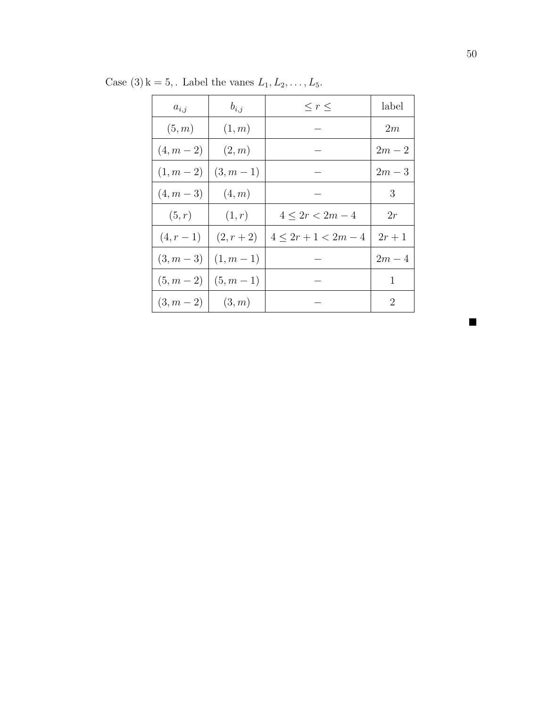| $a_{i,j}$    | $b_{i,j}$    | $\leq r \leq$           | label          |
|--------------|--------------|-------------------------|----------------|
| (5, m)       | (1,m)        |                         | 2m             |
| $(4, m - 2)$ | (2,m)        |                         | $2m-2$         |
| $(1, m - 2)$ | $(3, m - 1)$ |                         | $2m-3$         |
| $(4, m - 3)$ | (4,m)        |                         | 3              |
| (5,r)        | (1,r)        | $4 \leq 2r < 2m-4$      | 2r             |
| $(4, r - 1)$ | $(2, r + 2)$ | $4 \leq 2r+1 \leq 2m-4$ | $2r+1$         |
| $(3, m - 3)$ | $(1, m - 1)$ |                         | $2m-4$         |
| $(5, m - 2)$ | $(5, m - 1)$ |                         | 1              |
| $(3, m - 2)$ | (3,m)        |                         | $\overline{2}$ |

Case (3) k = 5, . Label the vanes  $L_1, L_2, \ldots, L_5$ .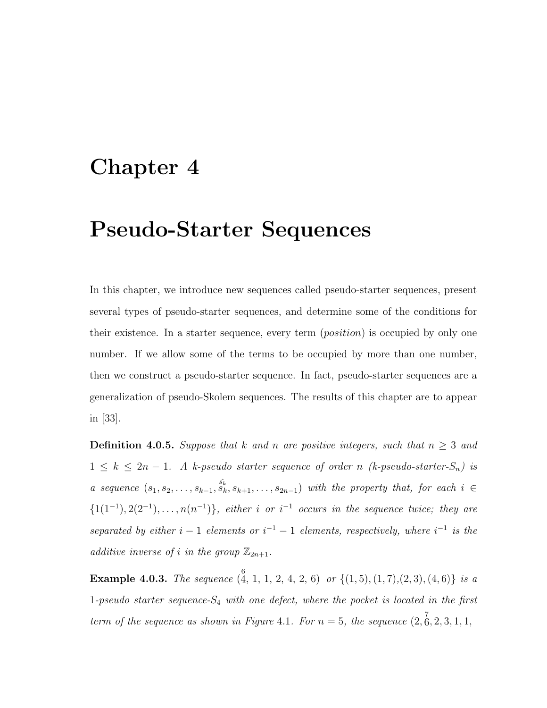# Chapter 4

# Pseudo-Starter Sequences

In this chapter, we introduce new sequences called pseudo-starter sequences, present several types of pseudo-starter sequences, and determine some of the conditions for their existence. In a starter sequence, every term (position) is occupied by only one number. If we allow some of the terms to be occupied by more than one number, then we construct a pseudo-starter sequence. In fact, pseudo-starter sequences are a generalization of pseudo-Skolem sequences. The results of this chapter are to appear in [33].

**Definition 4.0.5.** Suppose that k and n are positive integers, such that  $n \geq 3$  and  $1 \leq k \leq 2n-1$ . A k-pseudo starter sequence of order n (k-pseudo-starter- $S_n$ ) is a sequence  $(s_1, s_2, \ldots, s_{k-1}, s_k, s_{k+1}, \ldots, s_{2n-1})$  with the property that, for each  $i \in$  $\{1(1^{-1}), 2(2^{-1}), \ldots, n(n^{-1})\}$ , either i or i<sup>-1</sup> occurs in the sequence twice; they are separated by either  $i-1$  elements or  $i^{-1} - 1$  elements, respectively, where  $i^{-1}$  is the additive inverse of i in the group  $\mathbb{Z}_{2n+1}$ .

**Example 4.0.3.** The sequence  $\begin{pmatrix} 6 \ 4, 1, 1, 2, 4, 2, 6 \end{pmatrix}$  or  $\{(1,5), (1,7), (2,3), (4,6)\}$  is a 1-pseudo starter sequence- $S_4$  with one defect, where the pocket is located in the first term of the sequence as shown in Figure 4.1. For  $n = 5$ , the sequence  $(2, \overset{7}{6}, 2, 3, 1, 1, ...)$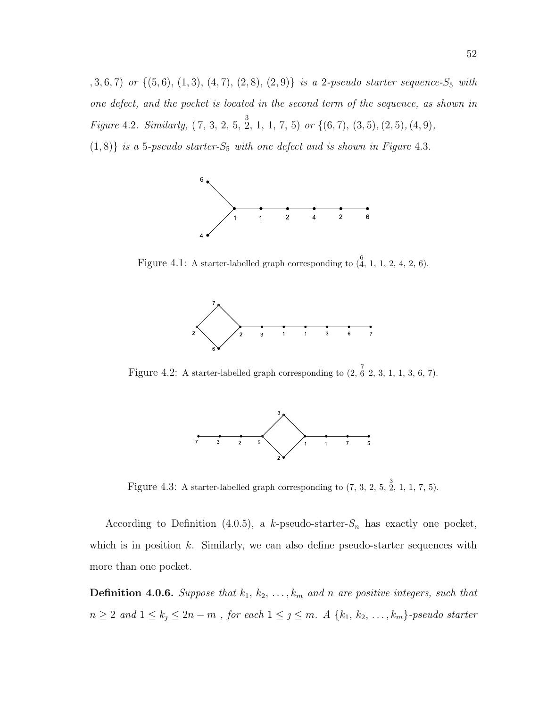$(1, 3, 6, 7)$  or  $\{(5, 6), (1, 3), (4, 7), (2, 8), (2, 9)\}$  is a 2-pseudo starter sequence- $S_5$  with one defect, and the pocket is located in the second term of the sequence, as shown in Figure 4.2. Similarly,  $(7, 3, 2, 5, \frac{3}{2}, 1, 1, 7, 5)$  or  $\{(6, 7), (3, 5), (2, 5), (4, 9),\}$ 

 $(1, 8)$  is a 5-pseudo starter- $S_5$  with one defect and is shown in Figure 4.3.



Figure 4.1: A starter-labelled graph corresponding to  $\begin{pmatrix} 6 \\ 4 \end{pmatrix}$ , 1, 1, 2, 4, 2, 6).



Figure 4.2: A starter-labelled graph corresponding to  $(2, \tilde{6}, 2, 3, 1, 1, 3, 6, 7)$ .



Figure 4.3: A starter-labelled graph corresponding to  $(7, 3, 2, 5, \frac{3}{2}, 1, 1, 7, 5)$ .

According to Definition (4.0.5), a k-pseudo-starter- $S_n$  has exactly one pocket, which is in position  $k$ . Similarly, we can also define pseudo-starter sequences with more than one pocket.

**Definition 4.0.6.** Suppose that  $k_1, k_2, \ldots, k_m$  and n are positive integers, such that  $n \geq 2$  and  $1 \leq k_j \leq 2n - m$ , for each  $1 \leq j \leq m$ . A  $\{k_1, k_2, \ldots, k_m\}$ -pseudo starter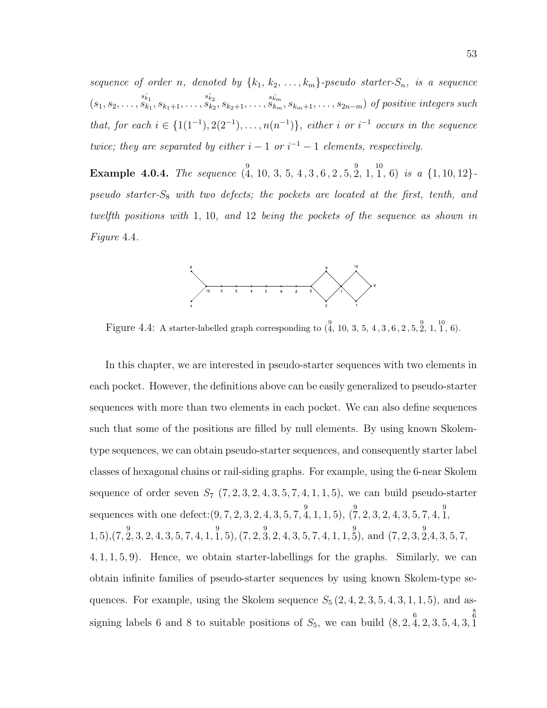sequence of order n, denoted by  ${k_1, k_2, \ldots, k_m}$ -pseudo starter- $S_n$ , is a sequence  $(s_1, s_2, \ldots, s_{k_1}, s_{k_1+1}, \ldots, s_{k_2}, s_{k_2+1}, \ldots, s_{k_m}, s_{k_m+1}, \ldots, s_{2n-m})$  of positive integers such that, for each  $i \in \{1(1^{-1}), 2(2^{-1}), \ldots, n(n^{-1})\}$ , either i or i<sup>-1</sup> occurs in the sequence twice; they are separated by either  $i-1$  or  $i^{-1}-1$  elements, respectively.

**Example 4.0.4.** The sequence  $\begin{pmatrix} 9 \\ 4 \end{pmatrix}$ , 10, 3, 5, 4, 3, 6, 2, 5, 2, 1, 1, 6) is a  $\{1, 10, 12\}$  $pseudo\ starter-S_8\ with\ two\ defects;\ the\ pockets\ are\ located\ at\ the\ first,\ tenth,\ and$ twelfth positions with 1, 10, and 12 being the pockets of the sequence as shown in Figure 4.4.



Figure 4.4: A starter-labelled graph corresponding to  $\begin{pmatrix} 9 \\ 4 \end{pmatrix}$  10, 3, 5, 4, 3, 6, 2, 5, 2, 1, 1, 6).

In this chapter, we are interested in pseudo-starter sequences with two elements in each pocket. However, the definitions above can be easily generalized to pseudo-starter sequences with more than two elements in each pocket. We can also define sequences such that some of the positions are filled by null elements. By using known Skolemtype sequences, we can obtain pseudo-starter sequences, and consequently starter label classes of hexagonal chains or rail-siding graphs. For example, using the 6-near Skolem sequence of order seven  $S_7$   $(7, 2, 3, 2, 4, 3, 5, 7, 4, 1, 1, 5)$ , we can build pseudo-starter sequences with one defect:  $(9, 7, 2, 3, 2, 4, 3, 5, 7, \stackrel{9}{4}$ , 1, 1, 5),  $(\stackrel{9}{7}, 2, 3, 2, 4, 3, 5, 7, 4, \stackrel{9}{1}$  $1, 5), (7, \overset{9}{2}, 3, 2, 4, 3, 5, 7, 4, 1, \overset{9}{1}, 5), (7, 2, \overset{9}{3}, 2, 4, 3, 5, 7, 4, 1, 1, \overset{9}{5}), \text{ and } (7, 2, 3, \overset{9}{2}, 4, 3, 5, 7,$ 4, 1, 1, 5, 9). Hence, we obtain starter-labellings for the graphs. Similarly, we can obtain infinite families of pseudo-starter sequences by using known Skolem-type sequences. For example, using the Skolem sequence  $S_5$   $(2, 4, 2, 3, 5, 4, 3, 1, 1, 5)$ , and assigning labels 6 and 8 to suitable positions of  $S_5$ , we can build  $(8, 2, \stackrel{6}{4}, 2, 3, 5, 4, 3, ...)$  $\begin{smallmatrix} 8\ 6\ 1\ \end{smallmatrix}$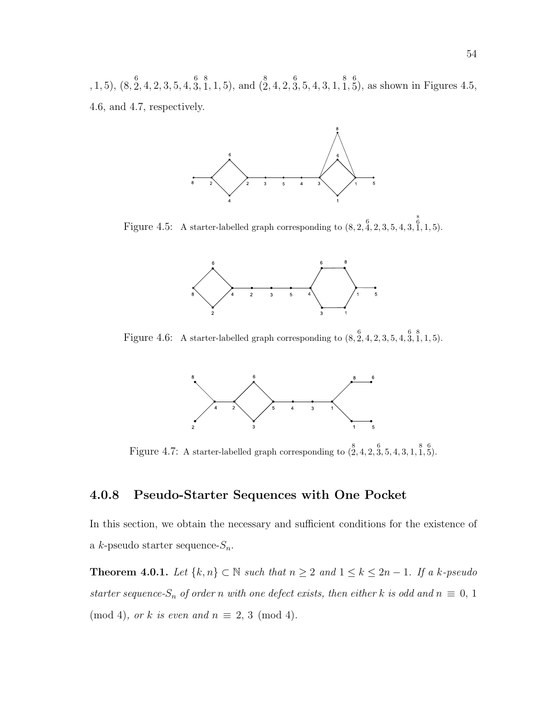, 1, 5),  $(8, \stackrel{6}{2}, 4, 2, 3, 5, 4, \stackrel{6}{3}, \stackrel{8}{1}, 1, 5)$ , and  $(\stackrel{8}{2}, 4, 2, \stackrel{6}{3}, 5, 4, 3, 1, \stackrel{8}{1}, \stackrel{6}{5})$ , as shown in Figures 4.5, 4.6, and 4.7, respectively.



Figure 4.5: A starter-labelled graph corresponding to  $(8, 2, \stackrel{6}{4}, 2, 3, 5, 4, 3, ...)$  $\stackrel{8}{1}$ , 1, 5).



Figure 4.6: A starter-labelled graph corresponding to  $(8, 2, 4, 2, 3, 5, 4, 3, 1, 1, 5)$ .



Figure 4.7: A starter-labelled graph corresponding to  $(\overset{8}{2},4,2,\overset{6}{3},5,4,3,1,\overset{8}{1},\overset{6}{5})$ .

#### 4.0.8 Pseudo-Starter Sequences with One Pocket

In this section, we obtain the necessary and sufficient conditions for the existence of a k-pseudo starter sequence- $S_n$ .

**Theorem 4.0.1.** Let  $\{k, n\}$  ⊂  $\mathbb N$  such that  $n \geq 2$  and  $1 \leq k \leq 2n - 1$ . If a k-pseudo starter sequence- $S_n$  of order n with one defect exists, then either k is odd and  $n \equiv 0, 1$ (mod 4), or k is even and  $n \equiv 2, 3 \pmod{4}$ .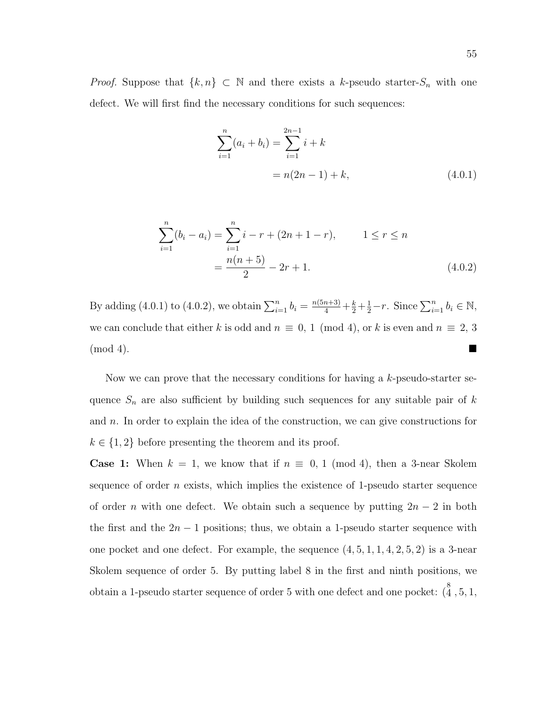*Proof.* Suppose that  $\{k, n\} \subset \mathbb{N}$  and there exists a k-pseudo starter- $S_n$  with one defect. We will first find the necessary conditions for such sequences:

$$
\sum_{i=1}^{n} (a_i + b_i) = \sum_{i=1}^{2n-1} i + k
$$
  
=  $n(2n - 1) + k$ , (4.0.1)

$$
\sum_{i=1}^{n} (b_i - a_i) = \sum_{i=1}^{n} i - r + (2n + 1 - r), \qquad 1 \le r \le n
$$

$$
= \frac{n(n+5)}{2} - 2r + 1.
$$
(4.0.2)

By adding (4.0.1) to (4.0.2), we obtain  $\sum_{i=1}^{n} b_i = \frac{n(5n+3)}{4} + \frac{k}{2} + \frac{1}{2} - r$ . Since  $\sum_{i=1}^{n} b_i \in \mathbb{N}$ , we can conclude that either k is odd and  $n \equiv 0, 1 \pmod{4}$ , or k is even and  $n \equiv 2, 3$ (mod 4).

Now we can prove that the necessary conditions for having a  $k$ -pseudo-starter sequence  $S_n$  are also sufficient by building such sequences for any suitable pair of k and  $n$ . In order to explain the idea of the construction, we can give constructions for  $k \in \{1, 2\}$  before presenting the theorem and its proof.

**Case 1:** When  $k = 1$ , we know that if  $n \equiv 0, 1 \pmod{4}$ , then a 3-near Skolem sequence of order  $n$  exists, which implies the existence of 1-pseudo starter sequence of order *n* with one defect. We obtain such a sequence by putting  $2n - 2$  in both the first and the  $2n - 1$  positions; thus, we obtain a 1-pseudo starter sequence with one pocket and one defect. For example, the sequence  $(4, 5, 1, 1, 4, 2, 5, 2)$  is a 3-near Skolem sequence of order 5. By putting label 8 in the first and ninth positions, we obtain a 1-pseudo starter sequence of order 5 with one defect and one pocket:  $\begin{pmatrix} 8 \\ 4 \end{pmatrix}$ , 5, 1,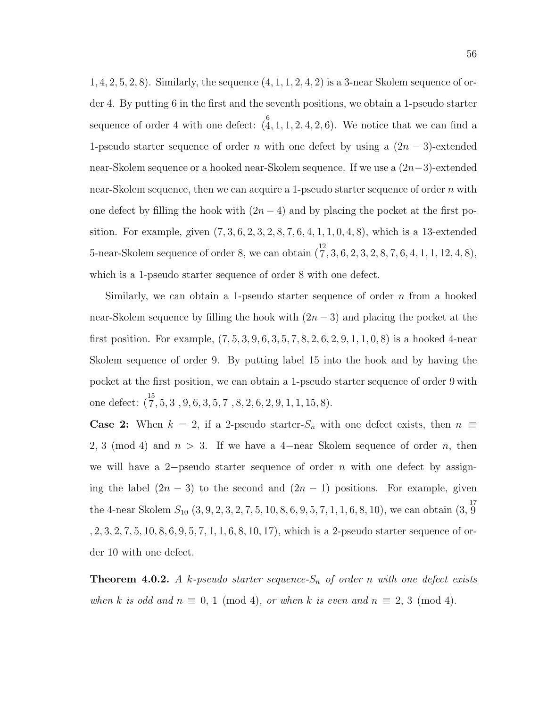$1, 4, 2, 5, 2, 8$ . Similarly, the sequence  $(4, 1, 1, 2, 4, 2)$  is a 3-near Skolem sequence of order 4. By putting 6 in the first and the seventh positions, we obtain a 1-pseudo starter sequence of order 4 with one defect:  $(4, 1, 1, 2, 4, 2, 6)$ . We notice that we can find a 1-pseudo starter sequence of order n with one defect by using a  $(2n-3)$ -extended near-Skolem sequence or a hooked near-Skolem sequence. If we use a (2n−3)-extended near-Skolem sequence, then we can acquire a 1-pseudo starter sequence of order n with one defect by filling the hook with  $(2n-4)$  and by placing the pocket at the first position. For example, given  $(7, 3, 6, 2, 3, 2, 8, 7, 6, 4, 1, 1, 0, 4, 8)$ , which is a 13-extended 5-near-Skolem sequence of order 8, we can obtain  $(\frac{12}{7}, 3, 6, 2, 3, 2, 8, 7, 6, 4, 1, 1, 12, 4, 8)$ , which is a 1-pseudo starter sequence of order 8 with one defect.

Similarly, we can obtain a 1-pseudo starter sequence of order  $n$  from a hooked near-Skolem sequence by filling the hook with  $(2n-3)$  and placing the pocket at the first position. For example, (7, 5, 3, 9, 6, 3, 5, 7, 8, 2, 6, 2, 9, 1, 1, 0, 8) is a hooked 4-near Skolem sequence of order 9. By putting label 15 into the hook and by having the pocket at the first position, we can obtain a 1-pseudo starter sequence of order 9 with one defect:  $\binom{15}{7}$ , 5, 3, 9, 6, 3, 5, 7, 8, 2, 6, 2, 9, 1, 1, 15, 8).

**Case 2:** When  $k = 2$ , if a 2-pseudo starter- $S_n$  with one defect exists, then  $n \equiv$ 2, 3 (mod 4) and  $n > 3$ . If we have a 4-near Skolem sequence of order n, then we will have a 2-pseudo starter sequence of order n with one defect by assigning the label  $(2n-3)$  to the second and  $(2n-1)$  positions. For example, given the 4-near Skolem  $S_{10}$   $(3, 9, 2, 3, 2, 7, 5, 10, 8, 6, 9, 5, 7, 1, 1, 6, 8, 10)$ , we can obtain  $(3, \frac{17}{9})$ , 2, 3, 2, 7, 5, 10, 8, 6, 9, 5, 7, 1, 1, 6, 8, 10, 17), which is a 2-pseudo starter sequence of order 10 with one defect.

**Theorem 4.0.2.** A k-pseudo starter sequence- $S_n$  of order n with one defect exists when k is odd and  $n \equiv 0, 1 \pmod{4}$ , or when k is even and  $n \equiv 2, 3 \pmod{4}$ .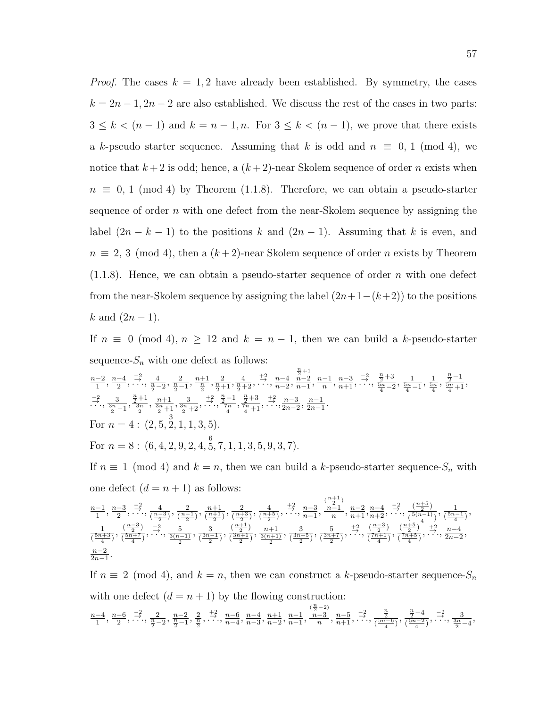*Proof.* The cases  $k = 1, 2$  have already been established. By symmetry, the cases  $k = 2n - 1, 2n - 2$  are also established. We discuss the rest of the cases in two parts:  $3 \leq k < (n-1)$  and  $k = n-1, n$ . For  $3 \leq k < (n-1)$ , we prove that there exists a k-pseudo starter sequence. Assuming that k is odd and  $n \equiv 0, 1 \pmod{4}$ , we notice that  $k+2$  is odd; hence, a  $(k+2)$ -near Skolem sequence of order n exists when  $n \equiv 0, 1 \pmod{4}$  by Theorem (1.1.8). Therefore, we can obtain a pseudo-starter sequence of order  $n$  with one defect from the near-Skolem sequence by assigning the label  $(2n - k - 1)$  to the positions k and  $(2n - 1)$ . Assuming that k is even, and  $n \equiv 2, 3 \pmod{4}$ , then a  $(k+2)$ -near Skolem sequence of order n exists by Theorem  $(1.1.8)$ . Hence, we can obtain a pseudo-starter sequence of order n with one defect from the near-Skolem sequence by assigning the label  $(2n+1-(k+2))$  to the positions  $k$  and  $(2n − 1)$ .

If  $n \equiv 0 \pmod{4}$ ,  $n \ge 12$  and  $k = n - 1$ , then we can build a k-pseudo-starter sequence- $S_n$  with one defect as follows:

$$
\frac{n-2}{1}, \frac{n-4}{2}, \frac{-2}{1}, \frac{4}{1}, \frac{2}{1}, \frac{n+1}{2}, \frac{2}{1}, \frac{4}{1}, \frac{4}{1}, \frac{2}{1}, \dots, \frac{n-4}{n-2}, \frac{n-1}{n-1}, \frac{n-3}{n}, \frac{-2}{1}, \frac{n+3}{2}, \frac{1}{1}, \frac{1}{1}, \frac{5n}{4}, \frac{n-1}{2}, \dots, \frac{3}{1}, \frac{n+1}{2}, \frac{n+1}{3}, \frac{3}{1}, \frac{n+1}{2}, \dots, \frac{3}{1}, \frac{n+1}{2}, \frac{3}{1}, \frac{3}{1}, \frac{3}{2}, \frac{3}{1}, \frac{3}{2}, \frac{3}{2}, \frac{3}{2}, \frac{3}{2}, \frac{3}{2}, \frac{3}{2}, \frac{3}{2}, \frac{3}{2}, \frac{3}{2}, \frac{3}{2}, \frac{3}{2}, \frac{3}{2}, \frac{3}{2}, \frac{3}{2}, \frac{3}{2}, \frac{3}{2}, \frac{3}{2}, \frac{3}{2}, \frac{3}{2}, \frac{3}{2}, \frac{3}{2}, \frac{3}{2}, \frac{3}{2}, \frac{3}{2}, \frac{3}{2}, \frac{3}{2}, \frac{3}{2}, \frac{3}{2}, \frac{3}{2}, \frac{3}{2}, \frac{3}{2}, \frac{3}{2}, \frac{3}{2}, \frac{3}{2}, \frac{3}{2}, \frac{3}{2}, \frac{3}{2}, \frac{3}{2}, \frac{3}{2}, \frac{3}{2}, \frac{3}{2}, \frac{3}{2}, \frac{3}{2}, \frac{3}{2}, \frac{3}{2}, \frac{3}{2}, \frac{3}{2}, \frac{3}{2}, \frac{3}{2}, \frac{3}{2}, \frac{3}{2}, \frac{3}{2}, \frac{3}{2}, \frac{3}{2}, \frac{3}{2}, \frac{3}{2}, \frac{3}{2}, \frac{3}{2}, \frac{3}{2}, \frac{3}{2}, \frac{3}{2}, \frac{3}{2}, \frac{3}{2}, \frac{3}{2}, \frac{3}{2}, \frac{3}{2}, \frac{3}{2}, \frac{3}{2}, \frac{3}{2}, \frac{3}{2}, \frac{3}{2}, \frac{3}{2}, \frac{3}{2}, \frac{3}{2}, \frac{3}{2
$$

If  $n \equiv 1 \pmod{4}$  and  $k = n$ , then we can build a k-pseudo-starter sequence- $S_n$  with one defect  $(d = n + 1)$  as follows:

$$
\frac{n-1}{1}, \frac{n-3}{2}, \frac{-2}{1}, \frac{4}{\left(\frac{n-3}{2}\right)}, \frac{2}{\left(\frac{n+1}{2}\right)}, \frac{n+1}{\left(\frac{n+3}{2}\right)}, \frac{2}{\left(\frac{n+5}{2}\right)}, \frac{4}{\left(\frac{n+5}{2}\right)}, \frac{+2}{\left(\frac{n+5}{2}\right)}, \frac{n-3}{\left(\frac{n-1}{2}\right)}, \frac{n-1}{n}, \frac{n-2}{n+1}, \frac{n-4}{n+2}, \frac{-2}{\left(\frac{n+5}{2}\right)}, \frac{\left(\frac{n+5}{2}\right)}{\left(\frac{5(n-1)}{4}\right)}, \frac{1}{\left(\frac{5n-1}{4}\right)}, \frac{\left(\frac{n-3}{2}\right)}{\left(\frac{5n+7}{4}\right)}, \frac{-2}{\left(\frac{3n-1}{2}\right)}, \frac{3}{\left(\frac{3n-1}{2}\right)}, \frac{\left(\frac{n+1}{2}\right)}{\left(\frac{3n+1}{2}\right)}, \frac{n+1}{\left(\frac{3n+5}{2}\right)}, \frac{5}{\left(\frac{3n+7}{2}\right)}, \frac{+2}{\left(\frac{7n+1}{4}\right)}, \frac{\left(\frac{n+5}{4}\right)}{\left(\frac{7n+5}{4}\right)}, \frac{+2}{\left(\frac{7n+5}{4}\right)}, \frac{n-4}{\left(\frac{7n+5}{4}\right)}, \dots, \frac{n-4}{2n-2}, \frac{n-2}{2n-1}.
$$

If  $n \equiv 2 \pmod{4}$ , and  $k = n$ , then we can construct a k-pseudo-starter sequence- $S_n$ with one defect  $(d = n + 1)$  by the flowing construction:

$$
\frac{n-4}{1}, \frac{n-6}{2}, \frac{-2}{1}, \frac{2}{1}, \frac{n-2}{2}, \frac{n-2}{\frac{n}{2}-1}, \frac{2}{\frac{n}{2}}, \frac{+2}{1}, \frac{n-6}{n-4}, \frac{n-4}{n-3}, \frac{n+1}{n-2}, \frac{n-1}{n-1}, \frac{n-3}{n}, \frac{n-5}{n+1}, \frac{-2}{1}, \frac{\frac{n}{2}}{\frac{n}{2}+1}, \frac{\frac{n}{2}-4}{\frac{5n-2}{4}}, \frac{-2}{1}, \frac{3}{1}, \frac{3}{1}, \frac{3}{1}, \frac{3}{1}, \frac{3}{1}, \frac{3}{1}, \frac{3}{1}, \frac{3}{1}, \frac{3}{1}, \frac{3}{1}, \frac{3}{1}, \frac{3}{1}, \frac{3}{1}, \frac{3}{1}, \frac{3}{1}, \frac{3}{1}, \frac{3}{1}, \frac{3}{1}, \frac{3}{1}, \frac{3}{1}, \frac{3}{1}, \frac{3}{1}, \frac{3}{1}, \frac{3}{1}, \frac{3}{1}, \frac{3}{1}, \frac{3}{1}, \frac{3}{1}, \frac{3}{1}, \frac{3}{1}, \frac{3}{1}, \frac{3}{1}, \frac{3}{1}, \frac{3}{1}, \frac{3}{1}, \frac{3}{1}, \frac{3}{1}, \frac{3}{1}, \frac{3}{1}, \frac{3}{1}, \frac{3}{1}, \frac{3}{1}, \frac{3}{1}, \frac{3}{1}, \frac{3}{1}, \frac{3}{1}, \frac{3}{1}, \frac{3}{1}, \frac{3}{1}, \frac{3}{1}, \frac{3}{1}, \frac{3}{1}, \frac{3}{1}, \frac{3}{1}, \frac{3}{1}, \frac{3}{1}, \frac{3}{1}, \frac{3}{1}, \frac{3}{1}, \frac{3}{1}, \frac{3}{1}, \frac{3}{1}, \frac{3}{1}, \frac{3}{1}, \frac{3}{1}, \frac{3}{1}, \frac{3}{1}, \frac{3}{1}, \frac{3}{1}, \frac{3}{1}, \frac{3}{1}, \frac{3}{1}, \frac{3}{1}, \frac{3}{1}, \frac{3}{1}, \frac{3}{1}, \frac{3}{1}, \frac{3}{1}, \frac{3}{1}, \frac{3}{1}, \frac{3}{1}, \frac{3}{1}, \frac{3}{1
$$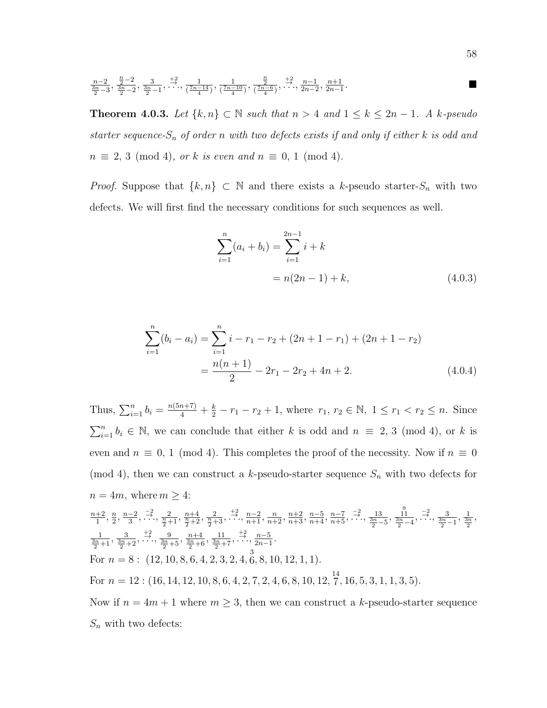$$
\frac{n-2}{\frac{3n}{2}-3}, \frac{\frac{n}{2}-2}{\frac{3n}{2}-2}, \frac{3}{\frac{3n}{2}-1}, \frac{+2}{\cdots}, \frac{1}{(\frac{7n-14}{4})}, \frac{1}{(\frac{7n-10}{4})}, \frac{\frac{n}{2}}{(\frac{7n-6}{4})}, \frac{+2}{\cdots}, \frac{n-1}{2n-2}, \frac{n+1}{2n-1}.
$$

**Theorem 4.0.3.** Let  $\{k,n\} \subset \mathbb{N}$  such that  $n > 4$  and  $1 \leq k \leq 2n - 1$ . A k-pseudo starter sequence- $S_n$  of order n with two defects exists if and only if either k is odd and  $n \equiv 2, 3 \pmod{4}$ , or k is even and  $n \equiv 0, 1 \pmod{4}$ .

*Proof.* Suppose that  $\{k, n\} \subset \mathbb{N}$  and there exists a k-pseudo starter- $S_n$  with two defects. We will first find the necessary conditions for such sequences as well.

$$
\sum_{i=1}^{n} (a_i + b_i) = \sum_{i=1}^{2n-1} i + k
$$
  
=  $n(2n - 1) + k$ , (4.0.3)

$$
\sum_{i=1}^{n} (b_i - a_i) = \sum_{i=1}^{n} i - r_1 - r_2 + (2n + 1 - r_1) + (2n + 1 - r_2)
$$

$$
= \frac{n(n+1)}{2} - 2r_1 - 2r_2 + 4n + 2.
$$
(4.0.4)

Thus,  $\sum_{i=1}^{n} b_i = \frac{n(5n+7)}{4} + \frac{k}{2} - r_1 - r_2 + 1$ , where  $r_1, r_2 \in \mathbb{N}, 1 \le r_1 < r_2 \le n$ . Since  $\sum_{i=1}^{n} b_i \in \mathbb{N}$ , we can conclude that either k is odd and  $n \equiv 2, 3 \pmod{4}$ , or k is even and  $n \equiv 0, 1 \pmod{4}$ . This completes the proof of the necessity. Now if  $n \equiv 0$ (mod 4), then we can construct a k-pseudo-starter sequence  $S_n$  with two defects for  $n = 4m$ , where  $m \geq 4$ :  $n+2$  $\frac{+2}{1}, \frac{n}{2}$  $\frac{n}{2}, \frac{n-2}{3}$  $\frac{-2}{3}, \frac{-2}{\cdot \cdot \cdot}, \frac{2}{\frac{n}{2}+1}, \frac{n+4}{\frac{n}{2}+2}, \frac{2}{\frac{n}{2}+3}, \frac{+\frac{2}{\cdot \cdot \cdot}}{\cdot \cdot \cdot}, \frac{n-2}{n+1}, \frac{n}{n+2}, \frac{n+2}{n+3}, \frac{n-5}{n+4}, \frac{n-7}{n+5}, \frac{-2}{\cdot \cdot \cdot}, \frac{13}{\frac{3n}{2}-5}, \frac{1}{\frac{3n}{2}-4}, \frac{-2}{\cdot \cdot \cdot}, \frac{3}{\frac{3n}{2}-1}, \frac{1}{\frac{3n}{2}},$ 

 $\frac{1}{3n+1}, \frac{3}{3n+2}, \frac{+2}{\cdot \cdot \cdot}, \frac{9}{3n+5}, \frac{n+4}{3n+6}, \frac{11}{3n+7}, \frac{+2}{\cdot \cdot \cdot}, \frac{n-5}{2n-1}.$ For  $n = 8: (12, 10, 8, 6, 4, 2, 3, 2, 4, \overset{3}{6}, 8, 10, 12, 1, 1).$ For  $n = 12$ :  $(16, 14, 12, 10, 8, 6, 4, 2, 7, 2, 4, 6, 8, 10, 12, \frac{14}{7}, 16, 5, 3, 1, 1, 3, 5)$ .

Now if  $n = 4m + 1$  where  $m \geq 3$ , then we can construct a k-pseudo-starter sequence  $S_n$  with two defects: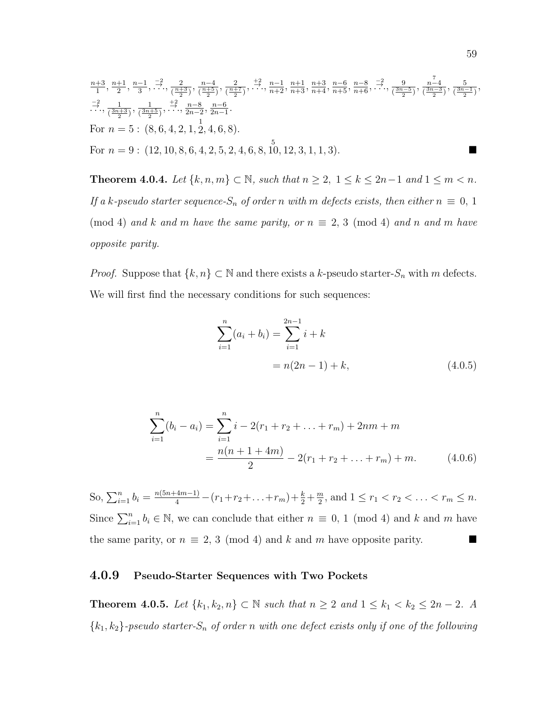$$
\begin{array}{l}\n\frac{n+3}{1}, \frac{n+1}{2}, \frac{n-1}{3}, \frac{-2}{\cdot}, \frac{2}{\cdot(\frac{n+3}{2})}, \frac{n-4}{(\frac{n+5}{2})}, \frac{2}{\cdot(\frac{n+7}{2})}, \dots, \frac{n+1}{n+2}, \frac{n+1}{n+3}, \frac{n+6}{n+4}, \frac{n-6}{n+5}, \frac{-2}{\cdot}, \frac{9}{\cdot(\frac{3n-5}{2})}, \frac{n-4}{(\frac{3n-3}{2})}, \frac{5}{(\frac{3n-1}{2})}, \\
\frac{-2}{\cdot}, \frac{1}{(\frac{3n+3}{2})}, \frac{1}{(\frac{3n+5}{2})}, \dots, \frac{n-8}{2n-2}, \frac{n-6}{2n-1}.\n\end{array}
$$
\nFor  $n = 5$ : (8, 6, 4, 2, 1, 2, 4, 6, 8).  
\nFor  $n = 9$ : (12, 10, 8, 6, 4, 2, 5, 2, 4, 6, 8, 10, 12, 3, 1, 1, 3).

**Theorem 4.0.4.** Let  $\{k, n, m\}$  ⊂ N, such that  $n \geq 2$ ,  $1 \leq k \leq 2n-1$  and  $1 \leq m < n$ . If a k-pseudo starter sequence- $S_n$  of order n with m defects exists, then either  $n \equiv 0, 1$ (mod 4) and k and m have the same parity, or  $n \equiv 2, 3 \pmod{4}$  and n and m have opposite parity.

*Proof.* Suppose that  $\{k, n\} \subset \mathbb{N}$  and there exists a k-pseudo starter- $S_n$  with m defects. We will first find the necessary conditions for such sequences:

$$
\sum_{i=1}^{n} (a_i + b_i) = \sum_{i=1}^{2n-1} i + k
$$
  
=  $n(2n - 1) + k$ , (4.0.5)

$$
\sum_{i=1}^{n} (b_i - a_i) = \sum_{i=1}^{n} i - 2(r_1 + r_2 + \dots + r_m) + 2nm + m
$$
  
= 
$$
\frac{n(n + 1 + 4m)}{2} - 2(r_1 + r_2 + \dots + r_m) + m.
$$
 (4.0.6)

So,  $\sum_{i=1}^{n} b_i = \frac{n(5n+4m-1)}{4} - (r_1+r_2+\ldots+r_m) + \frac{k}{2} + \frac{m}{2}$  $\frac{m}{2}$ , and  $1 \le r_1 < r_2 < \ldots < r_m \le n$ . Since  $\sum_{i=1}^{n} b_i \in \mathbb{N}$ , we can conclude that either  $n \equiv 0, 1 \pmod{4}$  and k and m have the same parity, or  $n \equiv 2, 3 \pmod{4}$  and k and m have opposite parity.

#### 4.0.9 Pseudo-Starter Sequences with Two Pockets

**Theorem 4.0.5.** Let  $\{k_1, k_2, n\}$  ⊂ N such that  $n \ge 2$  and  $1 \le k_1 < k_2 \le 2n - 2$ . A  ${k_1, k_2}$ -pseudo starter- $S_n$  of order n with one defect exists only if one of the following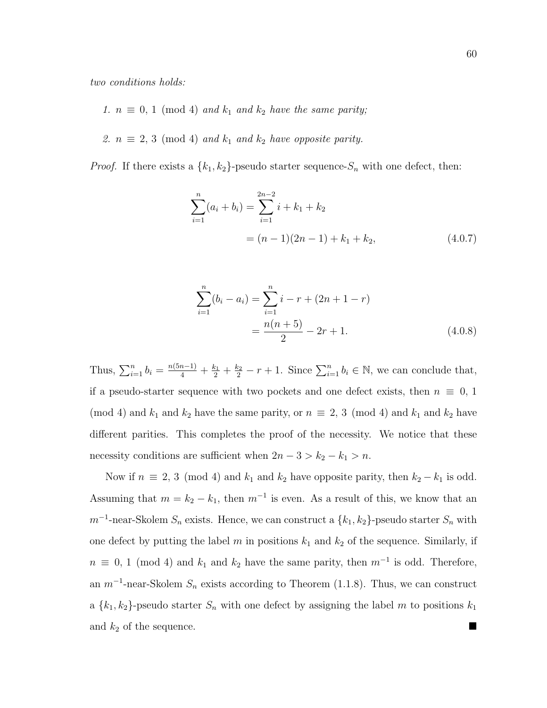two conditions holds:

- 1.  $n \equiv 0, 1 \pmod{4}$  and  $k_1$  and  $k_2$  have the same parity;
- 2.  $n \equiv 2, 3 \pmod{4}$  and  $k_1$  and  $k_2$  have opposite parity.

*Proof.* If there exists a  $\{k_1, k_2\}$ -pseudo starter sequence- $S_n$  with one defect, then:

$$
\sum_{i=1}^{n} (a_i + b_i) = \sum_{i=1}^{2n-2} i + k_1 + k_2
$$
  
=  $(n-1)(2n-1) + k_1 + k_2,$  (4.0.7)

$$
\sum_{i=1}^{n} (b_i - a_i) = \sum_{i=1}^{n} i - r + (2n + 1 - r)
$$

$$
= \frac{n(n+5)}{2} - 2r + 1.
$$
(4.0.8)

Thus,  $\sum_{i=1}^{n} b_i = \frac{n(5n-1)}{4} + \frac{k_1}{2} + \frac{k_2}{2} - r + 1$ . Since  $\sum_{i=1}^{n} b_i \in \mathbb{N}$ , we can conclude that, if a pseudo-starter sequence with two pockets and one defect exists, then  $n \equiv 0, 1$ (mod 4) and  $k_1$  and  $k_2$  have the same parity, or  $n \equiv 2, 3 \pmod{4}$  and  $k_1$  and  $k_2$  have different parities. This completes the proof of the necessity. We notice that these necessity conditions are sufficient when  $2n - 3 > k_2 - k_1 > n$ .

Now if  $n \equiv 2, 3 \pmod{4}$  and  $k_1$  and  $k_2$  have opposite parity, then  $k_2 - k_1$  is odd. Assuming that  $m = k_2 - k_1$ , then  $m^{-1}$  is even. As a result of this, we know that an  $m^{-1}$ -near-Skolem  $S_n$  exists. Hence, we can construct a  $\{k_1, k_2\}$ -pseudo starter  $S_n$  with one defect by putting the label  $m$  in positions  $k_1$  and  $k_2$  of the sequence. Similarly, if  $n \equiv 0, 1 \pmod{4}$  and  $k_1$  and  $k_2$  have the same parity, then  $m^{-1}$  is odd. Therefore, an  $m^{-1}$ -near-Skolem  $S_n$  exists according to Theorem (1.1.8). Thus, we can construct a  $\{k_1, k_2\}$ -pseudo starter  $S_n$  with one defect by assigning the label m to positions  $k_1$ and  $k_2$  of the sequence.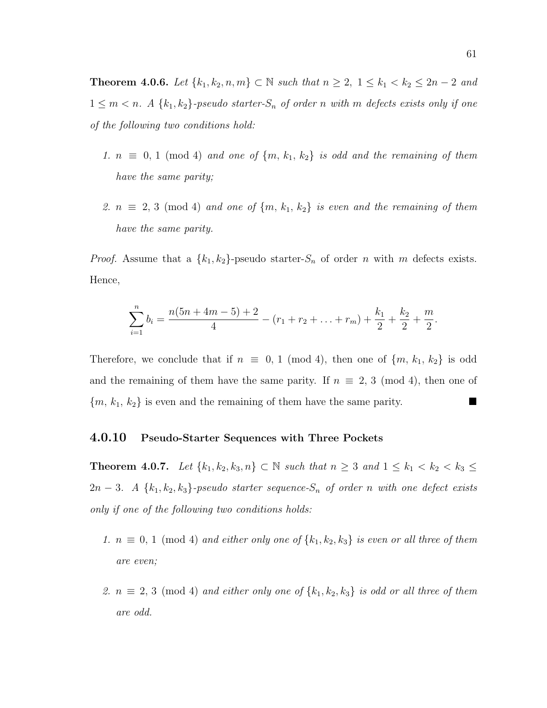**Theorem 4.0.6.** Let  $\{k_1, k_2, n, m\}$  ⊂ *N* such that  $n \ge 2$ ,  $1 \le k_1 < k_2 \le 2n - 2$  and  $1 \leq m < n$ . A  $\{k_1, k_2\}$ -pseudo starter- $S_n$  of order n with m defects exists only if one of the following two conditions hold:

- 1.  $n \equiv 0, 1 \pmod{4}$  and one of  $\{m, k_1, k_2\}$  is odd and the remaining of them have the same parity;
- 2.  $n \equiv 2, 3 \pmod{4}$  and one of  $\{m, k_1, k_2\}$  is even and the remaining of them have the same parity.

*Proof.* Assume that a  $\{k_1, k_2\}$ -pseudo starter- $S_n$  of order n with m defects exists. Hence,

$$
\sum_{i=1}^{n} b_i = \frac{n(5n+4m-5)+2}{4} - (r_1+r_2+\ldots+r_m) + \frac{k_1}{2} + \frac{k_2}{2} + \frac{m}{2}.
$$

Therefore, we conclude that if  $n \equiv 0, 1 \pmod{4}$ , then one of  $\{m, k_1, k_2\}$  is odd and the remaining of them have the same parity. If  $n \equiv 2, 3 \pmod{4}$ , then one of  ${m, k_1, k_2}$  is even and the remaining of them have the same parity.

#### 4.0.10 Pseudo-Starter Sequences with Three Pockets

**Theorem 4.0.7.** Let  $\{k_1, k_2, k_3, n\}$  ⊂ N such that  $n \geq 3$  and  $1 \leq k_1 < k_2 < k_3 \leq$ 2n − 3. A { $k_1, k_2, k_3$ }-pseudo starter sequence- $S_n$  of order n with one defect exists only if one of the following two conditions holds:

- 1.  $n \equiv 0, 1 \pmod{4}$  and either only one of  $\{k_1, k_2, k_3\}$  is even or all three of them are even;
- 2.  $n \equiv 2, 3 \pmod{4}$  and either only one of  $\{k_1, k_2, k_3\}$  is odd or all three of them are odd.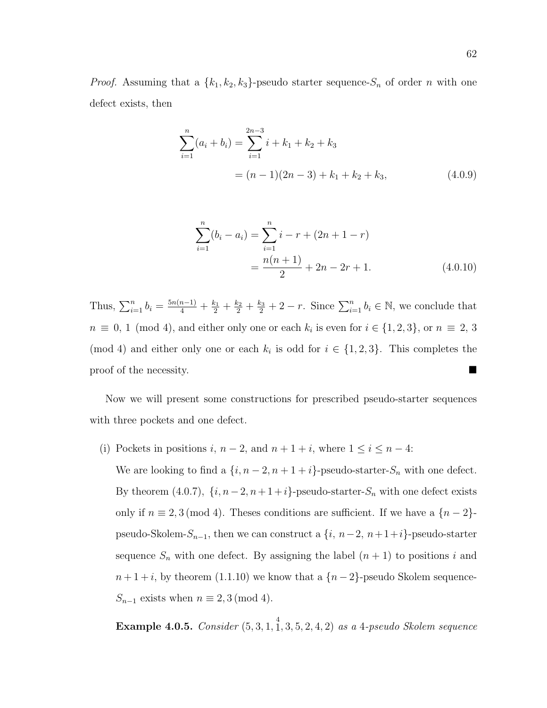*Proof.* Assuming that a  $\{k_1, k_2, k_3\}$ -pseudo starter sequence- $S_n$  of order n with one defect exists, then

$$
\sum_{i=1}^{n} (a_i + b_i) = \sum_{i=1}^{2n-3} i + k_1 + k_2 + k_3
$$
  
=  $(n-1)(2n-3) + k_1 + k_2 + k_3,$  (4.0.9)

$$
\sum_{i=1}^{n} (b_i - a_i) = \sum_{i=1}^{n} i - r + (2n + 1 - r)
$$

$$
= \frac{n(n+1)}{2} + 2n - 2r + 1.
$$
(4.0.10)

Thus,  $\sum_{i=1}^{n} b_i = \frac{5n(n-1)}{4} + \frac{k_1}{2} + \frac{k_2}{2} + \frac{k_3}{2} + 2 - r$ . Since  $\sum_{i=1}^{n} b_i \in \mathbb{N}$ , we conclude that  $n \equiv 0, 1 \pmod{4}$ , and either only one or each  $k_i$  is even for  $i \in \{1, 2, 3\}$ , or  $n \equiv 2, 3$ (mod 4) and either only one or each  $k_i$  is odd for  $i \in \{1, 2, 3\}$ . This completes the proof of the necessity.

Now we will present some constructions for prescribed pseudo-starter sequences with three pockets and one defect.

(i) Pockets in positions  $i, n-2$ , and  $n+1+i$ , where  $1 \le i \le n-4$ :

We are looking to find a  $\{i, n-2, n+1+i\}$ -pseudo-starter- $S_n$  with one defect. By theorem (4.0.7),  $\{i, n-2, n+1+i\}$ -pseudo-starter- $S_n$  with one defect exists only if  $n \equiv 2, 3 \pmod{4}$ . Theses conditions are sufficient. If we have a  $\{n-2\}$ pseudo-Skolem- $S_{n-1}$ , then we can construct a  $\{i, n-2, n+1+i\}$ -pseudo-starter sequence  $S_n$  with one defect. By assigning the label  $(n + 1)$  to positions i and  $n+1+i$ , by theorem (1.1.10) we know that a  ${n-2}$ -pseudo Skolem sequence- $S_{n-1}$  exists when  $n \equiv 2, 3 \pmod{4}$ .

**Example 4.0.5.** Consider  $(5, 3, 1, \frac{4}{1}, 3, 5, 2, 4, 2)$  as a 4-pseudo Skolem sequence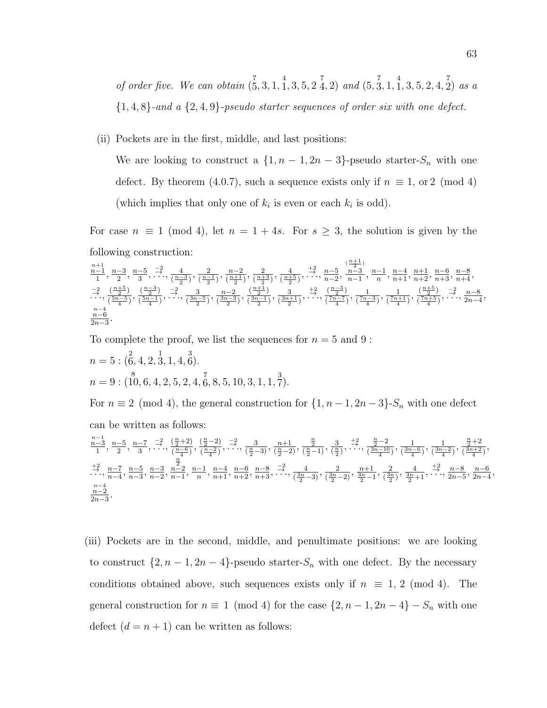of order five. We can obtain 
$$
(\bar{5}, 3, 1, \bar{1}, 3, 5, 2, \bar{4}, 2)
$$
 and  $(5, \bar{3}, 1, \bar{1}, 3, 5, 2, 4, \bar{2})$  as a  
\n $\{1, 4, 8\}$ -and a  $\{2, 4, 9\}$ -pseudo starter sequences of order six with one defect.

(ii) Pockets are in the first, middle, and last positions:

We are looking to construct a  $\{1, n-1, 2n-3\}$ -pseudo starter- $S_n$  with one defect. By theorem (4.0.7), such a sequence exists only if  $n \equiv 1$ , or 2 (mod 4) (which implies that only one of  $k_i$  is even or each  $k_i$  is odd).

For case  $n \equiv 1 \pmod{4}$ , let  $n = 1 + 4s$ . For  $s \geq 3$ , the solution is given by the following construction:

$$
\frac{\frac{n+1}{1}}{1}, \frac{n-3}{2}, \frac{n-5}{3}, \frac{-2}{\cdots}, \frac{4}{\left(\frac{n-3}{2}\right)}, \frac{n-2}{\left(\frac{n-1}{2}\right)}, \frac{n-2}{\left(\frac{n+5}{2}\right)}, \frac{2}{\left(\frac{n+5}{2}\right)}, \frac{4}{\left(\frac{n+5}{2}\right)}, \frac{+2}{\cdots}, \frac{n-5}{n-2}, \frac{n-3}{n-1}, \frac{n-1}{n}, \frac{n-4}{n+1}, \frac{n+1}{n+2}, \frac{n-6}{n+3}, \frac{n-8}{n+4}, \frac{-2}{\cdots}, \frac{\left(\frac{n+5}{2}\right)}{\left(\frac{n-5}{2}\right)}, \frac{\left(\frac{n-3}{2}\right)}{\left(\frac{n-3}{2}\right)}, \frac{-2}{\left(\frac{n-2}{2}\right)}, \frac{3}{\left(\frac{3n-1}{2}\right)}, \frac{1}{\left(\frac{3n+1}{2}\right)}, \frac{1}{\cdots}, \frac{\left(\frac{n-3}{2}\right)}{\left(\frac{n-7}{4}\right)}, \frac{1}{\left(\frac{n-3}{4}\right)}, \frac{\left(\frac{n+5}{2}\right)}{\left(\frac{n-5}{4}\right)}, \frac{-2}{\left(\frac{n-5}{4}\right)}, \frac{n-8}{\cdots}, \frac{n-8}{2n-4}, \frac{n-6}{2n-3}.
$$

To complete the proof, we list the sequences for  $n = 5$  and 9:

$$
n = 5 : (\stackrel{2}{6}, 4, 2, \stackrel{1}{3}, 1, 4, \stackrel{3}{6}).
$$
  

$$
n = 9 : (\stackrel{8}{10}, 6, 4, 2, 5, 2, 4, \stackrel{7}{6}, 8, 5, 10, 3, 1, 1, \stackrel{3}{7}).
$$

For  $n \equiv 2 \pmod{4}$ , the general construction for  $\{1, n-1, 2n-3\}$ -S<sub>n</sub> with one defect can be written as follows: n n  $\frac{n}{2}$ n

$$
\sum_{\substack{n=3 \ n-3}}^{n-1} \frac{n-5}{2}, \frac{n-7}{3}, \frac{-2}{\cdots}, \frac{\left(\frac{n}{2}+2\right)}{\left(\frac{n-6}{4}\right)}, \frac{\left(\frac{n}{2}-2\right)}{\left(\frac{n-2}{4}\right)}, \frac{-2}{\cdots}, \frac{3}{\left(\frac{n}{2}-2\right)}, \frac{n+1}{\left(\frac{n}{2}-1\right)}, \frac{\frac{n}{2}}{\left(\frac{n}{2}-1\right)}, \frac{3}{\left(\frac{n}{2}\right)}, \frac{+2}{\cdots}, \frac{\frac{n}{2}-2}{\left(\frac{3n-10}{4}\right)}, \frac{1}{\left(\frac{3n-6}{4}\right)}, \frac{\frac{n}{2}+2}{\left(\frac{3n+2}{4}\right)},
$$
  

$$
\sum_{\substack{n=3 \ n-4 \ n-3}}^{n-1} \frac{n-5}{n-3}, \frac{n-3}{n-2}, \frac{n-1}{n-1}, \frac{n-4}{n}, \frac{n-6}{n+1}, \frac{n-8}{n+3}, \frac{-2}{\cdots}, \frac{4}{\left(\frac{3n}{2}-3\right)}, \frac{2}{\left(\frac{3n}{2}-2\right)}, \frac{n+1}{3n-1}, \frac{2}{\left(\frac{3n}{2}\right)}, \frac{4}{3n+1}, \frac{+2}{\cdots}, \frac{n-8}{2n-5}, \frac{n-6}{2n-4},
$$
  

$$
\frac{n-4}{2n-3}.
$$

(iii) Pockets are in the second, middle, and penultimate positions: we are looking to construct  $\{2, n-1, 2n-4\}$ -pseudo starter- $S_n$  with one defect. By the necessary conditions obtained above, such sequences exists only if  $n \equiv 1, 2 \pmod{4}$ . The general construction for  $n \equiv 1 \pmod{4}$  for the case  $\{2, n-1, 2n-4\} - S_n$  with one defect  $(d = n + 1)$  can be written as follows: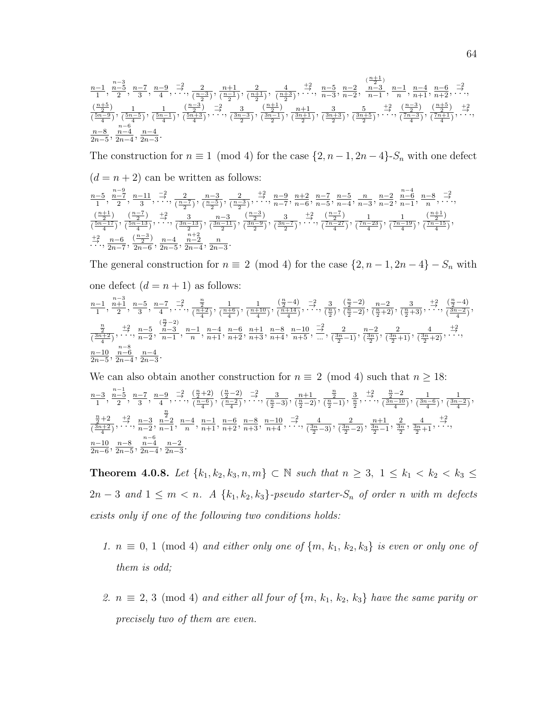$$
\frac{n-1}{1}, \frac{n-5}{2}, \frac{n-7}{3}, \frac{n-9}{4}, \frac{-2}{\cdots}, \frac{2}{\left(\frac{n-3}{2}\right)}, \frac{n+1}{\left(\frac{n-1}{2}\right)}, \frac{2}{\left(\frac{n+1}{2}\right)}, \frac{4}{\left(\frac{n+3}{2}\right)}, \frac{+2}{\cdots}, \frac{n-5}{n-3}, \frac{n-2}{n-2}, \frac{n-3}{n-1}, \frac{n-1}{n}, \frac{n-4}{n+1}, \frac{n-6}{n+2}, \frac{-2}{\cdots}, \frac{(n+5)}{\left(\frac{n-5}{4}\right)}, \frac{1}{\left(\frac{n-3}{4}\right)}, \frac{\left(\frac{n-3}{2}\right)}{\left(\frac{5n-9}{4}\right)}, \frac{-2}{\left(\frac{5n-5}{4}\right)}, \frac{3}{\left(\frac{3n-3}{2}\right)}, \frac{\left(\frac{n+1}{2}\right)}{\left(\frac{3n-1}{2}\right)}, \frac{n+1}{\left(\frac{3n+1}{2}\right)}, \frac{3}{\left(\frac{3n+3}{2}\right)}, \frac{5}{\left(\frac{3n+5}{2}\right)}, \frac{+2}{\left(\frac{7n-3}{4}\right)}, \frac{\left(\frac{n+5}{2}\right)}{\left(\frac{7n+1}{4}\right)}, \frac{1}{\left(\frac{7n+1}{4}\right)}, \frac{n-4}{\cdots}, \frac{n-6}{\cdots}, \frac{n-4}{2n-3}.
$$

The construction for  $n \equiv 1 \pmod{4}$  for the case  $\{2, n-1, 2n-4\}$ -S<sub>n</sub> with one defect  $(d = n + 2)$  can be written as follows:  $n-9$  $n-4$ 

$$
\frac{n-5}{1}, \frac{n-7}{2}, \frac{n-11}{3}, \frac{-2}{\cdot 2}, \frac{2}{\frac{n-7}{2}}, \frac{n-3}{\frac{n-5}{2}}, \frac{2}{\frac{n-3}{2}}, \frac{1}{\cdot 2}, \frac{n-9}{n-7}, \frac{n+2}{n-6}, \frac{n-7}{n-5}, \frac{n-5}{n-4}, \frac{n}{n-3}, \frac{n-2}{n-2}, \frac{n-6}{n-1}, \frac{n-8}{n}, \frac{-2}{\cdot 2}, \frac{-2}{\cdot 2}, \frac{2}{\cdot 2}, \frac{2}{\cdot 2}, \frac{2}{\cdot 2}, \frac{2}{\cdot 2}, \frac{2}{\cdot 2}, \frac{2}{\cdot 2}, \frac{2}{\cdot 2}, \frac{2}{\cdot 2}, \frac{2}{\cdot 2}, \frac{2}{\cdot 2}, \frac{2}{\cdot 2}, \frac{n-7}{\cdot 2}, \frac{n-7}{n-6}, \frac{n-5}{n-5}, \frac{n}{n-2}, \frac{n-2}{n-1}, \frac{n-8}{n}, \frac{-2}{\cdot 2}, \frac{2}{\cdot 2}, \frac{2}{\cdot 2}, \frac{2}{\cdot 2}, \frac{2}{\cdot 2}, \frac{2}{\cdot 2}, \frac{2}{\cdot 2}, \frac{2}{\cdot 2}, \frac{2}{\cdot 2}, \frac{2}{\cdot 2}, \frac{2}{\cdot 2}, \frac{2}{\cdot 2}, \frac{2}{\cdot 2}, \frac{2}{\cdot 2}, \frac{2}{\cdot 2}, \frac{2}{\cdot 2}, \frac{2}{\cdot 2}, \frac{2}{\cdot 2}, \frac{2}{\cdot 2}, \frac{2}{\cdot 2}, \frac{2}{\cdot 2}, \frac{2}{\cdot 2}, \frac{2}{\cdot 2}, \frac{2}{\cdot 2}, \frac{2}{\cdot 2}, \frac{2}{\cdot 2}, \frac{2}{\cdot 2}, \frac{2}{\cdot 2}, \frac{2}{\cdot 2}, \frac{2}{\cdot 2}, \frac{2}{\cdot 2}, \frac{2}{\cdot 2}, \frac{2}{\cdot 2}, \frac{2}{\cdot 2}, \frac{2}{\cdot 2}, \frac{2}{\cdot 2}, \frac{2}{\cdot 2}, \frac{2}{\cdot 2}, \frac{2}{\cdot 2}, \frac{2}{\cdot 2}, \frac{2}{\cdot 2}, \frac
$$

The general construction for  $n \equiv 2 \pmod{4}$  for the case  $\{2, n-1, 2n-4\} - S_n$  with one defect  $(d = n + 1)$  as follows: n−3

$$
\frac{n-1}{1}, \frac{n+3}{2}, \frac{n-5}{3}, \frac{n-7}{4}, \dots, \frac{-2}{\left(\frac{n+2}{4}\right)}, \frac{1}{\left(\frac{n+10}{4}\right)}, \frac{\left(\frac{n}{2}-4\right)}{\left(\frac{n+14}{4}\right)}, \dots, \frac{\left(\frac{n}{2}-2\right)}{\left(\frac{n}{2}-2\right)}, \frac{n-2}{\left(\frac{n}{2}+2\right)}, \frac{3}{\left(\frac{n+2}{2}\right)}, \dots, \frac{\left(\frac{n}{2}-4\right)}{\left(\frac{n}{2}+3\right)}, \dots, \frac{\left(\frac{n}{2}-4\right)}{\left(\frac{n}{2}+3\right)}, \dots, \frac{\left(\frac{n}{2}-4\right)}{\left(\frac{n}{2}-2\right)}, \frac{\left(\frac{n}{2}-4\right)}{\left(\frac{n}{2}+2\right)}, \frac{\left(\frac{n}{2}-4\right)}{\left(\frac{n}{2}+3\right)}, \dots, \frac{\left(\frac{n}{2}-4\right)}{\left(\frac{n}{2}-2\right)}, \frac{\left(\frac{n}{2}-2\right)}{\left(\frac{n}{2}+2\right)}, \frac{\left(\frac{n}{2}-2\right)}{\left(\frac{n}{2}+2\right)}, \dots, \frac{\left(\frac{n}{2}-2\right)}{\left(\frac{n}{2}+2\right)}, \dots, \frac{\left(\frac{n}{2}-2\right)}{\left(\frac{n}{2}+2\right)}, \dots, \frac{\left(\frac{n}{2}-2\right)}{\left(\frac{n}{2}+2\right)}, \dots, \frac{\left(\frac{n}{2}-2\right)}{\left(\frac{n}{2}+2\right)}, \dots, \frac{\left(\frac{n}{2}-3\right)}{\left(\frac{n}{2}+3\right)}, \dots, \frac{\left(\frac{n}{2}-4\right)}{\left(\frac{n}{2}+2\right)}, \dots, \frac{\left(\frac{n}{2}-4\right)}{\left(\frac{n}{2}+2\right)}, \dots, \frac{\left(\frac{n}{2}-4\right)}{\left(\frac{n}{2}+2\right)}, \dots, \frac{\left(\frac{n}{2}-4\right)}{\left(\frac{n}{2}+2\right)}, \dots, \frac{\left(\frac{n}{2}-4\right)}{\left(\frac{n}{2}+2\right)}, \dots, \frac{\left(\frac{n}{2}-4\right)}{\left(\frac{n}{2}+2\right)}, \dots, \frac{\left(\frac{n}{2}-4\right)}{\left(\frac{n}{2}+2\right)}, \dots, \frac{\left(\frac{n}{2
$$

We can also obtain another construction for  $n \equiv 2 \pmod{4}$  such that  $n \ge 18$ : n−3  $\frac{-3}{1}, \frac{n-1}{2}$  $\frac{-5}{2}, \frac{n-7}{3}$  $\frac{-7}{3}, \frac{n-9}{4}$  $\frac{-9}{4}, \frac{-2}{\cdots}, \frac{\left(\frac{n}{2}+2\right)}{\left(\frac{n-6}{4}\right)}$  $\frac{\left(\frac{n}{2}+2\right)}{\left(\frac{n-6}{4}\right)}, \frac{\left(\frac{n}{2}-2\right)}{\left(\frac{n-2}{4}\right)}$  $\frac{\left(\frac{n}{2}-2\right)}{\left(\frac{n-2}{4}\right)}, \frac{-2}{\cdots}, \frac{3}{\left(\frac{n}{2}-3\right)}, \frac{n+1}{\left(\frac{n}{2}-2\right)}$  $\frac{n+1}{\left(\frac{n}{2}-2\right)}, \frac{\frac{n}{2}}{\left(\frac{n}{2}-1\right)}, \frac{3}{\frac{n}{2}}, \frac{+2}{\cdots}, \frac{\frac{n}{2}-2}{\left(\frac{3n-10}{4}\right)}$  $\frac{\frac{n}{2}-2}{\frac{3n-10}{4}}, \frac{1}{\frac{3n}{4}}$  $\frac{1}{\left(\frac{3n-6}{4}\right)}, \frac{1}{\left(\frac{3n-6}{4}\right)}$  $\frac{1}{(\frac{3n-2}{4})},$  $\frac{n}{2}+2$  $\frac{\frac{n}{2}+2}{\left(\frac{3n+2}{4}\right)}, \frac{+2}{\cdots}, \frac{n-3}{n-2},$  $\frac{\frac{n}{2}}{n-2}$  $\frac{n-2}{n-1}, \frac{n-4}{n}$  $\frac{-4}{n}, \frac{n-1}{n+1}, \frac{n-6}{n+2}, \frac{n-8}{n+3}, \frac{n-10}{n+4}, \frac{-2}{\cdots}, \frac{4}{(\frac{3n}{2}-3)}, \frac{2}{(\frac{3n}{2}-3)}$  $\frac{2}{\left(\frac{3n}{2}-2\right)}, \frac{n+1}{\frac{3n}{2}-1}, \frac{2}{\frac{3n}{2}}, \frac{4}{\frac{3n}{2}+1}, \frac{+2}{\cdots}$ n−10  $\frac{n-10}{2n-6}, \frac{n-8}{2n-5}$  $\frac{n-8}{2n-5}, \frac{n-6}{2n-4}$  $\frac{n-4}{2n-4}, \frac{n-2}{2n-3}$  $\frac{n-2}{2n-3}$ .

Theorem 4.0.8. Let  $\{k_1, k_2, k_3, n, m\} \subset \mathbb{N}$  such that  $n \geq 3$ ,  $1 \leq k_1 < k_2 < k_3 \leq$  $2n-3$  and  $1 \leq m < n$ . A  $\{k_1, k_2, k_3\}$ -pseudo starter- $S_n$  of order n with m defects exists only if one of the following two conditions holds:

- 1.  $n \equiv 0, 1 \pmod{4}$  and either only one of  $\{m, k_1, k_2, k_3\}$  is even or only one of them is odd;
- 2.  $n \equiv 2, 3 \pmod{4}$  and either all four of  $\{m, k_1, k_2, k_3\}$  have the same parity or precisely two of them are even.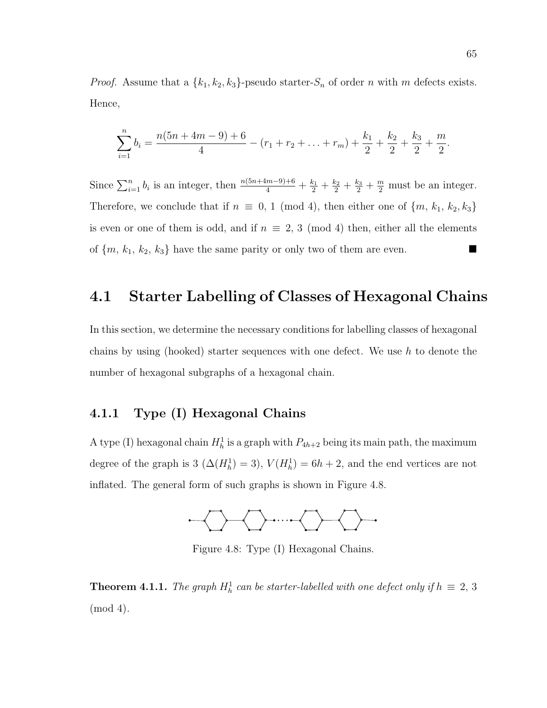*Proof.* Assume that a  $\{k_1, k_2, k_3\}$ -pseudo starter- $S_n$  of order n with m defects exists. Hence,

$$
\sum_{i=1}^{n} b_i = \frac{n(5n+4m-9)+6}{4} - (r_1+r_2+\ldots+r_m) + \frac{k_1}{2} + \frac{k_2}{2} + \frac{k_3}{2} + \frac{m}{2}.
$$

Since  $\sum_{i=1}^{n} b_i$  is an integer, then  $\frac{n(5n+4m-9)+6}{4} + \frac{k_1}{2} + \frac{k_2}{2} + \frac{k_3}{2} + \frac{m}{2}$  must be an integer. Therefore, we conclude that if  $n \equiv 0, 1 \pmod{4}$ , then either one of  $\{m, k_1, k_2, k_3\}$ is even or one of them is odd, and if  $n \equiv 2, 3 \pmod{4}$  then, either all the elements of  $\{m, k_1, k_2, k_3\}$  have the same parity or only two of them are even.

### 4.1 Starter Labelling of Classes of Hexagonal Chains

In this section, we determine the necessary conditions for labelling classes of hexagonal chains by using (hooked) starter sequences with one defect. We use  $h$  to denote the number of hexagonal subgraphs of a hexagonal chain.

#### 4.1.1 Type (I) Hexagonal Chains

A type (I) hexagonal chain  $H_h^1$  is a graph with  $P_{4h+2}$  being its main path, the maximum degree of the graph is 3 ( $\Delta(H_h^1) = 3$ ),  $V(H_h^1) = 6h + 2$ , and the end vertices are not inflated. The general form of such graphs is shown in Figure 4.8.



Figure 4.8: Type (I) Hexagonal Chains.

**Theorem 4.1.1.** The graph  $H_h^1$  can be starter-labelled with one defect only if  $h \equiv 2, 3$ (mod 4).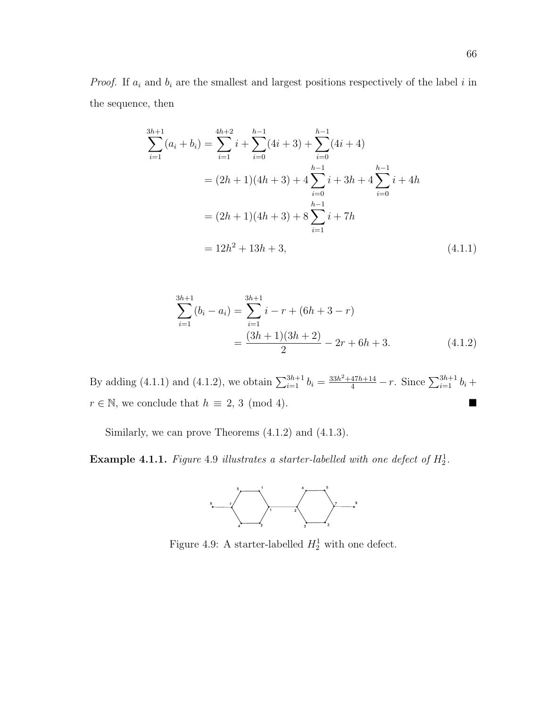*Proof.* If  $a_i$  and  $b_i$  are the smallest and largest positions respectively of the label i in the sequence, then

$$
\sum_{i=1}^{3h+1} (a_i + b_i) = \sum_{i=1}^{4h+2} i + \sum_{i=0}^{h-1} (4i + 3) + \sum_{i=0}^{h-1} (4i + 4)
$$
  
=  $(2h + 1)(4h + 3) + 4 \sum_{i=0}^{h-1} i + 3h + 4 \sum_{i=0}^{h-1} i + 4h$   
=  $(2h + 1)(4h + 3) + 8 \sum_{i=1}^{h-1} i + 7h$   
=  $12h^2 + 13h + 3$ , (4.1.1)

$$
\sum_{i=1}^{3h+1} (b_i - a_i) = \sum_{i=1}^{3h+1} i - r + (6h + 3 - r)
$$

$$
= \frac{(3h+1)(3h+2)}{2} - 2r + 6h + 3.
$$
(4.1.2)

By adding (4.1.1) and (4.1.2), we obtain  $\sum_{i=1}^{3h+1} b_i = \frac{33h^2 + 47h + 14}{4} - r$ . Since  $\sum_{i=1}^{3h+1} b_i +$  $r \in \mathbb{N}$ , we conclude that  $h \equiv 2, 3 \pmod{4}$ .

Similarly, we can prove Theorems (4.1.2) and (4.1.3).

**Example 4.1.1.** Figure 4.9 illustrates a starter-labelled with one defect of  $H_2^1$ .



Figure 4.9: A starter-labelled  $H_2^1$  with one defect.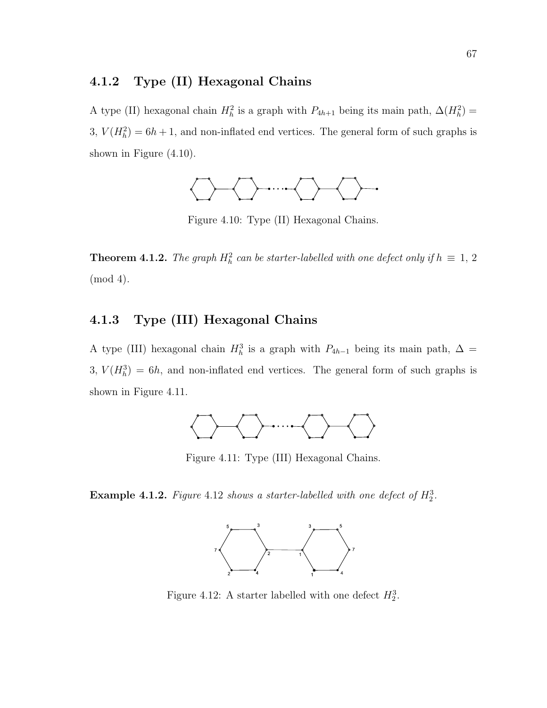#### 4.1.2 Type (II) Hexagonal Chains

A type (II) hexagonal chain  $H_h^2$  is a graph with  $P_{4h+1}$  being its main path,  $\Delta(H_h^2)$  = 3,  $V(H_h^2) = 6h + 1$ , and non-inflated end vertices. The general form of such graphs is shown in Figure (4.10).



Figure 4.10: Type (II) Hexagonal Chains.

**Theorem 4.1.2.** The graph  $H_h^2$  can be starter-labelled with one defect only if  $h \equiv 1, 2$ (mod 4).

#### 4.1.3 Type (III) Hexagonal Chains

A type (III) hexagonal chain  $H_h^3$  is a graph with  $P_{4h-1}$  being its main path,  $\Delta =$  $3, V(H_h^3) = 6h$ , and non-inflated end vertices. The general form of such graphs is shown in Figure 4.11.



Figure 4.11: Type (III) Hexagonal Chains.

**Example 4.1.2.** Figure 4.12 shows a starter-labelled with one defect of  $H_2^3$ .



Figure 4.12: A starter labelled with one defect  $H_2^3$ .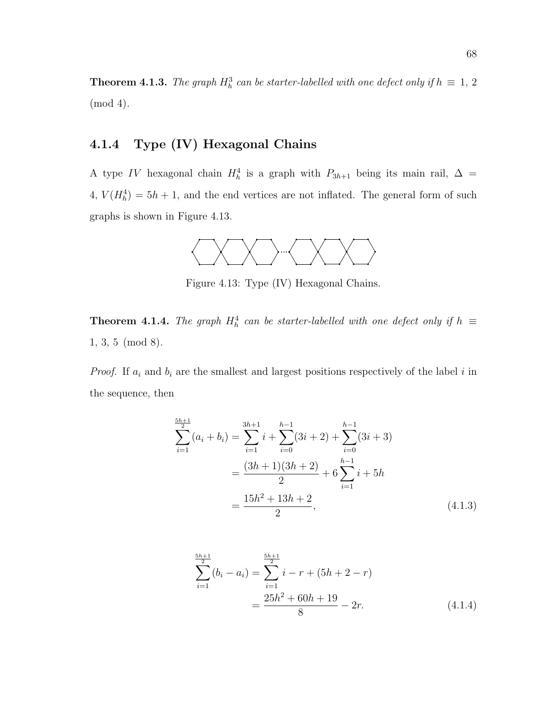**Theorem 4.1.3.** The graph  $H_h^3$  can be starter-labelled with one defect only if  $h \equiv 1, 2$ (mod 4).

#### 4.1.4 Type (IV) Hexagonal Chains

A type IV hexagonal chain  $H_h^4$  is a graph with  $P_{3h+1}$  being its main rail,  $\Delta =$  $4, V(H_h^4) = 5h + 1$ , and the end vertices are not inflated. The general form of such graphs is shown in Figure 4.13.



Figure 4.13: Type (IV) Hexagonal Chains.

**Theorem 4.1.4.** The graph  $H_h^4$  can be starter-labelled with one defect only if  $h \equiv$ 1, 3, 5 (mod 8).

*Proof.* If  $a_i$  and  $b_i$  are the smallest and largest positions respectively of the label i in the sequence, then

$$
\sum_{i=1}^{\frac{5h+1}{2}} (a_i + b_i) = \sum_{i=1}^{3h+1} i + \sum_{i=0}^{h-1} (3i + 2) + \sum_{i=0}^{h-1} (3i + 3)
$$

$$
= \frac{(3h+1)(3h+2)}{2} + 6 \sum_{i=1}^{h-1} i + 5h
$$

$$
= \frac{15h^2 + 13h + 2}{2}, \tag{4.1.3}
$$

$$
\sum_{i=1}^{\frac{5h+1}{2}} (b_i - a_i) = \sum_{i=1}^{\frac{5h+1}{2}} i - r + (5h + 2 - r)
$$

$$
= \frac{25h^2 + 60h + 19}{8} - 2r.
$$
(4.1.4)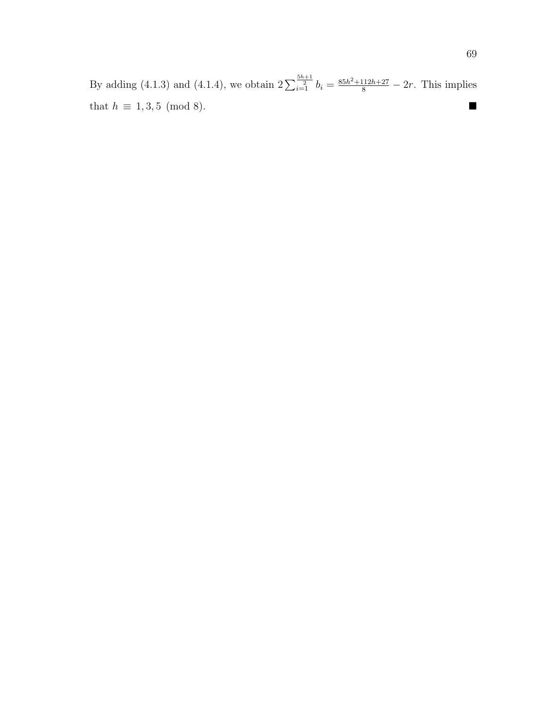By adding (4.1.3) and (4.1.4), we obtain  $2\sum_{i=1}^{\frac{5h+1}{2}}b_i = \frac{85h^2+112h+27}{8} - 2r$ . This implies that  $h \equiv 1, 3, 5 \pmod{8}$ . ■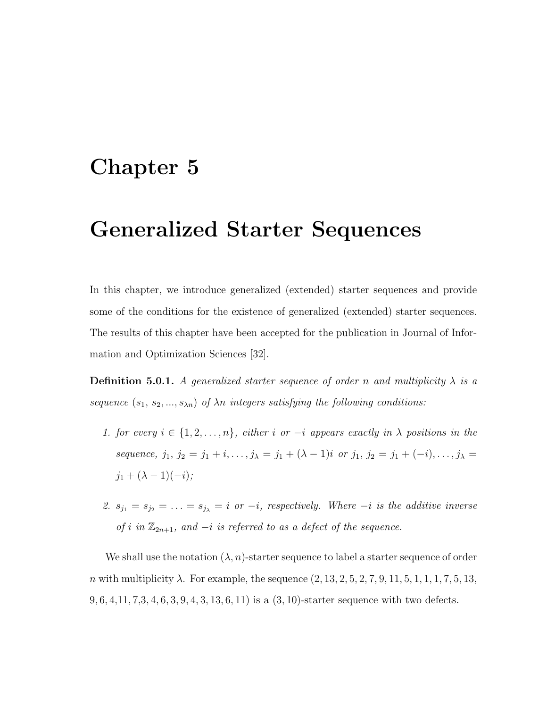# Chapter 5

# Generalized Starter Sequences

In this chapter, we introduce generalized (extended) starter sequences and provide some of the conditions for the existence of generalized (extended) starter sequences. The results of this chapter have been accepted for the publication in Journal of Information and Optimization Sciences [32].

**Definition 5.0.1.** A generalized starter sequence of order n and multiplicity  $\lambda$  is a sequence  $(s_1, s_2, ..., s_{\lambda n})$  of  $\lambda n$  integers satisfying the following conditions:

- 1. for every  $i \in \{1, 2, \ldots, n\}$ , either i or  $-i$  appears exactly in  $\lambda$  positions in the sequence,  $j_1, j_2 = j_1 + i, \ldots, j_\lambda = j_1 + (\lambda - 1)i$  or  $j_1, j_2 = j_1 + (-i), \ldots, j_\lambda =$  $j_1 + (\lambda - 1)(-i);$
- 2.  $s_{j_1} = s_{j_2} = \ldots = s_{j_\lambda} = i$  or  $-i$ , respectively. Where  $-i$  is the additive inverse of i in  $\mathbb{Z}_{2n+1}$ , and  $-i$  is referred to as a defect of the sequence.

We shall use the notation  $(\lambda, n)$ -starter sequence to label a starter sequence of order *n* with multiplicity  $\lambda$ . For example, the sequence  $(2, 13, 2, 5, 2, 7, 9, 11, 5, 1, 1, 1, 7, 5, 13,$  $9, 6, 4, 11, 7, 3, 4, 6, 3, 9, 4, 3, 13, 6, 11$  is a  $(3, 10)$ -starter sequence with two defects.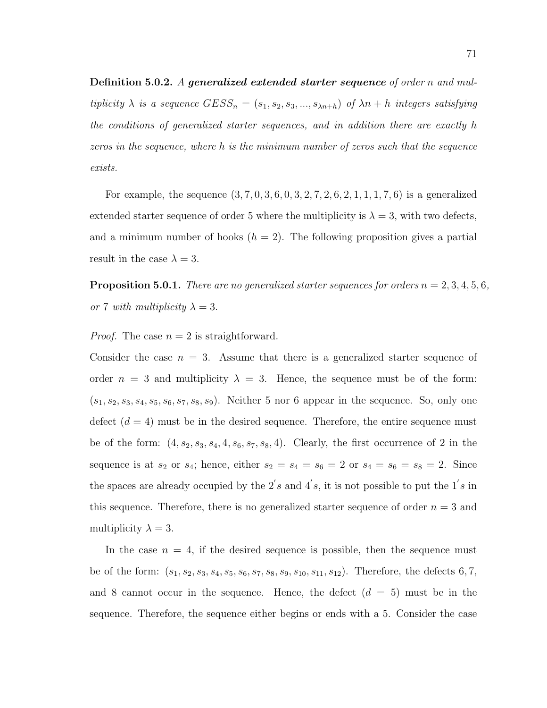Definition 5.0.2. A generalized extended starter sequence of order n and multiplicity  $\lambda$  is a sequence  $GESS_n = (s_1, s_2, s_3, ..., s_{\lambda n+h})$  of  $\lambda n + h$  integers satisfying the conditions of generalized starter sequences, and in addition there are exactly h zeros in the sequence, where h is the minimum number of zeros such that the sequence exists.

For example, the sequence  $(3, 7, 0, 3, 6, 0, 3, 2, 7, 2, 6, 2, 1, 1, 1, 7, 6)$  is a generalized extended starter sequence of order 5 where the multiplicity is  $\lambda = 3$ , with two defects, and a minimum number of hooks  $(h = 2)$ . The following proposition gives a partial result in the case  $\lambda = 3$ .

**Proposition 5.0.1.** There are no generalized starter sequences for orders  $n = 2, 3, 4, 5, 6$ , or 7 with multiplicity  $\lambda = 3$ .

*Proof.* The case  $n = 2$  is straightforward.

Consider the case  $n = 3$ . Assume that there is a generalized starter sequence of order  $n = 3$  and multiplicity  $\lambda = 3$ . Hence, the sequence must be of the form:  $(s_1, s_2, s_3, s_4, s_5, s_6, s_7, s_8, s_9)$ . Neither 5 nor 6 appear in the sequence. So, only one defect  $(d = 4)$  must be in the desired sequence. Therefore, the entire sequence must be of the form:  $(4, s_2, s_3, s_4, 4, s_6, s_7, s_8, 4)$ . Clearly, the first occurrence of 2 in the sequence is at  $s_2$  or  $s_4$ ; hence, either  $s_2 = s_4 = s_6 = 2$  or  $s_4 = s_6 = s_8 = 2$ . Since the spaces are already occupied by the  $2's$  and  $4's$ , it is not possible to put the  $1's$  in this sequence. Therefore, there is no generalized starter sequence of order  $n = 3$  and multiplicity  $\lambda = 3$ .

In the case  $n = 4$ , if the desired sequence is possible, then the sequence must be of the form:  $(s_1, s_2, s_3, s_4, s_5, s_6, s_7, s_8, s_9, s_{10}, s_{11}, s_{12})$ . Therefore, the defects 6, 7, and 8 cannot occur in the sequence. Hence, the defect  $(d = 5)$  must be in the sequence. Therefore, the sequence either begins or ends with a 5. Consider the case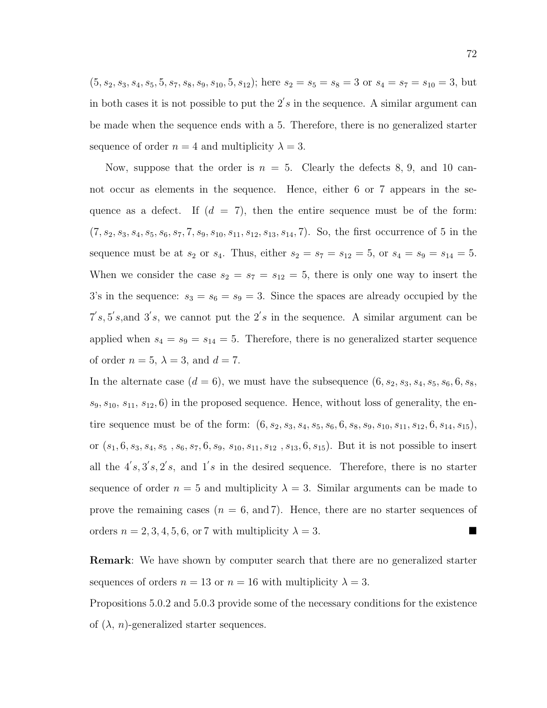$(5, s_2, s_3, s_4, s_5, 5, s_7, s_8, s_9, s_{10}, 5, s_{12})$ ; here  $s_2 = s_5 = s_8 = 3$  or  $s_4 = s_7 = s_{10} = 3$ , but in both cases it is not possible to put the  $2's$  in the sequence. A similar argument can be made when the sequence ends with a 5. Therefore, there is no generalized starter sequence of order  $n = 4$  and multiplicity  $\lambda = 3$ .

Now, suppose that the order is  $n = 5$ . Clearly the defects 8, 9, and 10 cannot occur as elements in the sequence. Hence, either 6 or 7 appears in the sequence as a defect. If  $(d = 7)$ , then the entire sequence must be of the form:  $(7, s_2, s_3, s_4, s_5, s_6, s_7, 7, s_9, s_{10}, s_{11}, s_{12}, s_{13}, s_{14}, 7)$ . So, the first occurrence of 5 in the sequence must be at  $s_2$  or  $s_4$ . Thus, either  $s_2 = s_7 = s_{12} = 5$ , or  $s_4 = s_9 = s_{14} = 5$ . When we consider the case  $s_2 = s_7 = s_{12} = 5$ , there is only one way to insert the 3's in the sequence:  $s_3 = s_6 = s_9 = 3$ . Since the spaces are already occupied by the  $7's, 5's,$  and  $3's$ , we cannot put the  $2's$  in the sequence. A similar argument can be applied when  $s_4 = s_9 = s_{14} = 5$ . Therefore, there is no generalized starter sequence of order  $n = 5$ ,  $\lambda = 3$ , and  $d = 7$ .

In the alternate case  $(d = 6)$ , we must have the subsequence  $(6, s_2, s_3, s_4, s_5, s_6, 6, s_8,$  $s_9, s_{10}, s_{11}, s_{12}, 6$  in the proposed sequence. Hence, without loss of generality, the entire sequence must be of the form:  $(6, s_2, s_3, s_4, s_5, s_6, 6, s_8, s_9, s_{10}, s_{11}, s_{12}, 6, s_{14}, s_{15}),$ or  $(s_1, 6, s_3, s_4, s_5, s_6, s_7, 6, s_9, s_{10}, s_{11}, s_{12}, s_{13}, 6, s_{15})$ . But it is not possible to insert all the  $4's$ ,  $3's$ ,  $2's$ , and  $1's$  in the desired sequence. Therefore, there is no starter sequence of order  $n = 5$  and multiplicity  $\lambda = 3$ . Similar arguments can be made to prove the remaining cases  $(n = 6, \text{ and } 7)$ . Hence, there are no starter sequences of orders  $n = 2, 3, 4, 5, 6$ , or 7 with multiplicity  $\lambda = 3$ .

Remark: We have shown by computer search that there are no generalized starter sequences of orders  $n = 13$  or  $n = 16$  with multiplicity  $\lambda = 3$ .

Propositions 5.0.2 and 5.0.3 provide some of the necessary conditions for the existence of  $(\lambda, n)$ -generalized starter sequences.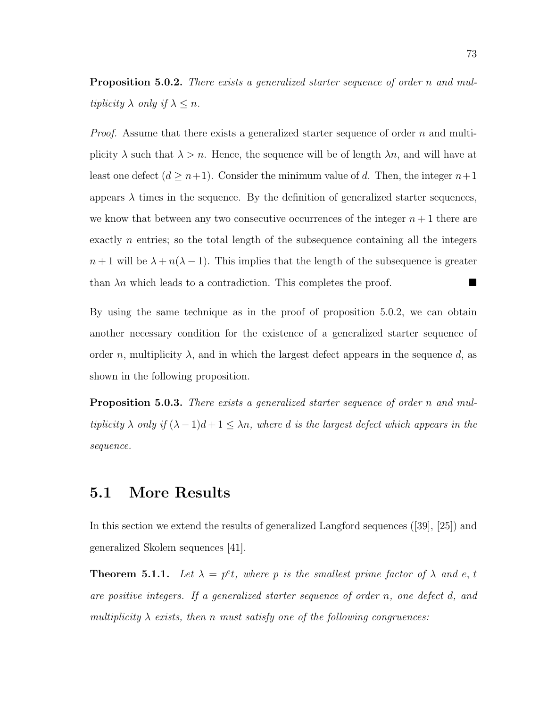Proposition 5.0.2. There exists a generalized starter sequence of order n and multiplicity  $\lambda$  only if  $\lambda \leq n$ .

*Proof.* Assume that there exists a generalized starter sequence of order  $n$  and multiplicity  $\lambda$  such that  $\lambda > n$ . Hence, the sequence will be of length  $\lambda n$ , and will have at least one defect  $(d \geq n+1)$ . Consider the minimum value of d. Then, the integer  $n+1$ appears  $\lambda$  times in the sequence. By the definition of generalized starter sequences, we know that between any two consecutive occurrences of the integer  $n + 1$  there are exactly  $n$  entries; so the total length of the subsequence containing all the integers  $n+1$  will be  $\lambda + n(\lambda - 1)$ . This implies that the length of the subsequence is greater than  $\lambda n$  which leads to a contradiction. This completes the proof.

By using the same technique as in the proof of proposition 5.0.2, we can obtain another necessary condition for the existence of a generalized starter sequence of order n, multiplicity  $\lambda$ , and in which the largest defect appears in the sequence d, as shown in the following proposition.

**Proposition 5.0.3.** There exists a generalized starter sequence of order n and multiplicity  $\lambda$  only if  $(\lambda - 1)d + 1 \leq \lambda n$ , where d is the largest defect which appears in the sequence.

### 5.1 More Results

In this section we extend the results of generalized Langford sequences ([39], [25]) and generalized Skolem sequences [41].

**Theorem 5.1.1.** Let  $\lambda = p^e t$ , where p is the smallest prime factor of  $\lambda$  and e, t are positive integers. If a generalized starter sequence of order n, one defect d, and multiplicity  $\lambda$  exists, then n must satisfy one of the following congruences: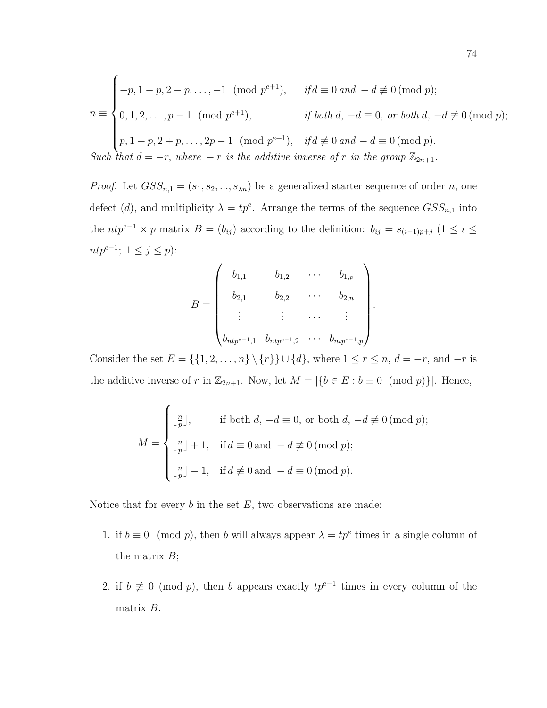$$
n \equiv \begin{cases}\n-p, 1-p, 2-p, \dots, -1 \pmod{p^{e+1}}, & \text{if } d \equiv 0 \text{ and } -d \not\equiv 0 \pmod{p}; \\
0, 1, 2, \dots, p-1 \pmod{p^{e+1}}, & \text{if both } d, -d \equiv 0, \text{ or both } d, -d \not\equiv 0 \pmod{p}; \\
p, 1+p, 2+p, \dots, 2p-1 \pmod{p^{e+1}}, & \text{if } d \not\equiv 0 \text{ and } -d \equiv 0 \pmod{p}. \\
Such that  $d = -r$ , where  $-r$  is the additive inverse of  $r$  in the group  $\mathbb{Z}_{2n+1}$ .\n\end{cases}
$$

*Proof.* Let  $GSS_{n,1} = (s_1, s_2, ..., s_{\lambda n})$  be a generalized starter sequence of order n, one defect (d), and multiplicity  $\lambda = tp^e$ . Arrange the terms of the sequence  $GSS_{n,1}$  into the  $ntp^{e-1} \times p$  matrix  $B = (b_{ij})$  according to the definition:  $b_{ij} = s_{(i-1)p+j}$   $(1 \le i \le j)$  $ntp^{e-1}; 1 \leq j \leq p$ :

$$
B = \begin{pmatrix} b_{1,1} & b_{1,2} & \cdots & b_{1,p} \\ b_{2,1} & b_{2,2} & \cdots & b_{2,n} \\ \vdots & \vdots & \cdots & \vdots \\ b_{ntp^{e-1},1} & b_{ntp^{e-1},2} & \cdots & b_{ntp^{e-1},p} \end{pmatrix}
$$

.

Consider the set  $E = \{\{1, 2, ..., n\} \setminus \{r\}\} \cup \{d\}$ , where  $1 \le r \le n$ ,  $d = -r$ , and  $-r$  is the additive inverse of r in  $\mathbb{Z}_{2n+1}$ . Now, let  $M = |\{b \in E : b \equiv 0 \pmod{p}\}|$ . Hence,

$$
M = \begin{cases} \lfloor \frac{n}{p} \rfloor, & \text{if both } d, \ -d \equiv 0, \text{ or both } d, \ -d \not\equiv 0 \text{ (mod } p); \\ \lfloor \frac{n}{p} \rfloor + 1, & \text{if } d \equiv 0 \text{ and } -d \not\equiv 0 \text{ (mod } p); \\ \lfloor \frac{n}{p} \rfloor - 1, & \text{if } d \not\equiv 0 \text{ and } -d \equiv 0 \text{ (mod } p). \end{cases}
$$

Notice that for every  $b$  in the set  $E$ , two observations are made:

- 1. if  $b \equiv 0 \pmod{p}$ , then b will always appear  $\lambda = tp^e$  times in a single column of the matrix  $B$ ;
- 2. if  $b \not\equiv 0 \pmod{p}$ , then b appears exactly  $tp^{e-1}$  times in every column of the matrix B.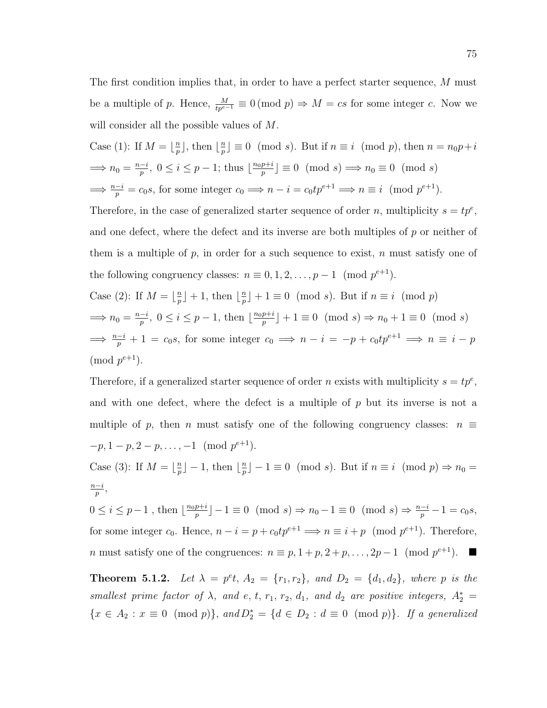The first condition implies that, in order to have a perfect starter sequence, M must be a multiple of p. Hence,  $\frac{M}{tp^{e-1}} \equiv 0 \pmod{p} \Rightarrow M = cs$  for some integer c. Now we will consider all the possible values of  $M$ .

Case (1): If 
$$
M = \lfloor \frac{n}{p} \rfloor
$$
, then  $\lfloor \frac{n}{p} \rfloor \equiv 0 \pmod{s}$ . But if  $n \equiv i \pmod{p}$ , then  $n = n_0 p + i$   
\n $\implies n_0 = \frac{n-i}{p}, 0 \le i \le p-1$ ; thus  $\lfloor \frac{n_0 p + i}{p} \rfloor \equiv 0 \pmod{s} \implies n_0 \equiv 0 \pmod{s}$   
\n $\implies \frac{n-i}{p} = c_0 s$ , for some integer  $c_0 \implies n - i = c_0 t p^{e+1} \implies n \equiv i \pmod{p^{e+1}}$ .

Therefore, in the case of generalized starter sequence of order n, multiplicity  $s = tp^e$ , and one defect, where the defect and its inverse are both multiples of  $p$  or neither of them is a multiple of  $p$ , in order for a such sequence to exist,  $n$  must satisfy one of the following congruency classes:  $n \equiv 0, 1, 2, \ldots, p-1 \pmod{p^{e+1}}$ .

Case (2): If 
$$
M = \lfloor \frac{n}{p} \rfloor + 1
$$
, then  $\lfloor \frac{n}{p} \rfloor + 1 \equiv 0 \pmod{s}$ . But if  $n \equiv i \pmod{p}$   
\n $\implies n_0 = \frac{n-i}{p}, 0 \le i \le p-1$ , then  $\lfloor \frac{n_0p+i}{p} \rfloor + 1 \equiv 0 \pmod{s} \Rightarrow n_0 + 1 \equiv 0 \pmod{s}$   
\n $\implies \frac{n-i}{p} + 1 = c_0s$ , for some integer  $c_0 \implies n - i = -p + c_0tp^{e+1} \implies n \equiv i - p$   
\n(mod  $p^{e+1}$ ).

Therefore, if a generalized starter sequence of order *n* exists with multiplicity  $s = tp^e$ , and with one defect, where the defect is a multiple of  $p$  but its inverse is not a multiple of p, then n must satisfy one of the following congruency classes:  $n \equiv$  $-p, 1-p, 2-p, \ldots, -1 \pmod{p^{e+1}}.$ 

Case (3): If  $M = \lfloor \frac{n}{n} \rfloor$  $\lfloor \frac{n}{p} \rfloor - 1$ , then  $\lfloor \frac{n}{p} \rfloor$  $\binom{n}{p} - 1 \equiv 0 \pmod{s}$ . But if  $n \equiv i \pmod{p} \Rightarrow n_0 = 0$  $n-i$  $\frac{-i}{p},$ 

 $0 \leq i \leq p-1$ , then  $\lfloor \frac{n_0p+i}{n} \rfloor$  $\binom{p+i}{p} - 1 \equiv 0 \pmod{s} \Rightarrow n_0 - 1 \equiv 0 \pmod{s} \Rightarrow \frac{n-i}{p} - 1 = c_0 s,$ for some integer  $c_0$ . Hence,  $n - i = p + c_0 t p^{e+1} \implies n \equiv i + p \pmod{p^{e+1}}$ . Therefore, *n* must satisfy one of the congruences:  $n \equiv p, 1+p, 2+p, ..., 2p-1 \pmod{p^{e+1}}$ . ■

**Theorem 5.1.2.** Let  $\lambda = p^e t$ ,  $A_2 = \{r_1, r_2\}$ , and  $D_2 = \{d_1, d_2\}$ , where p is the smallest prime factor of  $\lambda$ , and e, t, r<sub>1</sub>, r<sub>2</sub>, d<sub>1</sub>, and d<sub>2</sub> are positive integers,  $A_2^* =$  ${x \in A_2 : x \equiv 0 \pmod{p}}$ , and  $D_2^* = {d \in D_2 : d \equiv 0 \pmod{p}}$ . If a generalized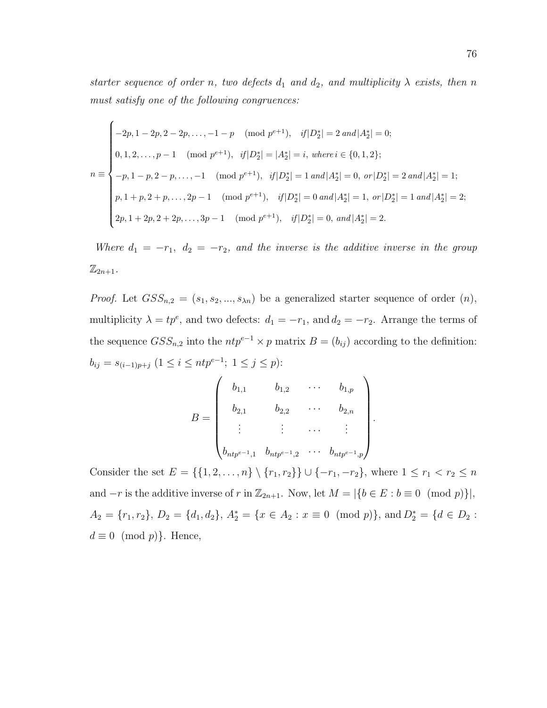starter sequence of order n, two defects  $d_1$  and  $d_2$ , and multiplicity  $\lambda$  exists, then n must satisfy one of the following congruences:

$$
n \equiv \begin{cases}\n-2p, 1-2p, 2-2p, \dots, -1-p \pmod{p^{e+1}}, & if |D_2^*| = 2 \text{ and } |A_2^*| = 0; \\
0, 1, 2, \dots, p-1 \pmod{p^{e+1}}, & if |D_2^*| = |A_2^*| = i, \text{ where } i \in \{0, 1, 2\}; \\
-p, 1-p, 2-p, \dots, -1 \pmod{p^{e+1}}, & if |D_2^*| = 1 \text{ and } |A_2^*| = 0, \text{ or } |D_2^*| = 2 \text{ and } |A_2^*| = 1; \\
p, 1+p, 2+p, \dots, 2p-1 \pmod{p^{e+1}}, & if |D_2^*| = 0 \text{ and } |A_2^*| = 1, \text{ or } |D_2^*| = 1 \text{ and } |A_2^*| = 2; \\
2p, 1+2p, 2+2p, \dots, 3p-1 \pmod{p^{e+1}}, & if |D_2^*| = 0, \text{ and } |A_2^*| = 2.\n\end{cases}
$$

Where  $d_1 = -r_1$ ,  $d_2 = -r_2$ , and the inverse is the additive inverse in the group  $\mathbb{Z}_{2n+1}$ .

*Proof.* Let  $GSS_{n,2} = (s_1, s_2, ..., s_{\lambda n})$  be a generalized starter sequence of order  $(n)$ , multiplicity  $\lambda = tp^e$ , and two defects:  $d_1 = -r_1$ , and  $d_2 = -r_2$ . Arrange the terms of the sequence  $GSS_{n,2}$  into the  $ntp^{e-1} \times p$  matrix  $B = (b_{ij})$  according to the definition:  $b_{ij} = s_{(i-1)p+j} \ (1 \leq i \leq ntp^{e-1}; \ 1 \leq j \leq p)$ :

$$
B = \begin{pmatrix} b_{1,1} & b_{1,2} & \cdots & b_{1,p} \\ b_{2,1} & b_{2,2} & \cdots & b_{2,n} \\ \vdots & \vdots & \cdots & \vdots \\ b_{ntp^{e-1},1} & b_{ntp^{e-1},2} & \cdots & b_{ntp^{e-1},p} \end{pmatrix}.
$$

Consider the set  $E = \{\{1, 2, ..., n\} \setminus \{r_1, r_2\}\} \cup \{-r_1, -r_2\}$ , where  $1 \le r_1 < r_2 \le n$ and  $-r$  is the additive inverse of r in  $\mathbb{Z}_{2n+1}$ . Now, let  $M = |\{b \in E : b \equiv 0 \pmod{p}\}|$ ,  $A_2 = \{r_1, r_2\}, D_2 = \{d_1, d_2\}, A_2^* = \{x \in A_2 : x \equiv 0 \pmod{p}\}, \text{and } D_2^* = \{d \in D_2 : x \equiv 0 \pmod{p}\}$  $d \equiv 0 \pmod{p}$ . Hence,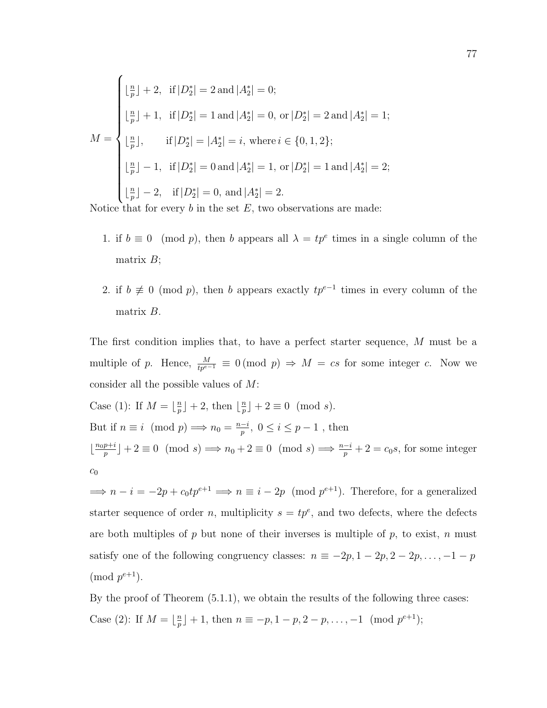$$
M = \begin{cases} \lfloor \frac{n}{p} \rfloor + 2, & \text{if } |D_2^*| = 2 \text{ and } |A_2^*| = 0; \\ \lfloor \frac{n}{p} \rfloor + 1, & \text{if } |D_2^*| = 1 \text{ and } |A_2^*| = 0, \text{ or } |D_2^*| = 2 \text{ and } |A_2^*| = 1; \\ \lfloor \frac{n}{p} \rfloor, & \text{if } |D_2^*| = |A_2^*| = i, \text{ where } i \in \{0, 1, 2\}; \\ \lfloor \frac{n}{p} \rfloor - 1, & \text{if } |D_2^*| = 0 \text{ and } |A_2^*| = 1, \text{ or } |D_2^*| = 1 \text{ and } |A_2^*| = 2; \\ \lfloor \frac{n}{p} \rfloor - 2, & \text{if } |D_2^*| = 0, \text{ and } |A_2^*| = 2. \end{cases}
$$

Notice that for every  $b$  in the set  $E$ , two observations are made:

- 1. if  $b \equiv 0 \pmod{p}$ , then b appears all  $\lambda = tp^e$  times in a single column of the matrix  $B$ ;
- 2. if  $b \not\equiv 0 \pmod{p}$ , then b appears exactly  $tp^{e-1}$  times in every column of the matrix B.

The first condition implies that, to have a perfect starter sequence, M must be a multiple of p. Hence,  $\frac{M}{tp^{e-1}} \equiv 0 \pmod{p} \Rightarrow M = cs$  for some integer c. Now we consider all the possible values of M:

Case (1): If  $M = \frac{n}{n}$  $\frac{n}{p}$  | + 2, then  $\lfloor \frac{n}{p} \rfloor$  $\frac{n}{p}$  | + 2  $\equiv$  0 (mod s). But if  $n \equiv i \pmod{p} \Longrightarrow n_0 = \frac{n-i}{n}$  $\frac{-i}{p}, 0 \leq i \leq p-1$ , then  $\lfloor \frac{n_0 p + i}{n} \rfloor$  $\frac{p+i}{p}$  + 2 = 0 (mod s)  $\implies n_0 + 2 \equiv 0 \pmod{s} \implies \frac{n-i}{p} + 2 = c_0 s$ , for some integer  $c_0$ 

 $\implies n - i = -2p + c_0 t p^{e+1} \implies n \equiv i - 2p \pmod{p^{e+1}}$ . Therefore, for a generalized starter sequence of order n, multiplicity  $s = tp^e$ , and two defects, where the defects are both multiples of  $p$  but none of their inverses is multiple of  $p$ , to exist,  $n$  must satisfy one of the following congruency classes:  $n \equiv -2p, 1 - 2p, 2 - 2p, \ldots, -1 - p$  $\pmod{p^{e+1}}$ .

By the proof of Theorem (5.1.1), we obtain the results of the following three cases: Case (2): If  $M = \frac{n}{n}$  $\binom{n}{p} + 1$ , then  $n \equiv -p, 1-p, 2-p, \ldots, -1 \pmod{p^{e+1}};$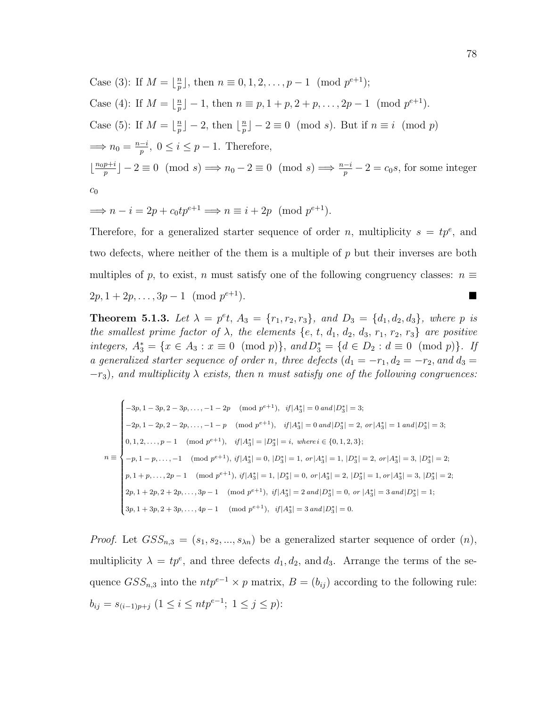Case (3): If 
$$
M = \lfloor \frac{n}{p} \rfloor
$$
, then  $n \equiv 0, 1, 2, ..., p - 1 \pmod{p^{e+1}}$ ;  
\nCase (4): If  $M = \lfloor \frac{n}{p} \rfloor - 1$ , then  $n \equiv p, 1 + p, 2 + p, ..., 2p - 1 \pmod{p^{e+1}}$ .  
\nCase (5): If  $M = \lfloor \frac{n}{p} \rfloor - 2$ , then  $\lfloor \frac{n}{p} \rfloor - 2 \equiv 0 \pmod{s}$ . But if  $n \equiv i \pmod{p}$   
\n $\implies n_0 = \frac{n-i}{p}, 0 \le i \le p - 1$ . Therefore,  
\n $\lfloor \frac{n_0 p + i}{p} \rfloor - 2 \equiv 0 \pmod{s} \implies n_0 - 2 \equiv 0 \pmod{s} \implies \frac{n-i}{p} - 2 = c_0 s$ , for some integer  
\n $c_0$ 

$$
\implies n - i = 2p + c_0 t p^{e+1} \implies n \equiv i + 2p \pmod{p^{e+1}}.
$$

Therefore, for a generalized starter sequence of order n, multiplicity  $s = tp^e$ , and two defects, where neither of the them is a multiple of  $p$  but their inverses are both multiples of p, to exist, n must satisfy one of the following congruency classes:  $n \equiv$  $2p, 1 + 2p, \ldots, 3p - 1 \pmod{p^{e+1}}$ .  $e+1$ ).

**Theorem 5.1.3.** Let  $\lambda = p^e t$ ,  $A_3 = \{r_1, r_2, r_3\}$ , and  $D_3 = \{d_1, d_2, d_3\}$ , where p is the smallest prime factor of  $\lambda$ , the elements {e, t, d<sub>1</sub>, d<sub>2</sub>, d<sub>3</sub>, r<sub>1</sub>, r<sub>2</sub>, r<sub>3</sub>} are positive integers,  $A_3^* = \{x \in A_3 : x \equiv 0 \pmod{p}\}$ , and  $D_3^* = \{d \in D_2 : d \equiv 0 \pmod{p}\}$ . If a generalized starter sequence of order n, three defects  $(d_1 = -r_1, d_2 = -r_2,$  and  $d_3 =$  $-r_3$ ), and multiplicity  $\lambda$  exists, then n must satisfy one of the following congruences:

$$
n \equiv \begin{cases}\n-3p, 1-3p, 2-3p, \dots, -1-2p \pmod{p^{e+1}}, & \text{if } |A_3^*| = 0 \text{ and } |D_3^*| = 3; \\
-2p, 1-2p, 2-2p, \dots, -1-p \pmod{p^{e+1}}, & \text{if } |A_3^*| = 0 \text{ and } |D_3^*| = 2, \text{ or } |A_3^*| = 1 \text{ and } |D_3^*| = 3; \\
0, 1, 2, \dots, p-1 \pmod{p^{e+1}}, & \text{if } |A_3^*| = |D_3^*| = i, \text{ where } i \in \{0, 1, 2, 3\}; \\
-p, 1-p, \dots, -1 \pmod{p^{e+1}}, & \text{if } |A_3^*| = 0, |D_3^*| = 1, \text{ or } |A_3^*| = 1, |D_3^*| = 2, \text{ or } |A_3^*| = 3, |D_3^*| = 2; \\
p, 1+p, \dots, 2p-1 \pmod{p^{e+1}}, & \text{if } |A_3^*| = 1, |D_3^*| = 0, \text{ or } |A_3^*| = 2, |D_3^*| = 1, \text{ or } |A_3^*| = 3, |D_3^*| = 2; \\
2p, 1+2p, 2+2p, \dots, 3p-1 \pmod{p^{e+1}}, & \text{if } |A_3^*| = 2 \text{ and } |D_3^*| = 0, \text{ or } |A_3^*| = 3 \text{ and } |D_3^*| = 1; \\
3p, 1+3p, 2+3p, \dots, 4p-1 \pmod{p^{e+1}}, & \text{if } |A_3^*| = 3 \text{ and } |D_3^*| = 0.\n\end{cases}
$$

*Proof.* Let  $GSS_{n,3} = (s_1, s_2, ..., s_{\lambda n})$  be a generalized starter sequence of order  $(n)$ , multiplicity  $\lambda = tp^e$ , and three defects  $d_1, d_2$ , and  $d_3$ . Arrange the terms of the sequence  $GSS_{n,3}$  into the  $ntp^{e-1} \times p$  matrix,  $B = (b_{ij})$  according to the following rule:  $b_{ij} = s_{(i-1)p+j} \ (1 \leq i \leq ntp^{e-1}; \ 1 \leq j \leq p)$ :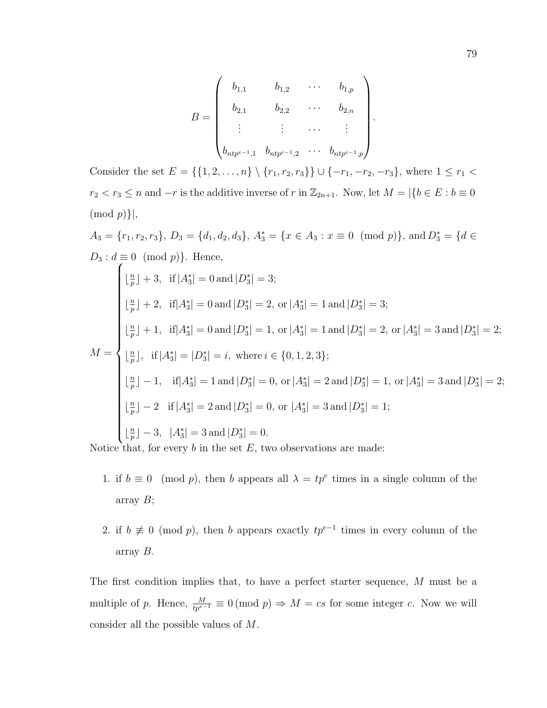$$
B = \begin{pmatrix} b_{1,1} & b_{1,2} & \cdots & b_{1,p} \\ b_{2,1} & b_{2,2} & \cdots & b_{2,n} \\ \vdots & \vdots & \cdots & \vdots \\ b_{ntp^{e-1},1} & b_{ntp^{e-1},2} & \cdots & b_{ntp^{e-1},p} \end{pmatrix}.
$$

Consider the set  $E = \{\{1, 2, ..., n\} \setminus \{r_1, r_2, r_3\}\} \cup \{-r_1, -r_2, -r_3\}$ , where  $1 \le r_1 <$  $r_2 < r_3 \le n$  and  $-r$  is the additive inverse of r in  $\mathbb{Z}_{2n+1}$ . Now, let  $M = |\{b \in E : b \equiv 0\}|$  $\pmod{p}$ ,

$$
A_3 = \{r_1, r_2, r_3\}, D_3 = \{d_1, d_2, d_3\}, A_3^* = \{x \in A_3 : x \equiv 0 \pmod{p}\}, \text{ and } D_3^* = \{d \in D_3 : d \equiv 0 \pmod{p}\}.
$$
 Hence,  
\n
$$
\begin{cases}\n\lfloor \frac{n}{p} \rfloor + 3, & \text{if } |A_3^*| = 0 \text{ and } |D_3^*| = 3; \\
\lfloor \frac{n}{p} \rfloor + 2, & \text{if } |A_3^*| = 0 \text{ and } |D_3^*| = 2, \text{ or } |A_3^*| = 1 \text{ and } |D_3^*| = 3;\n\end{cases}
$$
\n
$$
M = \begin{cases}\n\lfloor \frac{n}{p} \rfloor + 1, & \text{if } |A_3^*| = 0 \text{ and } |D_3^*| = 1, \text{ or } |A_3^*| = 1 \text{ and } |D_3^*| = 2, \text{ or } |A_3^*| = 3 \text{ and } |D_3^*| = 2; \\
\lfloor \frac{n}{p} \rfloor, & \text{if } |A_3^*| = |D_3^*| = i, \text{ where } i \in \{0, 1, 2, 3\}; \\
\lfloor \frac{n}{p} \rfloor - 1, & \text{if } |A_3^*| = 1 \text{ and } |D_3^*| = 0, \text{ or } |A_3^*| = 2 \text{ and } |D_3^*| = 1, \text{ or } |A_3^*| = 3 \text{ and } |D_3^*| = 2; \\
\lfloor \frac{n}{p} \rfloor - 2, & \text{if } |A_3^*| = 2 \text{ and } |D_3^*| = 0, \text{ or } |A_3^*| = 3 \text{ and } |D_3^*| = 1; \\
\lfloor \frac{n}{p} \rfloor - 3, & |A_3^*| = 3 \text{ and } |D_3^*| = 0.\n\end{cases}
$$

Notice that, for every  $b$  in the set  $E$ , two observations are made:

- 1. if  $b \equiv 0 \pmod{p}$ , then b appears all  $\lambda = tp^e$  times in a single column of the array  $B$ ;
- 2. if  $b \not\equiv 0 \pmod{p}$ , then b appears exactly  $tp^{e-1}$  times in every column of the array B.

The first condition implies that, to have a perfect starter sequence, M must be a multiple of p. Hence,  $\frac{M}{tp^{e-1}} \equiv 0 \pmod{p} \Rightarrow M = cs$  for some integer c. Now we will consider all the possible values of M.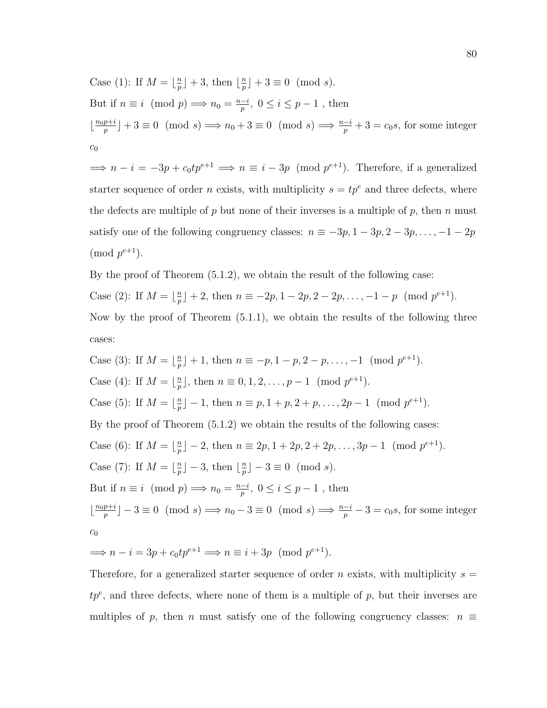Case (1): If  $M = \frac{n}{n}$  $\frac{n}{p}$  | + 3, then  $\lfloor \frac{n}{p} \rfloor$  $\frac{n}{p}$  | + 3  $\equiv$  0 (mod s). But if  $n \equiv i \pmod{p} \Longrightarrow n_0 = \frac{n-i}{n}$  $\frac{-i}{p}, 0 \leq i \leq p-1$ , then  $\frac{n_0 p + i}{n}$  $\frac{p+i}{p}$  + 3 = 0 (mod s)  $\implies n_0 + 3 \equiv 0 \pmod{s} \implies \frac{n-i}{p} + 3 = c_0 s$ , for some integer  $c_0$ 

 $\implies n - i = -3p + c_0 t p^{e+1} \implies n \equiv i - 3p \pmod{p^{e+1}}$ . Therefore, if a generalized starter sequence of order *n* exists, with multiplicity  $s = tp^e$  and three defects, where the defects are multiple of p but none of their inverses is a multiple of p, then n must satisfy one of the following congruency classes:  $n \equiv -3p, 1 - 3p, 2 - 3p, \ldots, -1 - 2p$  $\pmod{p^{e+1}}$ .

By the proof of Theorem (5.1.2), we obtain the result of the following case: Case (2): If  $M = \lfloor \frac{n}{n} \rfloor$  $\frac{p}{p}$  + 2, then  $n \equiv -2p, 1-2p, 2-2p, \ldots, -1-p \pmod{p^{e+1}}$ . Now by the proof of Theorem (5.1.1), we obtain the results of the following three cases:

Case (3): If  $M = \frac{n}{n}$  $\binom{n}{p} + 1$ , then  $n \equiv -p, 1-p, 2-p, \ldots, -1 \pmod{p^{e+1}}$ . Case (4): If  $M = \lfloor \frac{n}{n} \rfloor$  $\frac{p}{p}$ , then  $n \equiv 0, 1, 2, \ldots, p-1 \pmod{p^{e+1}}$ . Case (5): If  $M = \lfloor \frac{n}{n} \rfloor$  $\binom{n}{p} - 1$ , then  $n \equiv p, 1 + p, 2 + p, \ldots, 2p - 1 \pmod{p^{e+1}}$ . By the proof of Theorem (5.1.2) we obtain the results of the following cases: Case (6): If  $M = \frac{n}{n}$  $\frac{p}{p}$ ] – 2, then  $n \equiv 2p, 1 + 2p, 2 + 2p, \ldots, 3p - 1 \pmod{p^{e+1}}$ . Case (7): If  $M = \lfloor \frac{n}{n} \rfloor$  $\lfloor \frac{n}{p} \rfloor - 3$ , then  $\lfloor \frac{n}{p} \rfloor$  $\lfloor \frac{n}{p} \rfloor - 3 \equiv 0 \pmod{s}.$ But if  $n \equiv i \pmod{p} \Longrightarrow n_0 = \frac{n-i}{n}$  $\frac{-i}{p}, 0 \leq i \leq p-1$ , then  $\frac{n_0 p + i}{n}$  $\frac{p+i}{p}$  $-3 \equiv 0 \pmod{s} \implies n_0 - 3 \equiv 0 \pmod{s} \implies \frac{n-i}{p} - 3 = c_0 s$ , for some integer  $c_0$ 

$$
\implies n - i = 3p + c_0 t p^{e+1} \implies n \equiv i + 3p \pmod{p^{e+1}}.
$$

Therefore, for a generalized starter sequence of order n exists, with multiplicity  $s =$  $tp^e$ , and three defects, where none of them is a multiple of  $p$ , but their inverses are multiples of p, then n must satisfy one of the following congruency classes:  $n \equiv$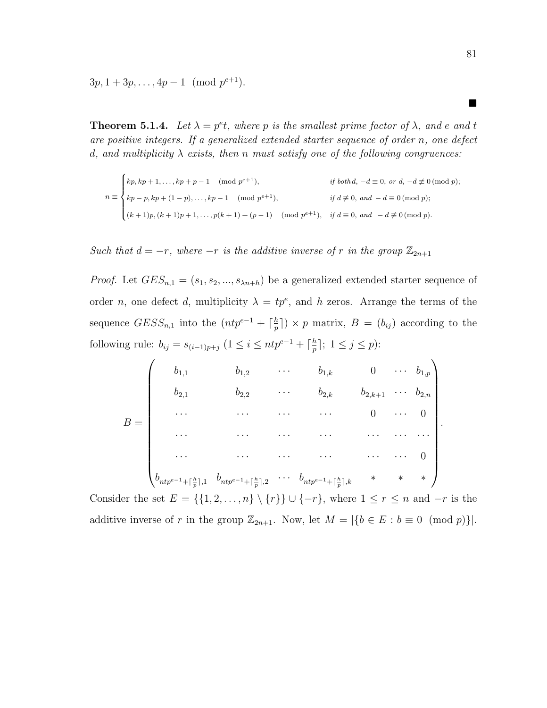$3p, 1+3p, \ldots, 4p-1 \pmod{p^{e+1}}.$ 

**Theorem 5.1.4.** Let  $\lambda = p^e t$ , where p is the smallest prime factor of  $\lambda$ , and e and t are positive integers. If a generalized extended starter sequence of order n, one defect d, and multiplicity  $\lambda$  exists, then n must satisfy one of the following congruences:

$$
n \equiv \begin{cases} kp, kp + 1, ..., kp + p - 1 \pmod{p^{e+1}}, & \text{if both } d, -d \equiv 0, \text{ or } d, -d \not\equiv 0 \pmod{p}; \\ kp - p, kp + (1 - p), ..., kp - 1 \pmod{p^{e+1}}, & \text{if } d \not\equiv 0, \text{ and } -d \equiv 0 \pmod{p}; \\ (k + 1)p, (k + 1)p + 1, ..., p(k + 1) + (p - 1) \pmod{p^{e+1}}, & \text{if } d \equiv 0, \text{ and } -d \not\equiv 0 \pmod{p}. \end{cases}
$$

Such that  $d = -r$ , where  $-r$  is the additive inverse of r in the group  $\mathbb{Z}_{2n+1}$ 

*Proof.* Let  $GES_{n,1} = (s_1, s_2, ..., s_{\lambda n+h})$  be a generalized extended starter sequence of order *n*, one defect *d*, multiplicity  $\lambda = tp^e$ , and *h* zeros. Arrange the terms of the sequence  $GESS_{n,1}$  into the  $(ntp^{e-1} + \lceil \frac{h}{n} \rceil$  $\binom{h}{p}$   $\times$  p matrix,  $B = (b_{ij})$  according to the following rule:  $b_{ij} = s_{(i-1)p+j} \ (1 \leq i \leq ntp^{e-1} + \lceil \frac{h}{p} \rceil)$  $\frac{h}{p}$ ];  $1 \leq j \leq p$ ):

$$
B = \begin{pmatrix} b_{1,1} & b_{1,2} & \cdots & b_{1,k} & 0 & \cdots & b_{1,p} \\ b_{2,1} & b_{2,2} & \cdots & b_{2,k} & b_{2,k+1} & \cdots & b_{2,n} \\ \cdots & \cdots & \cdots & \cdots & 0 & \cdots & 0 \\ \cdots & \cdots & \cdots & \cdots & \cdots & \cdots & \cdots \\ \cdots & \cdots & \cdots & \cdots & \cdots & \cdots & 0 \\ \vdots & \vdots & \vdots & \ddots & \vdots & \ddots & \vdots \\ b_{ntp^{e-1} + \lceil \frac{h}{p} \rceil,1} & b_{ntp^{e-1} + \lceil \frac{h}{p} \rceil,2} & \cdots & b_{ntp^{e-1} + \lceil \frac{h}{p} \rceil,k} & * & * & * \end{pmatrix}.
$$

Consider the set  $E = \{\{1, 2, ..., n\} \setminus \{r\}\} \cup \{-r\}$ , where  $1 \leq r \leq n$  and  $-r$  is the additive inverse of r in the group  $\mathbb{Z}_{2n+1}$ . Now, let  $M = |\{b \in E : b \equiv 0 \pmod{p}\}|$ .

■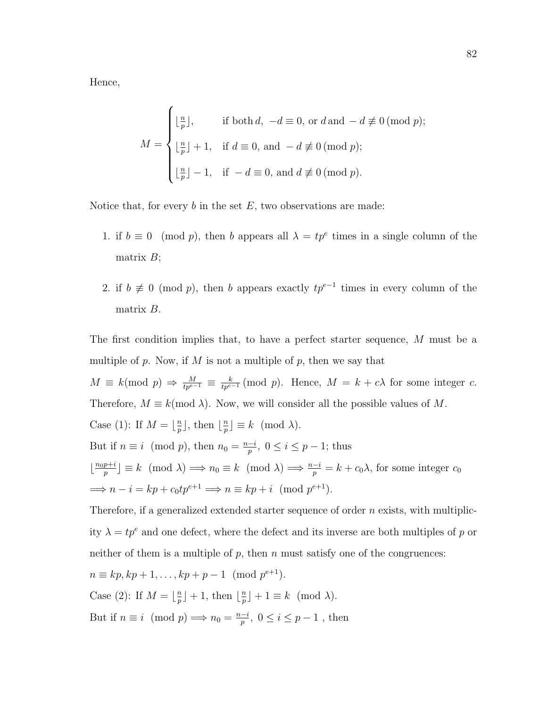Hence,

$$
M = \begin{cases} \lfloor \frac{n}{p} \rfloor, & \text{if both } d, \ -d \equiv 0, \text{ or } d \text{ and } -d \not\equiv 0 \text{ (mod } p); \\ \lfloor \frac{n}{p} \rfloor + 1, & \text{if } d \equiv 0, \text{ and } -d \not\equiv 0 \text{ (mod } p); \\ \lfloor \frac{n}{p} \rfloor - 1, & \text{if } -d \equiv 0, \text{ and } d \not\equiv 0 \text{ (mod } p). \end{cases}
$$

Notice that, for every  $b$  in the set  $E$ , two observations are made:

- 1. if  $b \equiv 0 \pmod{p}$ , then b appears all  $\lambda = tp^e$  times in a single column of the matrix  $B$ ;
- 2. if  $b \not\equiv 0 \pmod{p}$ , then b appears exactly  $tp^{e-1}$  times in every column of the matrix B.

The first condition implies that, to have a perfect starter sequence, M must be a multiple of p. Now, if M is not a multiple of p, then we say that

 $M \equiv k \pmod{p} \Rightarrow \frac{M}{tp^{e-1}} \equiv \frac{k}{tp^{e-1}} \pmod{p}$ . Hence,  $M = k + c\lambda$  for some integer c. Therefore,  $M \equiv k \pmod{\lambda}$ . Now, we will consider all the possible values of M.

Case (1): If 
$$
M = \lfloor \frac{n}{p} \rfloor
$$
, then  $\lfloor \frac{n}{p} \rfloor \equiv k \pmod{\lambda}$ .

But if  $n \equiv i \pmod{p}$ , then  $n_0 = \frac{n-i}{n}$  $\frac{-i}{p},\ 0\leq i\leq p-1$ ; thus  $\lfloor \frac{n_0 p + i}{n} \rfloor$  $\frac{p+i}{p} \equiv k \pmod{\lambda} \Longrightarrow n_0 \equiv k \pmod{\lambda} \Longrightarrow \frac{n-i}{p} = k + c_0 \lambda$ , for some integer  $c_0$  $\implies n - i = kp + c_0 t p^{e+1} \implies n \equiv kp + i \pmod{p^{e+1}}.$ 

Therefore, if a generalized extended starter sequence of order  $n$  exists, with multiplicity  $\lambda = tp^e$  and one defect, where the defect and its inverse are both multiples of p or neither of them is a multiple of  $p$ , then  $n$  must satisfy one of the congruences:

$$
n \equiv kp, kp + 1, \dots, kp + p - 1 \pmod{p^{e+1}}.
$$
  
Case (2): If  $M = \lfloor \frac{n}{p} \rfloor + 1$ , then  $\lfloor \frac{n}{p} \rfloor + 1 \equiv k \pmod{\lambda}$ .  
But if  $n \equiv i \pmod{p} \Longrightarrow n_0 = \frac{n-i}{p}, 0 \le i \le p - 1$ , then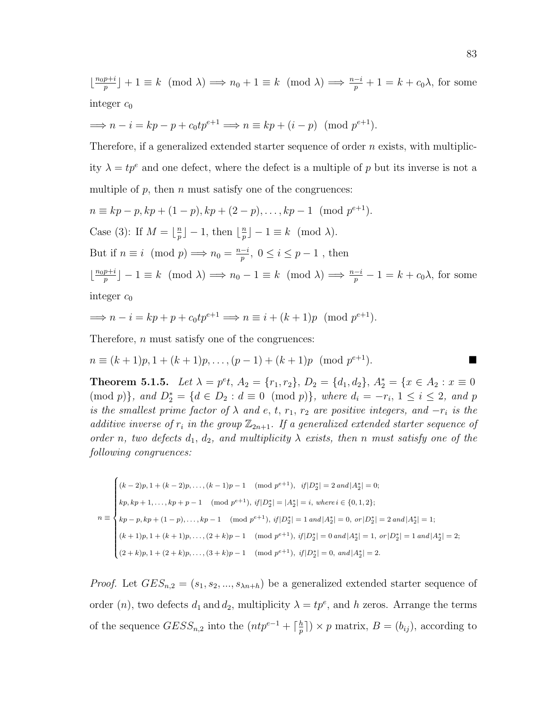$\frac{n_0 p + i}{n}$  $\binom{p+i}{p}+1 \equiv k \pmod{\lambda} \Longrightarrow n_0+1 \equiv k \pmod{\lambda} \Longrightarrow \frac{n-i}{p}+1 = k+c_0\lambda$ , for some integer  $c_0$ 

$$
\implies n - i = kp - p + c_0 t p^{e+1} \implies n \equiv kp + (i - p) \pmod{p^{e+1}}.
$$

Therefore, if a generalized extended starter sequence of order  $n$  exists, with multiplicity  $\lambda = tp^e$  and one defect, where the defect is a multiple of p but its inverse is not a multiple of  $p$ , then  $n$  must satisfy one of the congruences:

$$
n \equiv kp - p, kp + (1 - p), kp + (2 - p), \dots, kp - 1 \pmod{p^{e+1}}.
$$
  
Case (3): If  $M = \lfloor \frac{n}{p} \rfloor - 1$ , then  $\lfloor \frac{n}{p} \rfloor - 1 \equiv k \pmod{\lambda}$ .  
But if  $n \equiv i \pmod{p} \Longrightarrow n_0 = \frac{n-i}{p}, 0 \le i \le p - 1$ , then  
 $\lfloor \frac{n_0 p + i}{p} \rfloor - 1 \equiv k \pmod{\lambda} \Longrightarrow n_0 - 1 \equiv k \pmod{\lambda} \Longrightarrow \frac{n-i}{p} - 1 = k + 1$ 

integer  $c_0$ 

$$
\implies n - i = kp + p + c_0 t p^{e+1} \implies n \equiv i + (k+1)p \pmod{p^{e+1}}.
$$

Therefore, *n* must satisfy one of the congruences:

$$
n \equiv (k+1)p, 1 + (k+1)p, \dots, (p-1) + (k+1)p \pmod{p^{e+1}}.
$$

**Theorem 5.1.5.** Let  $\lambda = p^e t$ ,  $A_2 = \{r_1, r_2\}$ ,  $D_2 = \{d_1, d_2\}$ ,  $A_2^* = \{x \in A_2 : x \equiv 0\}$  $(\text{mod } p)$ , and  $D_2^* = \{d \in D_2 : d \equiv 0 \pmod{p}\}$ , where  $d_i = -r_i, 1 \le i \le 2$ , and p is the smallest prime factor of  $\lambda$  and e, t,  $r_1$ ,  $r_2$  are positive integers, and  $-r_i$  is the additive inverse of  $r_i$  in the group  $\mathbb{Z}_{2n+1}$ . If a generalized extended starter sequence of order n, two defects  $d_1, d_2,$  and multiplicity  $\lambda$  exists, then n must satisfy one of the following congruences:

$$
n \equiv \begin{cases} (k-2)p, 1 + (k-2)p, \dots, (k-1)p - 1 \pmod{p^{e+1}}, & if |D_2^*| = 2 \text{ and } |A_2^*| = 0; \\ kp, kp+1, \dots, kp+p-1 \pmod{p^{e+1}}, & if |D_2^*| = |A_2^*| = i, \text{ where } i \in \{0,1,2\}; \\ kp-p, kp+(1-p), \dots, kp-1 \pmod{p^{e+1}}, & if |D_2^*| = 1 \text{ and } |A_2^*| = 0, \text{ or } |D_2^*| = 2 \text{ and } |A_2^*| = 1; \\ (k+1)p, 1 + (k+1)p, \dots, (2+k)p - 1 \pmod{p^{e+1}}, & if |D_2^*| = 0 \text{ and } |A_2^*| = 1, \text{ or } |D_2^*| = 1 \text{ and } |A_2^*| = 2; \\ (2+k)p, 1 + (2+k)p, \dots, (3+k)p - 1 \pmod{p^{e+1}}, & if |D_2^*| = 0, \text{ and } |A_2^*| = 2. \end{cases}
$$

*Proof.* Let  $GES_{n,2} = (s_1, s_2, ..., s_{\lambda n+h})$  be a generalized extended starter sequence of order  $(n)$ , two defects  $d_1$  and  $d_2$ , multiplicity  $\lambda = tp^e$ , and h zeros. Arrange the terms of the sequence  $GESS_{n,2}$  into the  $(ntp^{e-1} + \lceil \frac{h}{n} \rceil$  $\binom{h}{p}$   $\times$  p matrix,  $B = (b_{ij})$ , according to

 $c_0\lambda$ , for some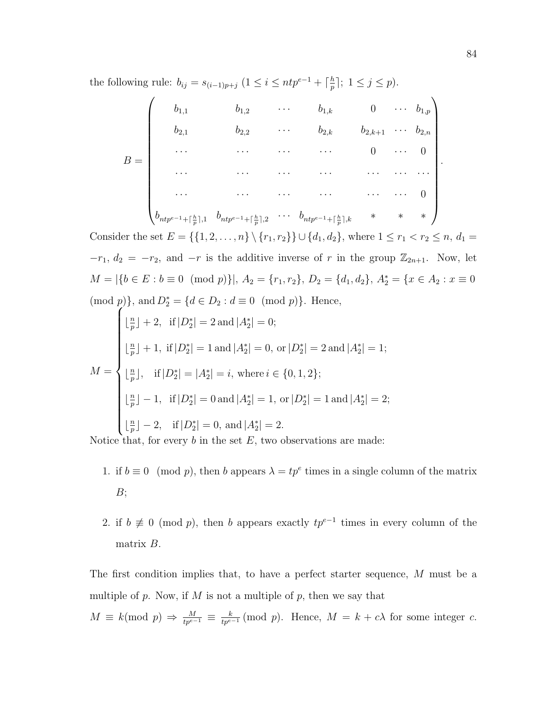the following rule:  $b_{ij} = s_{(i-1)p+j} \ (1 \leq i \leq ntp^{e-1} + \lceil \frac{h}{n} \rceil$  $\frac{h}{p}$ ];  $1 \leq j \leq p$ ).

$$
B = \begin{pmatrix} b_{1,1} & b_{1,2} & \cdots & b_{1,k} & 0 & \cdots & b_{1,p} \\ b_{2,1} & b_{2,2} & \cdots & b_{2,k} & b_{2,k+1} & \cdots & b_{2,n} \\ \cdots & \cdots & \cdots & \cdots & 0 & \cdots & 0 \\ \cdots & \cdots & \cdots & \cdots & \cdots & \cdots & 0 \\ \cdots & \cdots & \cdots & \cdots & \cdots & \cdots & 0 \\ \vdots & \vdots & \vdots & \ddots & \vdots & \ddots & \vdots \\ b_{ntp^{e-1} + \lceil \frac{h}{p} \rceil,1} & b_{ntp^{e-1} + \lceil \frac{h}{p} \rceil,2} & \cdots & b_{ntp^{e-1} + \lceil \frac{h}{p} \rceil,k} & * & * & * \end{pmatrix}.
$$

Consider the set  $E = \{\{1, 2, ..., n\} \setminus \{r_1, r_2\}\} \cup \{d_1, d_2\}$ , where  $1 \le r_1 < r_2 \le n$ ,  $d_1 =$  $-r_1, d_2 = -r_2$ , and  $-r$  is the additive inverse of r in the group  $\mathbb{Z}_{2n+1}$ . Now, let  $M = |\{b \in E : b \equiv 0 \pmod{p}\}|, A_2 = \{r_1, r_2\}, D_2 = \{d_1, d_2\}, A_2^* = \{x \in A_2 : x \equiv 0\}$  $(\text{mod } p)$ , and  $D_2^* = \{d \in D_2 : d \equiv 0 \pmod{p}\}.$  Hence,

$$
M = \begin{cases} \lfloor \frac{n}{p} \rfloor + 2, & \text{if } |D_2^*| = 2 \text{ and } |A_2^*| = 0; \\ \lfloor \frac{n}{p} \rfloor + 1, & \text{if } |D_2^*| = 1 \text{ and } |A_2^*| = 0, \text{ or } |D_2^*| = 2 \text{ and } |A_2^*| = 1; \\ \lfloor \frac{n}{p} \rfloor, & \text{if } |D_2^*| = |A_2^*| = i, \text{ where } i \in \{0, 1, 2\}; \\ \lfloor \frac{n}{p} \rfloor - 1, & \text{if } |D_2^*| = 0 \text{ and } |A_2^*| = 1, \text{ or } |D_2^*| = 1 \text{ and } |A_2^*| = 2; \\ \lfloor \frac{n}{p} \rfloor - 2, & \text{if } |D_2^*| = 0, \text{ and } |A_2^*| = 2. \end{cases}
$$

Notice that, for every  $b$  in the set  $E$ , two observations are made:

- 1. if  $b \equiv 0 \pmod{p}$ , then b appears  $\lambda = tp^e$  times in a single column of the matrix  $B$ ;
- 2. if  $b \not\equiv 0 \pmod{p}$ , then b appears exactly  $tp^{e-1}$  times in every column of the matrix  $B$ .

The first condition implies that, to have a perfect starter sequence, M must be a multiple of p. Now, if  $M$  is not a multiple of p, then we say that

 $M \equiv k \pmod{p} \Rightarrow \frac{M}{tp^{e-1}} \equiv \frac{k}{tp^{e-1}} \pmod{p}$ . Hence,  $M = k + c\lambda$  for some integer c.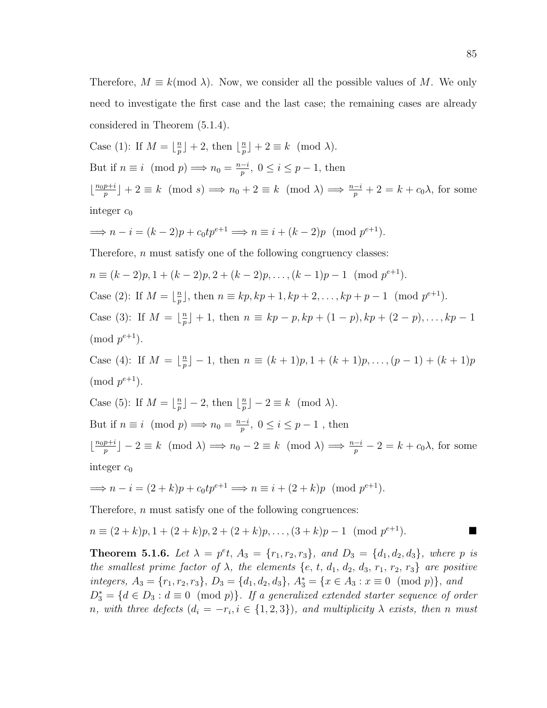Therefore,  $M \equiv k \pmod{\lambda}$ . Now, we consider all the possible values of M. We only need to investigate the first case and the last case; the remaining cases are already considered in Theorem (5.1.4).

Case (1): If 
$$
M = \lfloor \frac{n}{p} \rfloor + 2
$$
, then  $\lfloor \frac{n}{p} \rfloor + 2 \equiv k \pmod{\lambda}$ .  
But if  $n \equiv i \pmod{p} \implies n_0 = \frac{n-i}{p}$ ,  $0 \le i \le p-1$ , then  
 $\lfloor \frac{n_0 p + i}{p} \rfloor + 2 \equiv k \pmod{s} \implies n_0 + 2 \equiv k \pmod{\lambda} \implies \frac{n-i}{p} + 2 = k + c_0 \lambda$ , for some integer  $c_0$ 

$$
\implies n - i = (k - 2)p + c_0 t p^{e+1} \implies n \equiv i + (k - 2)p \pmod{p^{e+1}}.
$$

Therefore, *n* must satisfy one of the following congruency classes:

$$
n \equiv (k-2)p, 1 + (k-2)p, 2 + (k-2)p, \dots, (k-1)p - 1 \pmod{p^{e+1}}.
$$
  
Case (2): If  $M = \lfloor \frac{n}{p} \rfloor$ , then  $n \equiv kp, kp + 1, kp + 2, \dots, kp + p - 1 \pmod{p^{e+1}}$ .  
Case (3): If  $M = \lfloor \frac{n}{p} \rfloor + 1$ , then  $n \equiv kp - p, kp + (1 - p), kp + (2 - p), \dots, kp - 1 \pmod{p^{e+1}}$ .

Case (4): If  $M = \frac{n}{n}$  $\binom{n}{p}$  – 1, then  $n \equiv (k+1)p, 1 + (k+1)p, \ldots, (p-1) + (k+1)p$  $\pmod{p^{e+1}}$ .

Case (5): If  $M = \lfloor \frac{n}{n} \rfloor$  $\lfloor \frac{n}{p} \rfloor - 2$ , then  $\lfloor \frac{n}{p} \rfloor$  $\lfloor \frac{n}{p} \rfloor - 2 \equiv k \pmod{\lambda}.$ But if  $n \equiv i \pmod{p} \Longrightarrow n_0 = \frac{n-i}{n}$  $\frac{-i}{p}, 0 \leq i \leq p-1$ , then  $\frac{n_0 p + i}{n}$  $\binom{p+i}{p} - 2 \equiv k \pmod{\lambda} \Longrightarrow n_0 - 2 \equiv k \pmod{\lambda} \Longrightarrow \frac{n-i}{p} - 2 = k + c_0 \lambda$ , for some integer  $c_0$ 

$$
\implies n - i = (2 + k)p + c_0 t p^{e+1} \implies n \equiv i + (2 + k)p \pmod{p^{e+1}}.
$$

Therefore, *n* must satisfy one of the following congruences:

$$
n \equiv (2+k)p, 1 + (2+k)p, 2 + (2+k)p, \dots, (3+k)p - 1 \pmod{p^{e+1}}.
$$

**Theorem 5.1.6.** Let  $\lambda = p^e t$ ,  $A_3 = \{r_1, r_2, r_3\}$ , and  $D_3 = \{d_1, d_2, d_3\}$ , where p is the smallest prime factor of  $\lambda$ , the elements {e, t, d<sub>1</sub>, d<sub>2</sub>, d<sub>3</sub>, r<sub>1</sub>, r<sub>2</sub>, r<sub>3</sub>} are positive integers,  $A_3 = \{r_1, r_2, r_3\}, D_3 = \{d_1, d_2, d_3\}, A_3^* = \{x \in A_3 : x \equiv 0 \pmod{p}\}, and$  $D_3^* = \{d \in D_3 : d \equiv 0 \pmod{p}\}.$  If a generalized extended starter sequence of order n, with three defects  $(d_i = -r_i, i \in \{1, 2, 3\})$ , and multiplicity  $\lambda$  exists, then n must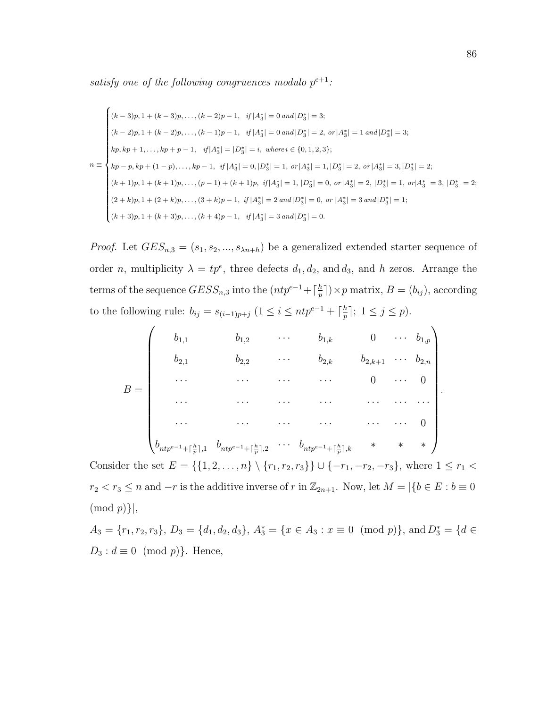satisfy one of the following congruences modulo  $p^{e+1}$ :

$$
n \equiv \begin{cases} (k-3)p, 1+(k-3)p, \dots, (k-2)p-1, & if |A_3^*| = 0 \text{ and } |D_3^*| = 3; \\ (k-2)p, 1+(k-2)p, \dots, (k-1)p-1, & if |A_3^*| = 0 \text{ and } |D_3^*| = 2, \text{ or } |A_3^*| = 1 \text{ and } |D_3^*| = 3; \\ kp, kp+1, \dots, kp+p-1, & if |A_3^*| = |D_3^*| = i, \text{ where } i \in \{0, 1, 2, 3\}; \\ kp-p, kp+(1-p), \dots, kp-1, & if |A_3^*| = 0, |D_3^*| = 1, \text{ or } |A_3^*| = 1, |D_3^*| = 2, \text{ or } |A_3^*| = 3, |D_3^*| = 2; \\ (k+1)p, 1+(k+1)p, \dots, (p-1)+(k+1)p, & if |A_3^*| = 1, |D_3^*| = 0, \text{ or } |A_3^*| = 2, |D_3^*| = 1, \text{ or } |A_3^*| = 3, |D_3^*| = 2; \\ (2+k)p, 1+(2+k)p, \dots, (3+k)p-1, & if |A_3^*| = 2 \text{ and } |D_3^*| = 0, \text{ or } |A_3^*| = 3 \text{ and } |D_3^*| = 1; \\ (k+3)p, 1+(k+3)p, \dots, (k+4)p-1, & if |A_3^*| = 3 \text{ and } |D_3^*| = 0. \end{cases}
$$

*Proof.* Let  $GES_{n,3} = (s_1, s_2, ..., s_{\lambda n+h})$  be a generalized extended starter sequence of order *n*, multiplicity  $\lambda = tp^e$ , three defects  $d_1, d_2$ , and  $d_3$ , and *h* zeros. Arrange the terms of the sequence  $GESS_{n,3}$  into the  $(ntp^{e-1} + \lceil \frac{h}{n} \rceil$  $\frac{h}{p}$ ]  $\times p$  matrix,  $B = (b_{ij})$ , according to the following rule:  $b_{ij} = s_{(i-1)p+j} \ (1 \leq i \leq ntp^{e-1} + \lceil \frac{h}{n} \rceil)$  $\frac{h}{p}$ ];  $1 \leq j \leq p$ ).

$$
B = \begin{pmatrix} b_{1,1} & b_{1,2} & \cdots & b_{1,k} & 0 & \cdots & b_{1,p} \\ b_{2,1} & b_{2,2} & \cdots & b_{2,k} & b_{2,k+1} & \cdots & b_{2,n} \\ \cdots & \cdots & \cdots & \cdots & 0 & \cdots & 0 \\ \vdots & \vdots & \ddots & \vdots & \ddots & \vdots & \vdots \\ b_{ntp^{e-1}+\lceil\frac{h}{p}\rceil,1} & b_{ntp^{e-1}+\lceil\frac{h}{p}\rceil,2} & \cdots & b_{ntp^{e-1}+\lceil\frac{h}{p}\rceil,k} & * & * & * \end{pmatrix}.
$$

Consider the set  $E = \{\{1, 2, ..., n\} \setminus \{r_1, r_2, r_3\}\} \cup \{-r_1, -r_2, -r_3\}$ , where  $1 \le r_1 <$  $r_2 < r_3 \le n$  and  $-r$  is the additive inverse of r in  $\mathbb{Z}_{2n+1}$ . Now, let  $M = |\{b \in E : b \equiv 0\}|$  $\pmod{p}$ ,

 $A_3 = \{r_1, r_2, r_3\}, D_3 = \{d_1, d_2, d_3\}, A_3^* = \{x \in A_3 : x \equiv 0 \pmod{p}\}, \text{ and } D_3^* = \{d \in A_3 : x \equiv 0 \pmod{p}\}\$  $D_3: d \equiv 0 \pmod{p}$ . Hence,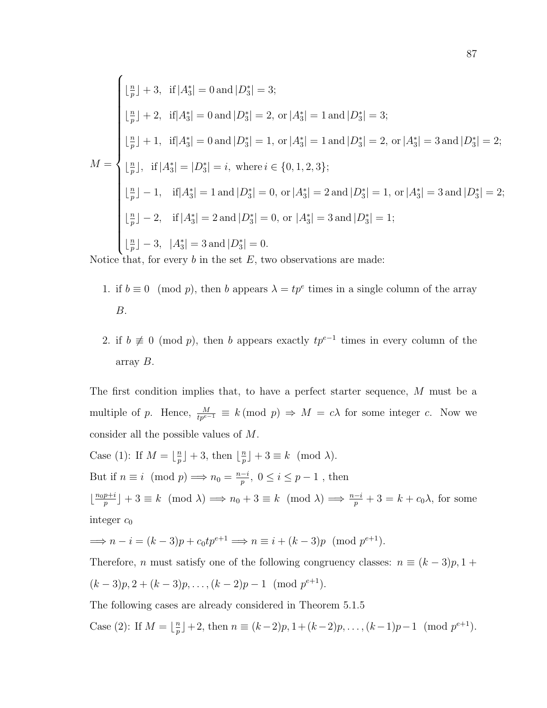$$
\begin{cases}\n\lfloor \frac{n}{p} \rfloor + 3, & \text{if } |A_3^*| = 0 \text{ and } |D_3^*| = 3; \\
\lfloor \frac{n}{p} \rfloor + 2, & \text{if } |A_3^*| = 0 \text{ and } |D_3^*| = 2, \text{ or } |A_3^*| = 1 \text{ and } |D_3^*| = 3; \\
\lfloor \frac{n}{p} \rfloor + 1, & \text{if } |A_3^*| = 0 \text{ and } |D_3^*| = 1, \text{ or } |A_3^*| = 1 \text{ and } |D_3^*| = 2, \text{ or } |A_3^*| = 3 \text{ and } |D_3^*| = 2; \\
M = \begin{cases}\n\lfloor \frac{n}{p} \rfloor, & \text{if } |A_3^*| = |D_3^*| = i, \text{ where } i \in \{0, 1, 2, 3\}; \\
\lfloor \frac{n}{p} \rfloor - 1, & \text{if } |A_3^*| = 1 \text{ and } |D_3^*| = 0, \text{ or } |A_3^*| = 2 \text{ and } |D_3^*| = 1, \text{ or } |A_3^*| = 3 \text{ and } |D_3^*| = 2; \\
\lfloor \frac{n}{p} \rfloor - 2, & \text{if } |A_3^*| = 2 \text{ and } |D_3^*| = 0, \text{ or } |A_3^*| = 3 \text{ and } |D_3^*| = 1; \\
\lfloor \frac{n}{p} \rfloor - 3, & |A_3^*| = 3 \text{ and } |D_3^*| = 0.\n\end{cases}
$$

Notice that, for every  $b$  in the set  $E$ , two observations are made:

- 1. if  $b \equiv 0 \pmod{p}$ , then b appears  $\lambda = tp^e$  times in a single column of the array B.
- 2. if  $b \not\equiv 0 \pmod{p}$ , then b appears exactly  $tp^{e-1}$  times in every column of the array B.

The first condition implies that, to have a perfect starter sequence, M must be a multiple of p. Hence,  $\frac{M}{tp^{e-1}} \equiv k \pmod{p} \Rightarrow M = c\lambda$  for some integer c. Now we consider all the possible values of M.

Case (1): If  $M = \lfloor \frac{n}{n} \rfloor$  $\frac{n}{p}$  | + 3, then  $\lfloor \frac{n}{p} \rfloor$  $\frac{n}{p}$  | + 3  $\equiv k \pmod{\lambda}$ . But if  $n \equiv i \pmod{p} \Longrightarrow n_0 = \frac{n-i}{n}$  $\frac{-i}{p}, 0 \leq i \leq p-1$ , then  $\frac{n_0 p + i}{n}$  $\binom{p+i}{p}$  + 3  $\equiv k \pmod{\lambda} \Longrightarrow n_0 + 3 \equiv k \pmod{\lambda} \Longrightarrow \frac{n-i}{p} + 3 = k + c_0 \lambda$ , for some integer  $c_0$ 

$$
\implies n - i = (k - 3)p + c_0 t p^{e+1} \implies n \equiv i + (k - 3)p \pmod{p^{e+1}}.
$$

Therefore, n must satisfy one of the following congruency classes:  $n \equiv (k-3)p, 1 +$  $(k-3)p, 2+(k-3)p, \ldots, (k-2)p-1 \pmod{p^{e+1}}.$ 

The following cases are already considered in Theorem 5.1.5

Case (2): If  $M = \lfloor \frac{n}{n} \rfloor$  $\frac{n}{p}$  + 2, then  $n \equiv (k-2)p, 1 + (k-2)p, \ldots, (k-1)p-1 \pmod{p^{e+1}}$ .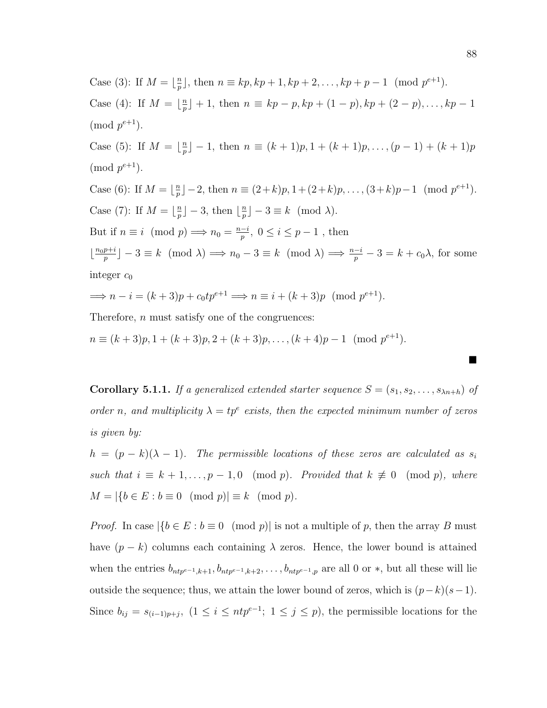Case (3): If  $M = \frac{n}{n}$  $p_{p}^{n}$ , then  $n \equiv kp, kp + 1, kp + 2, ..., kp + p - 1 \pmod{p^{e+1}}$ . Case (4): If  $M = \frac{n}{n}$  $\binom{n}{p}$  + 1, then  $n \equiv kp - p$ ,  $kp + (1 - p)$ ,  $kp + (2 - p)$ , ...,  $kp - 1$  $\pmod{p^{e+1}}$ . Case (5): If  $M = \frac{n}{n}$  $\binom{n}{p}$  – 1, then  $n \equiv (k+1)p, 1 + (k+1)p, \ldots, (p-1) + (k+1)p$  $\pmod{p^{e+1}}$ . Case (6): If  $M = \frac{n}{n}$  $\frac{n}{p}$ ] - 2, then  $n \equiv (2+k)p, 1+(2+k)p, \ldots, (3+k)p-1 \pmod{p^{e+1}}.$ Case (7): If  $M = \lfloor \frac{n}{n} \rfloor$  $\lfloor \frac{n}{p} \rfloor - 3$ , then  $\lfloor \frac{n}{p} \rfloor$  $\lfloor \frac{n}{p} \rfloor - 3 \equiv k \pmod{\lambda}.$ But if  $n \equiv i \pmod{p} \Longrightarrow n_0 = \frac{n-i}{n}$  $\frac{-i}{p}, 0 \leq i \leq p-1$ , then  $\frac{n_0 p + i}{n}$  $\binom{p+i}{p} - 3 \equiv k \pmod{\lambda} \Longrightarrow n_0 - 3 \equiv k \pmod{\lambda} \Longrightarrow \frac{n-i}{p} - 3 = k + c_0 \lambda$ , for some integer  $c_0$  $\implies n - i = (k+3)p + c_0 t p^{e+1} \implies n \equiv i + (k+3)p \pmod{p^{e+1}}.$ 

Therefore, n must satisfy one of the congruences:

 $n \equiv (k+3)p, 1 + (k+3)p, 2 + (k+3)p, \ldots, (k+4)p-1 \pmod{p^{e+1}}.$ 

**Corollary 5.1.1.** If a generalized extended starter sequence  $S = (s_1, s_2, \ldots, s_{\lambda n+h})$  of order n, and multiplicity  $\lambda = tp^e$  exists, then the expected minimum number of zeros is given by:

 $h = (p - k)(\lambda - 1)$ . The permissible locations of these zeros are calculated as  $s_i$ such that  $i \equiv k + 1, ..., p - 1, 0 \pmod{p}$ . Provided that  $k \not\equiv 0 \pmod{p}$ , where  $M = |\{b \in E : b \equiv 0 \pmod{p}\}| \equiv k \pmod{p}.$ 

*Proof.* In case  $|\{b \in E : b \equiv 0 \pmod{p}\}|$  is not a multiple of p, then the array B must have  $(p - k)$  columns each containing  $\lambda$  zeros. Hence, the lower bound is attained when the entries  $b_{ntp^{e-1},k+1}, b_{ntp^{e-1},k+2}, \ldots, b_{ntp^{e-1},p}$  are all 0 or  $*$ , but all these will lie outside the sequence; thus, we attain the lower bound of zeros, which is  $(p-k)(s-1)$ . Since  $b_{ij} = s_{(i-1)p+j}$ ,  $(1 \leq i \leq ntp^{e-1}; 1 \leq j \leq p)$ , the permissible locations for the

 $\blacksquare$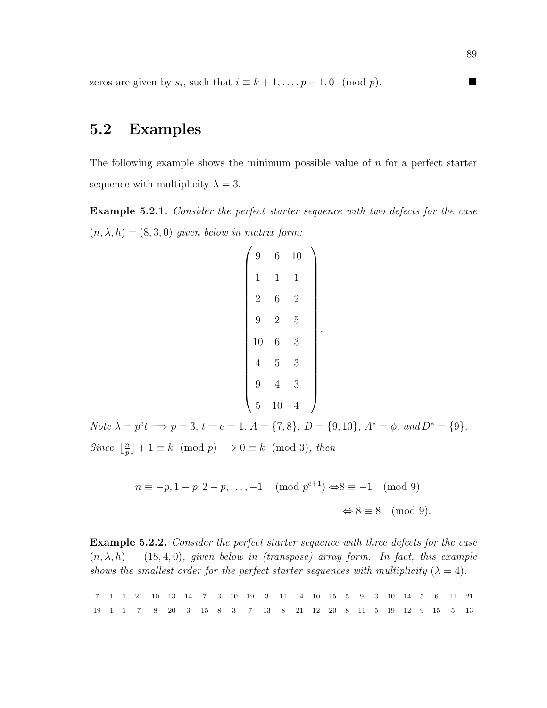zeros are given by  $s_i$ , such that  $i \equiv k+1, \ldots, p-1, 0 \pmod{p}$ .

### 5.2 Examples

The following example shows the minimum possible value of  $n$  for a perfect starter sequence with multiplicity  $\lambda = 3$ .

Example 5.2.1. Consider the perfect starter sequence with two defects for the case  $(n, \lambda, h) = (8, 3, 0)$  given below in matrix form:

| 9              | 6              | 10             |  |
|----------------|----------------|----------------|--|
| $\mathbf 1$    | 1              | 1              |  |
| $\overline{2}$ | 6              | $\overline{2}$ |  |
| 9              | $\overline{2}$ | 5              |  |
| 10             | 6              | 3              |  |
| $\overline{4}$ | 5              | 3              |  |
| 9              | $\overline{4}$ | 3              |  |
| $\overline{5}$ | 10             | 4              |  |

.

Note  $\lambda = p^e t \Longrightarrow p = 3, t = e = 1.$   $A = \{7, 8\}, D = \{9, 10\}, A^* = \phi, and D^* = \{9\}.$ Since  $\frac{n}{n}$  $\binom{n}{p} + 1 \equiv k \pmod{p} \Longrightarrow 0 \equiv k \pmod{3}$ , then

$$
n \equiv -p, 1-p, 2-p, \dots, -1 \pmod{p^{e+1}} \Leftrightarrow 8 \equiv -1 \pmod{9}
$$

$$
\Leftrightarrow 8 \equiv 8 \pmod{9}.
$$

Example 5.2.2. Consider the perfect starter sequence with three defects for the case  $(n, \lambda, h) = (18, 4, 0)$ , given below in (transpose) array form. In fact, this example shows the smallest order for the perfect starter sequences with multiplicity  $(\lambda = 4)$ .

|  |  |  |  |  |  | 7 1 1 21 10 13 14 7 3 10 19 3 11 14 10 15 5 9 3 10 14 5 6 11 21 |  |  |  |  |  |  |
|--|--|--|--|--|--|-----------------------------------------------------------------|--|--|--|--|--|--|
|  |  |  |  |  |  |                                                                 |  |  |  |  |  |  |

89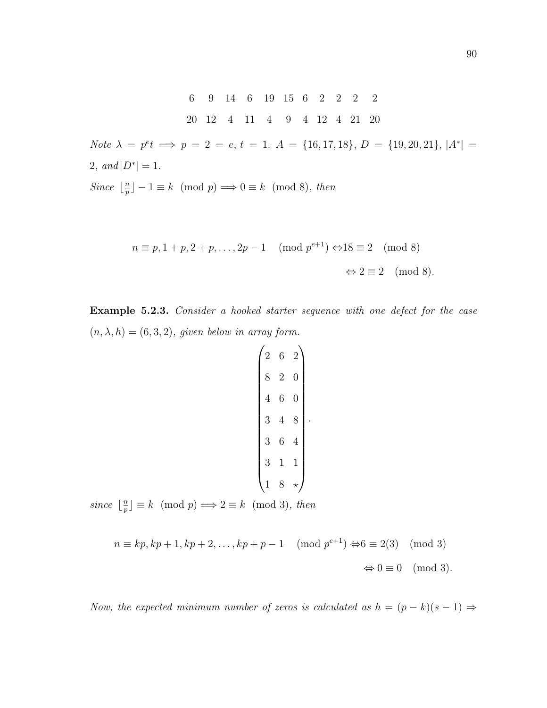6 9 14 6 19 15 6 2 2 2 2 20 12 4 11 4 9 4 12 4 21 20

Note  $\lambda = p^e t \implies p = 2 = e, t = 1$ .  $A = \{16, 17, 18\}, D = \{19, 20, 21\}, |A^*|$ 2, and  $|D^*| = 1$ .

Since  $\frac{n}{n}$  $\binom{n}{p} - 1 \equiv k \pmod{p} \Longrightarrow 0 \equiv k \pmod{8}$ , then

$$
n \equiv p, 1 + p, 2 + p, \dots, 2p - 1 \pmod{p^{e+1}} \Leftrightarrow 18 \equiv 2 \pmod{8}
$$

$$
\Leftrightarrow 2 \equiv 2 \pmod{8}.
$$

Example 5.2.3. Consider a hooked starter sequence with one defect for the case  $(n, \lambda, h) = (6, 3, 2)$ , given below in array form.

$$
\begin{pmatrix} 2 & 6 & 2 \\ 8 & 2 & 0 \\ 4 & 6 & 0 \\ 3 & 4 & 8 \\ 3 & 6 & 4 \\ 3 & 1 & 1 \\ 1 & 8 & \star \end{pmatrix}.
$$

since  $\lfloor \frac{n}{n} \rfloor$  $\binom{n}{p} \equiv k \pmod{p} \Longrightarrow 2 \equiv k \pmod{3}$ , then

$$
n \equiv kp, kp + 1, kp + 2, \dots, kp + p - 1 \pmod{p^{e+1}} \Leftrightarrow 6 \equiv 2(3) \pmod{3}
$$

$$
\Leftrightarrow 0 \equiv 0 \pmod{3}.
$$

Now, the expected minimum number of zeros is calculated as  $h = (p - k)(s - 1) \Rightarrow$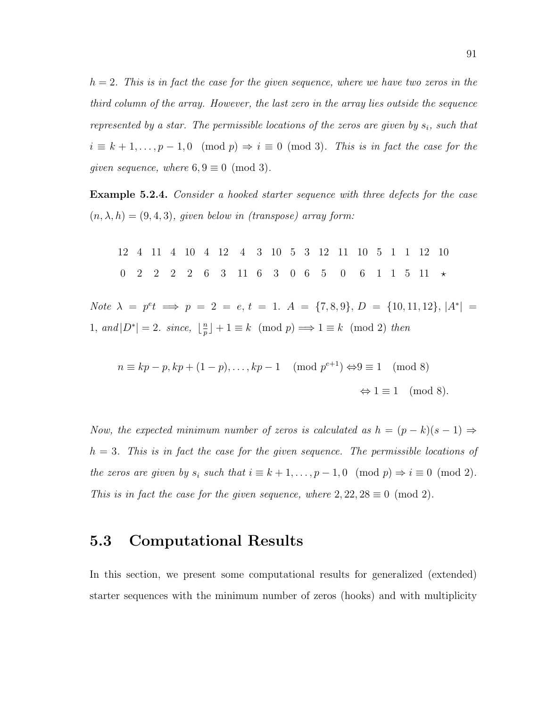$h = 2$ . This is in fact the case for the given sequence, where we have two zeros in the third column of the array. However, the last zero in the array lies outside the sequence represented by a star. The permissible locations of the zeros are given by  $s_i$ , such that  $i \equiv k + 1, \ldots, p - 1, 0 \pmod{p} \Rightarrow i \equiv 0 \pmod{3}$ . This is in fact the case for the qiven sequence, where  $6, 9 \equiv 0 \pmod{3}$ .

Example 5.2.4. Consider a hooked starter sequence with three defects for the case  $(n, \lambda, h) = (9, 4, 3)$ , given below in (transpose) array form:

12 4 11 4 10 4 12 4 3 10 5 3 12 11 10 5 1 1 12 10 0 2 2 2 2 6 3 11 6 3 0 6 5 0 6 1 1 5 11  $\star$ Note  $\lambda = p^e t \implies p = 2 = e, t = 1, A = \{7, 8, 9\}, D = \{10, 11, 12\}, |A^*| =$ 1, and  $|D^*|=2$ . since,  $\lfloor \frac{n}{n} \rfloor$  $\binom{n}{p} + 1 \equiv k \pmod{p} \Longrightarrow 1 \equiv k \pmod{2}$  then

$$
n \equiv kp - p, kp + (1 - p), \dots, kp - 1 \pmod{p^{e+1}} \Leftrightarrow 9 \equiv 1 \pmod{8}
$$

$$
\Leftrightarrow 1 \equiv 1 \pmod{8}.
$$

Now, the expected minimum number of zeros is calculated as  $h = (p - k)(s - 1) \Rightarrow$  $h = 3$ . This is in fact the case for the given sequence. The permissible locations of the zeros are given by  $s_i$  such that  $i \equiv k + 1, \ldots, p - 1, 0 \pmod{p} \Rightarrow i \equiv 0 \pmod{2}$ . This is in fact the case for the given sequence, where  $2, 22, 28 \equiv 0 \pmod{2}$ .

### 5.3 Computational Results

In this section, we present some computational results for generalized (extended) starter sequences with the minimum number of zeros (hooks) and with multiplicity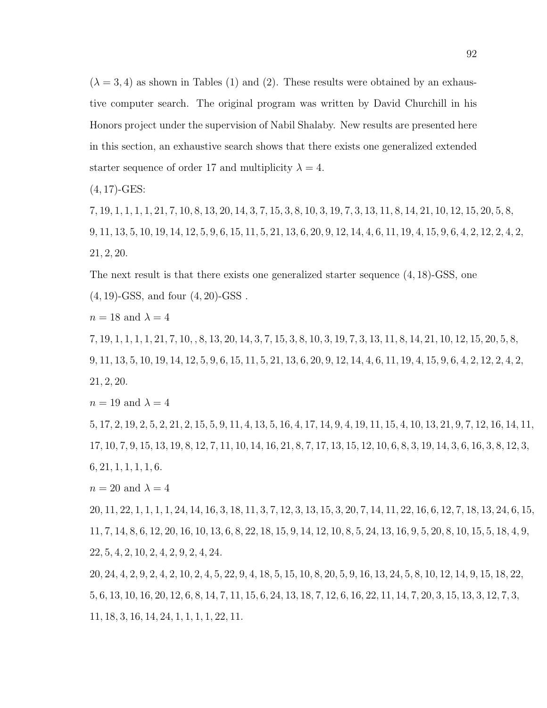$(\lambda = 3, 4)$  as shown in Tables (1) and (2). These results were obtained by an exhaustive computer search. The original program was written by David Churchill in his Honors project under the supervision of Nabil Shalaby. New results are presented here in this section, an exhaustive search shows that there exists one generalized extended starter sequence of order 17 and multiplicity  $\lambda = 4$ .

 $(4, 17)$ -GES:

7, 19, 1, 1, 1, 1, 21, 7, 10, 8, 13, 20, 14, 3, 7, 15, 3, 8, 10, 3, 19, 7, 3, 13, 11, 8, 14, 21, 10, 12, 15, 20, 5, 8, 9, 11, 13, 5, 10, 19, 14, 12, 5, 9, 6, 15, 11, 5, 21, 13, 6, 20, 9, 12, 14, 4, 6, 11, 19, 4, 15, 9, 6, 4, 2, 12, 2, 4, 2, 21, 2, 20.

The next result is that there exists one generalized starter sequence (4, 18)-GSS, one

 $(4, 19)$ -GSS, and four  $(4, 20)$ -GSS.

 $n = 18$  and  $\lambda = 4$ 

7, 19, 1, 1, 1, 1, 21, 7, 10, , 8, 13, 20, 14, 3, 7, 15, 3, 8, 10, 3, 19, 7, 3, 13, 11, 8, 14, 21, 10, 12, 15, 20, 5, 8, 9, 11, 13, 5, 10, 19, 14, 12, 5, 9, 6, 15, 11, 5, 21, 13, 6, 20, 9, 12, 14, 4, 6, 11, 19, 4, 15, 9, 6, 4, 2, 12, 2, 4, 2, 21, 2, 20.

 $n = 19$  and  $\lambda = 4$ 

5, 17, 2, 19, 2, 5, 2, 21, 2, 15, 5, 9, 11, 4, 13, 5, 16, 4, 17, 14, 9, 4, 19, 11, 15, 4, 10, 13, 21, 9, 7, 12, 16, 14, 11, 17, 10, 7, 9, 15, 13, 19, 8, 12, 7, 11, 10, 14, 16, 21, 8, 7, 17, 13, 15, 12, 10, 6, 8, 3, 19, 14, 3, 6, 16, 3, 8, 12, 3,  $6, 21, 1, 1, 1, 1, 6.$ 

 $n = 20$  and  $\lambda = 4$ 

20, 11, 22, 1, 1, 1, 1, 24, 14, 16, 3, 18, 11, 3, 7, 12, 3, 13, 15, 3, 20, 7, 14, 11, 22, 16, 6, 12, 7, 18, 13, 24, 6, 15, 11, 7, 14, 8, 6, 12, 20, 16, 10, 13, 6, 8, 22, 18, 15, 9, 14, 12, 10, 8, 5, 24, 13, 16, 9, 5, 20, 8, 10, 15, 5, 18, 4, 9, 22, 5, 4, 2, 10, 2, 4, 2, 9, 2, 4, 24.

20, 24, 4, 2, 9, 2, 4, 2, 10, 2, 4, 5, 22, 9, 4, 18, 5, 15, 10, 8, 20, 5, 9, 16, 13, 24, 5, 8, 10, 12, 14, 9, 15, 18, 22, 5, 6, 13, 10, 16, 20, 12, 6, 8, 14, 7, 11, 15, 6, 24, 13, 18, 7, 12, 6, 16, 22, 11, 14, 7, 20, 3, 15, 13, 3, 12, 7, 3, 11, 18, 3, 16, 14, 24, 1, 1, 1, 1, 22, 11.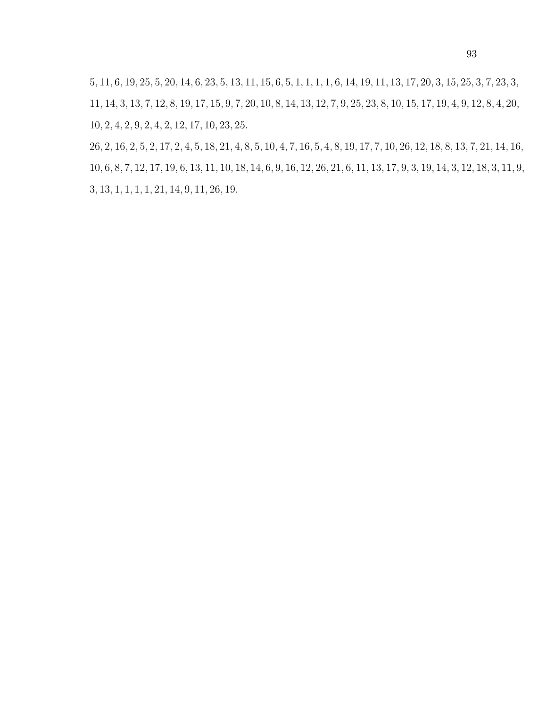, 11, 6, 19, 25, 5, 20, 14, 6, 23, 5, 13, 11, 15, 6, 5, 1, 1, 1, 1, 6, 14, 19, 11, 13, 17, 20, 3, 15, 25, 3, 7, 23, 3, , 14, 3, 13, 7, 12, 8, 19, 17, 15, 9, 7, 20, 10, 8, 14, 13, 12, 7, 9, 25, 23, 8, 10, 15, 17, 19, 4, 9, 12, 8, 4, 20, , 2, 4, 2, 9, 2, 4, 2, 12, 17, 10, 23, 25.

, 2, 16, 2, 5, 2, 17, 2, 4, 5, 18, 21, 4, 8, 5, 10, 4, 7, 16, 5, 4, 8, 19, 17, 7, 10, 26, 12, 18, 8, 13, 7, 21, 14, 16, , 6, 8, 7, 12, 17, 19, 6, 13, 11, 10, 18, 14, 6, 9, 16, 12, 26, 21, 6, 11, 13, 17, 9, 3, 19, 14, 3, 12, 18, 3, 11, 9, , 13, 1, 1, 1, 1, 21, 14, 9, 11, 26, 19.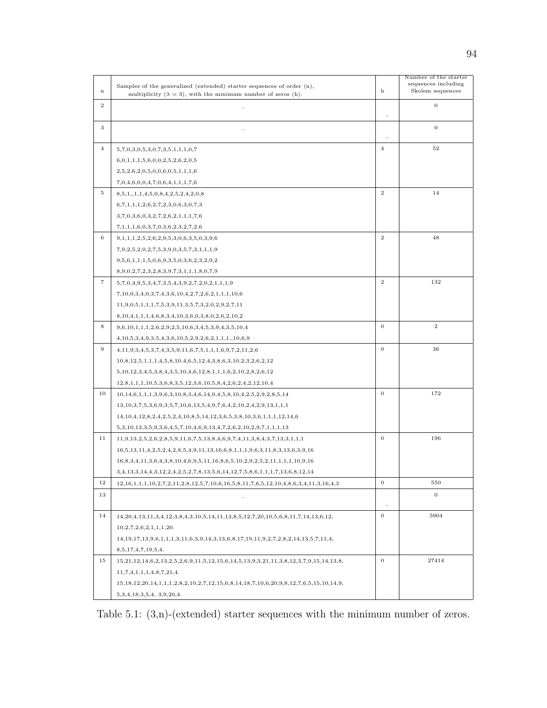|                  |                                                                                                     |                | Number of the starter                   |
|------------------|-----------------------------------------------------------------------------------------------------|----------------|-----------------------------------------|
| $\mathbf n$      | Samples of the generalized (extended) starter sequences of order $(n)$ ,                            | h              | sequences including<br>Skolem sequences |
|                  | multiplicity ( $\lambda = 3$ ), with the minimum number of zeros (h).                               |                |                                         |
| $\boldsymbol{2}$ |                                                                                                     |                | $\mathbf{0}$                            |
|                  |                                                                                                     |                | $\mathbf 0$                             |
| 3                |                                                                                                     |                |                                         |
| $\overline{4}$   | 5,7,0,3,0,5,3,0,7,3,5,1,1,1,0,7                                                                     | $\overline{4}$ | $52\,$                                  |
|                  | 6,0,1,1,1,5,6,0,0,2,5,2,6,2,0,5                                                                     |                |                                         |
|                  | 2,5,2,6,2,0,5,0,0,6,0,5,1,1,1,6                                                                     |                |                                         |
|                  | 7,0,4,6,0,0,4,7,0,6,4,1,1,1,7,6                                                                     |                |                                         |
| 5                | 8,5,1,1,1,4,5,0,8,4,2,5,2,4,2,0,8                                                                   | $\overline{2}$ | 14                                      |
|                  | 6,7,1,1,1,2,6,2,7,2,3,0,6,3,0,7,3                                                                   |                |                                         |
|                  | 3,7,0,3,6,0,3,2,7,2,6,2,1,1,1,7,6                                                                   |                |                                         |
|                  | 7,1,1,1,6,0,3,7,0,3,6,2,3,2,7,2,6                                                                   |                |                                         |
| 6                | $9,1,1,1,2,5,2,6,2,9,5,3,0,6,3,5,0,3,9,6$                                                           | $\mathbf{2}$   | 48                                      |
|                  | $7,9,2,5,2,0,2,7,5,3,9,0,3,5,7,3,1,1,1,9$                                                           |                |                                         |
|                  | $9,5,6,1,1,1,5,0,6,9,3,5,0,3,6,2,3,2,9,2$                                                           |                |                                         |
|                  | 8,9,0,2,7,2,3,2,8,3,9,7,3,1,1,1,8,0,7,9                                                             |                |                                         |
| $\overline{7}$   | $5,7,0,4,9,5,3,4,7,3,5,4,3,9,2,7,2,0,2,1,1,1,9$                                                     | $\overline{2}$ | 132                                     |
|                  | $7,10,0,3,4,0,3,7,4,3,6,10,4,2,7,2,6,2,1,1,1,10,6$                                                  |                |                                         |
|                  | $11,9,0,5,1,1,1,7,5,3,9,11,3,5,7,3,2,0,2,9,2,7,11$                                                  |                |                                         |
|                  | $8,10,4,1,1,1,4,6,8,3,4,10,3,6,0,3,8,0,2,6,2,10,2$                                                  |                |                                         |
| 8                | $9,6,10,1,1,1,2,6,2,9,2,5,10,6,3,4,5,3,9,4,3,5,10,4$                                                | $\mathbf{0}$   | $\boldsymbol{2}$                        |
|                  | $4,10,5,3,4,9,3,5,4,3,6,10,5,2,9,2,6,2,1,1,1,10,6,9$                                                |                |                                         |
| $\overline{9}$   | $4,11,9,3,4,5,3,7,4,3,5,9,11,6,7,5,1,1,1,6,9,7,2,11,2,6$                                            | $\mathbf{0}$   | 36                                      |
|                  | $10,8,12,5,1,1,1,4,5,8,10,4,6,5,12,4,3,8,6,3,10,2,3,2,6,2,12$                                       |                |                                         |
|                  | $5,10,12,3,4,5,3,8,4,3,5,10,4,6,12,8,1,1,1,6,2,10,2,8,2,6,12$                                       |                |                                         |
|                  | $12,8,1,1,1,10,5,3,6,8,3,5,12,3,6,10,5,8,4,2,6,2,4,2,12,10,4$                                       |                |                                         |
| 10               | $10, 14, 6, 1, 1, 1, 3, 9, 6, 3, 10, 8, 3, 4, 6, 14, 9, 4, 5, 8, 10, 4, 2, 5, 2, 9, 2, 8, 5, 14$    | $\mathbf{0}$   | 172                                     |
|                  | $13, 10, 3, 7, 5, 3, 6, 9, 3, 5, 7, 10, 6, 13, 5, 4, 9, 7, 6, 4, 2, 10, 2, 4, 2, 9, 13, 1, 1, 1$    |                |                                         |
|                  | $14, 10, 4, 12, 8, 2, 4, 2, 5, 2, 4, 10, 8, 5, 14, 12, 3, 6, 5, 3, 8, 10, 3, 6, 1, 1, 1, 12, 14, 6$ |                |                                         |
|                  | $5,3,10,13,3,5,9,3,6,4,5,7,10,4,6,9,13,4,7,2,6,2,10,2,9,7,1,1,1,13$                                 |                |                                         |
| 11               | $11,9,13,2,5,2,6,2,8,5,9,11,6,7,5,13,8,4,6,9,7,4,11,3,8,4,3,7,13,3,1,1,1$                           | $\mathbf{0}$   | 196                                     |
|                  | $16,5,13,11,4,2,5,2,4,2,8,5,4,9,11,13,16,6,8,1,1,1,9,6,3,11,8,3,13,6,3,9,16$                        |                |                                         |
|                  | $16,8,3,4,11,3,6,4,3,8,10,4,6,9,5,11,16,8,6,5,10,2,9,2,5,2,11,1,1,1,10,9,16$                        |                |                                         |
|                  | $3,4,13,3,14,4,3,12,2,4,2,5,2,7,8,13,5,6,14,12,7,5,8,6,1,1,1,7,13,6,8,12,14$                        |                |                                         |
| 12               | $12,16,1,1,1,10,2,7,2,11,2,8,12,5,7,10,6,16,5,8,11,7,6,5,12,10,4,8,6,3,4,11,3,16,4,3$               | $\mathbf{0}$   | 550                                     |
| 13               |                                                                                                     |                | $\overline{0}$                          |
|                  |                                                                                                     |                |                                         |
| 14               | $14,20,4,13,11,3,4,12,3,8,4,3,10,5,14,11,13,8,5,12,7,20,10,5,6,8,11,7,14,13,6,12,$                  | $\mathbf{0}$   | 5904                                    |
|                  | 10, 2, 7, 2, 6, 2, 1, 1, 1, 20.                                                                     |                |                                         |
|                  | $14,19,17,13,9,6,1,1,1,3,11,6,3,9,14,3,13,6,8,17,19,11,9,2,7,2,8,2,14,13,5,7,11,4,$                 |                |                                         |
|                  | 8,5,17,4,7,19,5,4.                                                                                  |                |                                         |
| 15               | $15,21,12,14,6,2,13,2,5,2,6,9,11,5,12,15,6,14,5,13,9,3,21,11,3,8,12,3,7,9,15,14,13,8,$              | $\overline{0}$ | 27414                                   |
|                  | 11,7,4,1,1,1,4,8,7,21,4.                                                                            |                |                                         |
|                  | $15,18,12,20,14,1,1,1,2,8,2,10,2,7,12,15,6,8,14,18,7,10,6,20,9,8,12,7,6,5,15,10,14,9,$              |                |                                         |
|                  | 5,3,4,18,3,5,4,3,9,20,4.                                                                            |                |                                         |

Table 5.1: (3,n)-(extended) starter sequences with the minimum number of zeros.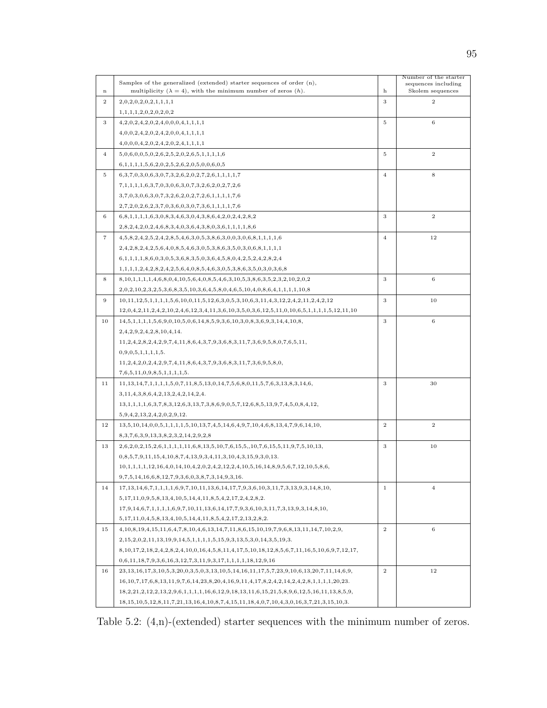|                | Samples of the generalized (extended) starter sequences of order $(n)$ ,                                                    |                | Number of the starter                   |
|----------------|-----------------------------------------------------------------------------------------------------------------------------|----------------|-----------------------------------------|
| $\mathbf n$    | multiplicity ( $\lambda = 4$ ), with the minimum number of zeros (h).                                                       | h              | sequences including<br>Skolem sequences |
| $\mathbf{2}$   | 2,0,2,0,2,0,2,1,1,1,1                                                                                                       | 3              | $\overline{2}$                          |
|                | 1,1,1,1,2,0,2,0,2,0,2                                                                                                       |                |                                         |
| 3              | 4,2,0,2,4,2,0,2,4,0,0,0,4,1,1,1,1                                                                                           | 5              | $\,$ 6 $\,$                             |
|                | 4,0,0,2,4,2,0,2,4,2,0,0,4,1,1,1,1                                                                                           |                |                                         |
|                | 4,0,0,0,4,2,0,2,4,2,0,2,4,1,1,1,1                                                                                           |                |                                         |
| $\overline{4}$ |                                                                                                                             | 5              | $\overline{2}$                          |
|                | $5,0,6,0,0,5,0,2,6,2,5,2,0,2,6,5,1,1,1,1,6$                                                                                 |                |                                         |
|                | $6,1,1,1,1,5,6,2,0,2,5,2,6,2,0,5,0,0,6,0,5$                                                                                 |                |                                         |
| 5              | $6,3,7,0,3,0,6,3,0,7,3,2,6,2,0,2,7,2,6,1,1,1,1,7$                                                                           | $\overline{4}$ | 8                                       |
|                | $7,1,1,1,1,6,3,7,0,3,0,6,3,0,7,3,2,6,2,0,2,7,2,6$                                                                           |                |                                         |
|                | $3,7,0,3,0,6,3,0,7,3,2,6,2,0,2,7,2,6,1,1,1,1,7,6$                                                                           |                |                                         |
|                | $2,7,2,0,2,6,2,3,7,0,3,6,0,3,0,7,3,6,1,1,1,1,7,6$                                                                           |                |                                         |
| 6              | $6,8,1,1,1,1,6,3,0,8,3,4,6,3,0,4,3,8,6,4,2,0,2,4,2,8,2$                                                                     | 3              | $\,2$                                   |
|                | $2,8,2,4,2,0,2,4,6,8,3,4,0,3,6,4,3,8,0,3,6,1,1,1,1,8,6$                                                                     |                |                                         |
| 7              | $4,5,8,2,4,2,5,2,4,2,8,5,4,6,3,0,5,3,8,6,3,0,0,3,0,6,8,1,1,1,1,6$                                                           | $\overline{4}$ | 12                                      |
|                | $2,4,2,8,2,4,2,5,6,4,0,8,5,4,6,3,0,5,3,8,6,3,5,0,3,0,6,8,1,1,1,1$                                                           |                |                                         |
|                | $6,1,1,1,1,8,6,0,3,0,5,3,6,8,3,5,0,3,6,4,5,8,0,4,2,5,2,4,2,8,2,4$                                                           |                |                                         |
|                | $1,1,1,1,2,4,2,8,2,4,2,5,6,4,0,8,5,4,6,3,0,5,3,8,6,3,5,0,3,0,3,6,8$                                                         |                |                                         |
| 8              | $8,10,1,1,1,1,4,6,8,0,4,10,5,6,4,0,8,5,4,6,3,10,5,3,8,6,3,5,2,3,2,10,2,0,2$                                                 | 3              | $\,$ 6 $\,$                             |
|                | $2,0,2,10,2,3,2,5,3,6,8,3,5,10,3,6,4,5,8,0,4,6,5,10,4,0,8,6,4,1,1,1,1,10,8$                                                 |                |                                         |
| 9              | $10, 11, 12, 5, 1, 1, 1, 1, 5, 6, 10, 0, 11, 5, 12, 6, 3, 0, 5, 3, 10, 6, 3, 11, 4, 3, 12, 2, 4, 2, 11, 2, 4, 2, 12$        | 3              | 10                                      |
|                | $12,0,4,2,11,2,4,2,10,2,4,6,12,3,4,11,3,6,10,3,5,0,3,6,12,5,11,0,10,6,5,1,1,1,1,5,12,11,10$                                 |                |                                         |
| 10             | $14,5,1,1,1,1,5,6,9,0,10,5,0,6,14,8,5,9,3,6,10,3,0,8,3,6,9,3,14,4,10,8,$                                                    | 3              | $\,6$                                   |
|                | 2,4,2,9,2,4,2,8,10,4,14.                                                                                                    |                |                                         |
|                | $11, 2, 4, 2, 8, 2, 4, 2, 9, 7, 4, 11, 8, 6, 4, 3, 7, 9, 3, 6, 8, 3, 11, 7, 3, 6, 9, 5, 8, 0, 7, 6, 5, 11,$                 |                |                                         |
|                | 0,9,0,5,1,1,1,1,5.                                                                                                          |                |                                         |
|                | $11, 2, 4, 2, 0, 2, 4, 2, 9, 7, 4, 11, 8, 6, 4, 3, 7, 9, 3, 6, 8, 3, 11, 7, 3, 6, 9, 5, 8, 0,$                              |                |                                         |
|                | 7,6,5,11,0,9,8,5,1,1,1,1,5.                                                                                                 |                |                                         |
| 11             | $11, 13, 14, 7, 1, 1, 1, 1, 5, 0, 7, 11, 8, 5, 13, 0, 14, 7, 5, 6, 8, 0, 11, 5, 7, 6, 3, 13, 8, 3, 14, 6,$                  | 3              | 30                                      |
|                | 3,11,4,3,8,6,4,2,13,2,4,2,14,2,4.                                                                                           |                |                                         |
|                | $13,1,1,1,1,6,3,7,8,3,12,6,3,13,7,3,8,6,9,0,5,7,12,6,8,5,13,9,7,4,5,0,8,4,12,$                                              |                |                                         |
|                | 5,9,4,2,13,2,4,2,0,2,9,12.                                                                                                  |                |                                         |
| 12             | $13,5,10,14,0,0,5,1,1,1,1,5,10,13,7,4,5,14,6,4,9,7,10,4,6,8,13,4,7,9,6,14,10,$                                              | $\overline{2}$ | $\,2$                                   |
|                | 8, 3, 7, 6, 3, 9, 13, 3, 8, 2, 3, 2, 14, 2, 9, 2, 8                                                                         |                |                                         |
| 13             | $2,6,2,0,2,15,2,6,1,1,1,1,11,6,8,13,5,10,7,6,15,5,10,7,6,15,5,11,9,7,5,10,13,$                                              | 3              | 10                                      |
|                | $0,8,5,7,9,11,15,4,10,8,7,4,13,9,3,4,11,3,10,4,3,15,9,3,0,13.$                                                              |                |                                         |
|                | $10,1,1,1,1,12,16,4,0,14,10,4,2,0,2,4,2,12,2,4,10,5,16,14,8,9,5,6,7,12,10,5,8,6,$                                           |                |                                         |
|                | $9,7,5,14,16,6,8,12,7,9,3,6,0,3,8,7,3,14,9,3,16.$                                                                           |                |                                         |
| 14             | $17, 13, 14, 6, 7, 1, 1, 1, 1, 6, 9, 7, 10, 11, 13, 6, 14, 17, 7, 9, 3, 6, 10, 3, 11, 7, 3, 13, 9, 3, 14, 8, 10,$           | $\mathbf{1}$   | $\overline{4}$                          |
|                | $5,17,11,0,9,5,8,13,4,10,5,14,4,11,8,5,4,2,17,2,4,2,8,2.$                                                                   |                |                                         |
|                | $17,9,14,6,7,1,1,1,1,6,9,7,10,11,13,6,14,17,7,9,3,6,10,3,11,7,3,13,9,3,14,8,10,$                                            |                |                                         |
|                | $5,17,11,0,4,5,8,13,4,10,5,14,4,11,8,5,4,2,17,2,13,2,8,2.$                                                                  |                |                                         |
| 15             | $4,10,8,19,4,15,11,6,4,7,8,10,4,6,13,14,7,11,8,6,15,10,19,7,9,6,8,13,11,14,7,10,2,9,$                                       | $\overline{2}$ | 6                                       |
|                | $2,15,2,0,2,11,13,19,9,14,5,1,1,1,1,5,15,9,3,13,5,3,0,14,3,5,19,3.$                                                         |                |                                         |
|                | $8,10,17,2,18,2,4,2,8,2,4,10,0,16,4,5,8,11,4,17,5,10,18,12,8,5,6,7,11,16,5,10,6,9,7,12,17,$                                 |                |                                         |
|                | $0,6,11,18,7,9,3,6,16,3,12,7,3,11,9,3,17,1,1,1,1,18,12,9,16$                                                                |                |                                         |
| 16             | $23,13,16,17,3,10,5,3,20,0,3,5,0,3,13,10,5,14,16,11,17,5,7,23,9,10,6,13,20,7,11,14,6,9,$                                    | $\overline{2}$ | 12                                      |
|                | $16, 10, 7, 17, 6, 8, 13, 11, 9, 7, 6, 14, 23, 8, 20, 4, 16, 9, 11, 4, 17, 8, 2, 4, 2, 14, 2, 4, 2, 8, 1, 1, 1, 1, 20, 23.$ |                |                                         |
|                | $18,2,21,2,12,2,13,2,9,6,1,1,1,1,16,6,12,9,18,13,11,6,15,21,5,8,9,6,12,5,16,11,13,8,5,9,$                                   |                |                                         |
|                | $18,15,10,5,12,8,11,7,21,13,16,4,10,8,7,4,15,11,18,4,0,7,10,4,3,0,16,3,7,21,3,15,10,3.$                                     |                |                                         |

Table 5.2: (4,n)-(extended) starter sequences with the minimum number of zeros.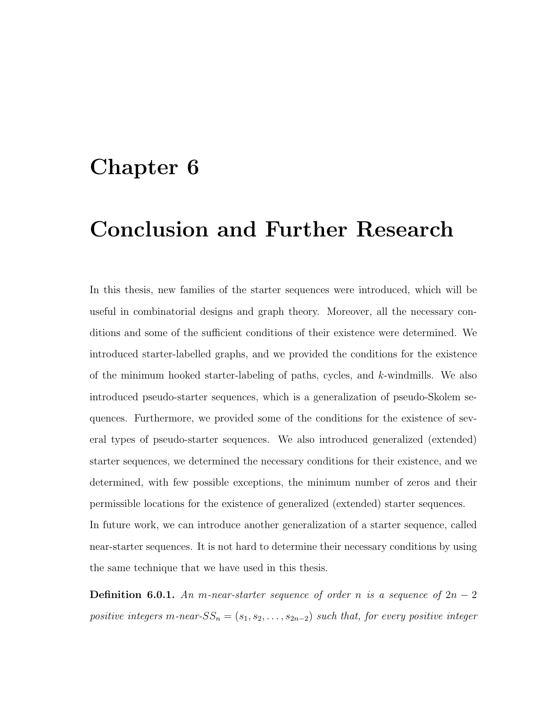### Chapter 6

# Conclusion and Further Research

In this thesis, new families of the starter sequences were introduced, which will be useful in combinatorial designs and graph theory. Moreover, all the necessary conditions and some of the sufficient conditions of their existence were determined. We introduced starter-labelled graphs, and we provided the conditions for the existence of the minimum hooked starter-labeling of paths, cycles, and  $k$ -windmills. We also introduced pseudo-starter sequences, which is a generalization of pseudo-Skolem sequences. Furthermore, we provided some of the conditions for the existence of several types of pseudo-starter sequences. We also introduced generalized (extended) starter sequences, we determined the necessary conditions for their existence, and we determined, with few possible exceptions, the minimum number of zeros and their permissible locations for the existence of generalized (extended) starter sequences. In future work, we can introduce another generalization of a starter sequence, called near-starter sequences. It is not hard to determine their necessary conditions by using

**Definition 6.0.1.** An m-near-starter sequence of order n is a sequence of  $2n - 2$ positive integers m-near- $SS_n = (s_1, s_2, \ldots, s_{2n-2})$  such that, for every positive integer

the same technique that we have used in this thesis.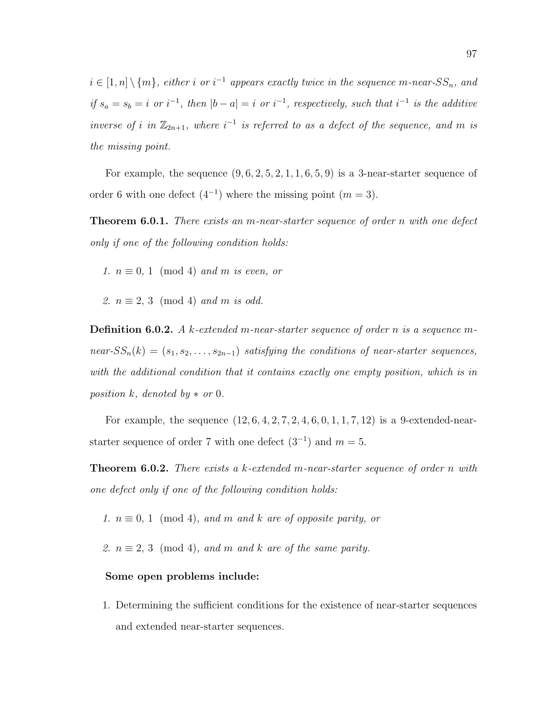$i \in [1,n] \setminus \{m\}$ , either i or  $i^{-1}$  appears exactly twice in the sequence m-near-SS<sub>n</sub>, and if  $s_a = s_b = i$  or  $i^{-1}$ , then  $|b - a| = i$  or  $i^{-1}$ , respectively, such that  $i^{-1}$  is the additive inverse of i in  $\mathbb{Z}_{2n+1}$ , where  $i^{-1}$  is referred to as a defect of the sequence, and m is the missing point.

For example, the sequence  $(9, 6, 2, 5, 2, 1, 1, 6, 5, 9)$  is a 3-near-starter sequence of order 6 with one defect  $(4^{-1})$  where the missing point  $(m = 3)$ .

Theorem 6.0.1. There exists an m-near-starter sequence of order n with one defect only if one of the following condition holds:

1.  $n \equiv 0, 1 \pmod{4}$  and m is even, or

2.  $n \equiv 2, 3 \pmod{4}$  and m is odd.

**Definition 6.0.2.** A k-extended m-near-starter sequence of order n is a sequence mnear- $SS_n(k) = (s_1, s_2, \ldots, s_{2n-1})$  satisfying the conditions of near-starter sequences, with the additional condition that it contains exactly one empty position, which is in position k, denoted by  $*$  or 0.

For example, the sequence  $(12, 6, 4, 2, 7, 2, 4, 6, 0, 1, 1, 7, 12)$  is a 9-extended-nearstarter sequence of order 7 with one defect  $(3^{-1})$  and  $m = 5$ .

**Theorem 6.0.2.** There exists a k-extended m-near-starter sequence of order n with one defect only if one of the following condition holds:

1.  $n \equiv 0, 1 \pmod{4}$ , and m and k are of opposite parity, or

2.  $n \equiv 2, 3 \pmod{4}$ , and m and k are of the same parity.

#### Some open problems include:

1. Determining the sufficient conditions for the existence of near-starter sequences and extended near-starter sequences.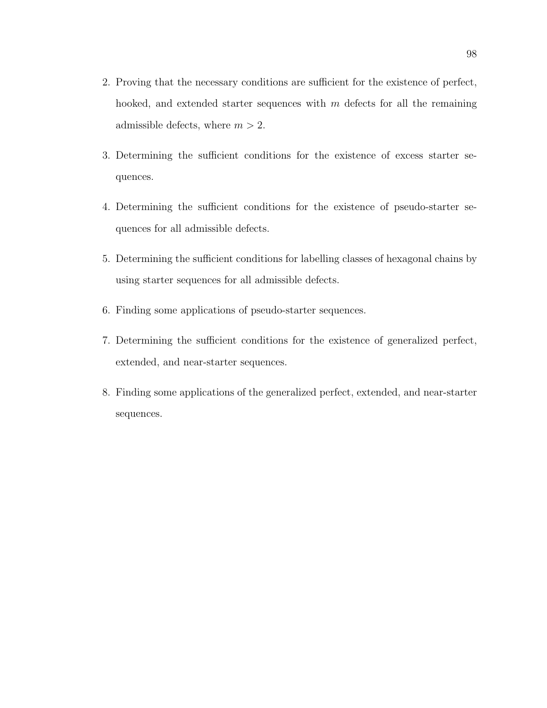- 2. Proving that the necessary conditions are sufficient for the existence of perfect, hooked, and extended starter sequences with  $m$  defects for all the remaining admissible defects, where  $m > 2$ .
- 3. Determining the sufficient conditions for the existence of excess starter sequences.
- 4. Determining the sufficient conditions for the existence of pseudo-starter sequences for all admissible defects.
- 5. Determining the sufficient conditions for labelling classes of hexagonal chains by using starter sequences for all admissible defects.
- 6. Finding some applications of pseudo-starter sequences.
- 7. Determining the sufficient conditions for the existence of generalized perfect, extended, and near-starter sequences.
- 8. Finding some applications of the generalized perfect, extended, and near-starter sequences.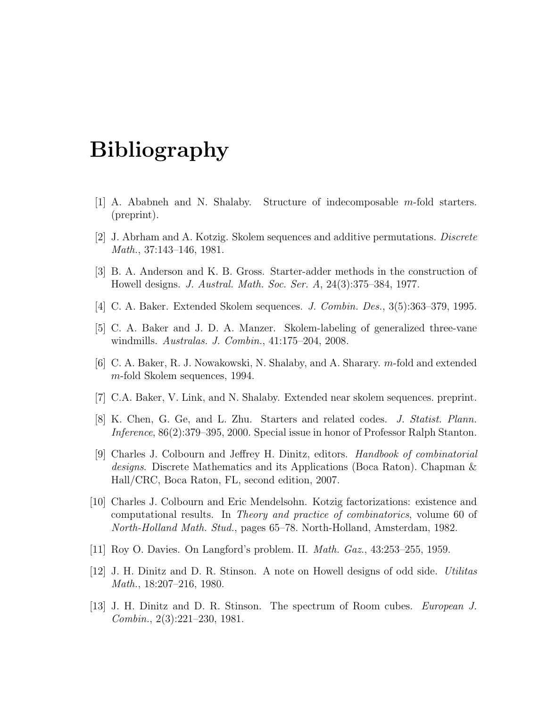# Bibliography

- [1] A. Ababneh and N. Shalaby. Structure of indecomposable m-fold starters. (preprint).
- [2] J. Abrham and A. Kotzig. Skolem sequences and additive permutations. Discrete Math., 37:143–146, 1981.
- [3] B. A. Anderson and K. B. Gross. Starter-adder methods in the construction of Howell designs. J. Austral. Math. Soc. Ser. A, 24(3):375–384, 1977.
- [4] C. A. Baker. Extended Skolem sequences. J. Combin. Des., 3(5):363–379, 1995.
- [5] C. A. Baker and J. D. A. Manzer. Skolem-labeling of generalized three-vane windmills. Australas. J. Combin., 41:175–204, 2008.
- [6] C. A. Baker, R. J. Nowakowski, N. Shalaby, and A. Sharary. m-fold and extended m-fold Skolem sequences, 1994.
- [7] C.A. Baker, V. Link, and N. Shalaby. Extended near skolem sequences. preprint.
- [8] K. Chen, G. Ge, and L. Zhu. Starters and related codes. J. Statist. Plann. Inference, 86(2):379–395, 2000. Special issue in honor of Professor Ralph Stanton.
- [9] Charles J. Colbourn and Jeffrey H. Dinitz, editors. Handbook of combinatorial designs. Discrete Mathematics and its Applications (Boca Raton). Chapman & Hall/CRC, Boca Raton, FL, second edition, 2007.
- [10] Charles J. Colbourn and Eric Mendelsohn. Kotzig factorizations: existence and computational results. In Theory and practice of combinatorics, volume 60 of North-Holland Math. Stud., pages 65–78. North-Holland, Amsterdam, 1982.
- [11] Roy O. Davies. On Langford's problem. II. Math. Gaz., 43:253–255, 1959.
- [12] J. H. Dinitz and D. R. Stinson. A note on Howell designs of odd side. Utilitas Math., 18:207–216, 1980.
- [13] J. H. Dinitz and D. R. Stinson. The spectrum of Room cubes. European J. Combin., 2(3):221–230, 1981.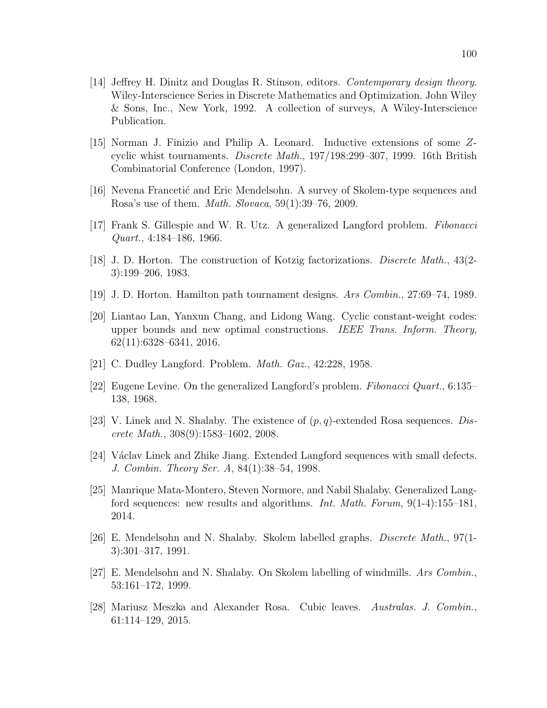- [14] Jeffrey H. Dinitz and Douglas R. Stinson, editors. Contemporary design theory. Wiley-Interscience Series in Discrete Mathematics and Optimization. John Wiley & Sons, Inc., New York, 1992. A collection of surveys, A Wiley-Interscience Publication.
- [15] Norman J. Finizio and Philip A. Leonard. Inductive extensions of some Zcyclic whist tournaments. Discrete Math., 197/198:299–307, 1999. 16th British Combinatorial Conference (London, 1997).
- [16] Nevena Francetic and Eric Mendelsohn. A survey of Skolem-type sequences and Rosa's use of them. Math. Slovaca, 59(1):39–76, 2009.
- [17] Frank S. Gillespie and W. R. Utz. A generalized Langford problem. Fibonacci Quart., 4:184–186, 1966.
- [18] J. D. Horton. The construction of Kotzig factorizations. Discrete Math., 43(2- 3):199–206, 1983.
- [19] J. D. Horton. Hamilton path tournament designs. Ars Combin., 27:69–74, 1989.
- [20] Liantao Lan, Yanxun Chang, and Lidong Wang. Cyclic constant-weight codes: upper bounds and new optimal constructions. IEEE Trans. Inform. Theory, 62(11):6328–6341, 2016.
- [21] C. Dudley Langford. Problem. Math. Gaz., 42:228, 1958.
- [22] Eugene Levine. On the generalized Langford's problem. Fibonacci Quart., 6:135– 138, 1968.
- [23] V. Linek and N. Shalaby. The existence of  $(p, q)$ -extended Rosa sequences. *Dis*crete Math., 308(9):1583–1602, 2008.
- [24] Václav Linek and Zhike Jiang. Extended Langford sequences with small defects. J. Combin. Theory Ser. A, 84(1):38–54, 1998.
- [25] Manrique Mata-Montero, Steven Normore, and Nabil Shalaby. Generalized Langford sequences: new results and algorithms. Int. Math. Forum, 9(1-4):155–181, 2014.
- [26] E. Mendelsohn and N. Shalaby. Skolem labelled graphs. Discrete Math., 97(1- 3):301–317, 1991.
- [27] E. Mendelsohn and N. Shalaby. On Skolem labelling of windmills. Ars  $Combin$ , 53:161–172, 1999.
- [28] Mariusz Meszka and Alexander Rosa. Cubic leaves. Australas. J. Combin., 61:114–129, 2015.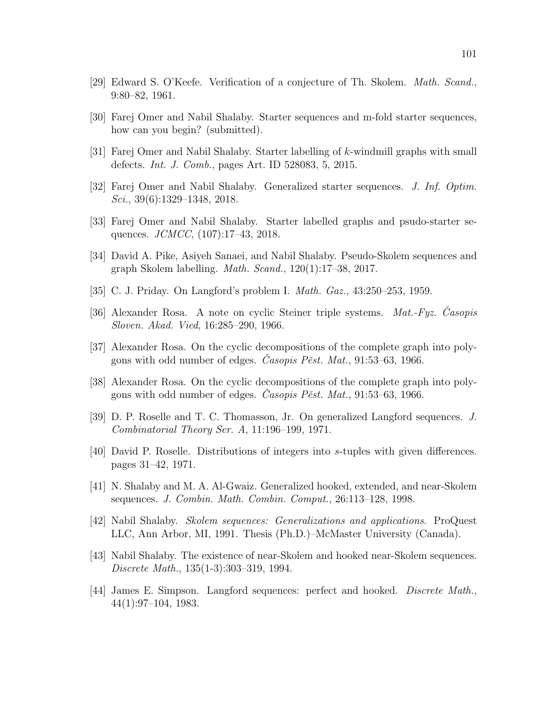- [29] Edward S. O'Keefe. Verification of a conjecture of Th. Skolem. Math. Scand., 9:80–82, 1961.
- [30] Farej Omer and Nabil Shalaby. Starter sequences and m-fold starter sequences, how can you begin? (submitted).
- [31] Farej Omer and Nabil Shalaby. Starter labelling of k-windmill graphs with small defects. Int. J. Comb., pages Art. ID 528083, 5, 2015.
- [32] Farej Omer and Nabil Shalaby. Generalized starter sequences. J. Inf. Optim. Sci., 39(6):1329–1348, 2018.
- [33] Farej Omer and Nabil Shalaby. Starter labelled graphs and psudo-starter sequences. *JCMCC*, (107):17-43, 2018.
- [34] David A. Pike, Asiyeh Sanaei, and Nabil Shalaby. Pseudo-Skolem sequences and graph Skolem labelling. *Math. Scand.*,  $120(1):17-38$ ,  $2017$ .
- [35] C. J. Priday. On Langford's problem I. Math. Gaz., 43:250–253, 1959.
- [36] Alexander Rosa. A note on cyclic Steiner triple systems.  $Mat-Fyz$ . Casopis Sloven. Akad. Vied, 16:285–290, 1966.
- [37] Alexander Rosa. On the cyclic decompositions of the complete graph into polygons with odd number of edges. *Casopis Pěst. Mat.*,  $91:53-63$ , 1966.
- [38] Alexander Rosa. On the cyclic decompositions of the complete graph into polygons with odd number of edges. Casopis Pěst. Mat.,  $91:53-63$ , 1966.
- [39] D. P. Roselle and T. C. Thomasson, Jr. On generalized Langford sequences. J. Combinatorial Theory Ser. A, 11:196–199, 1971.
- [40] David P. Roselle. Distributions of integers into s-tuples with given differences. pages 31–42, 1971.
- [41] N. Shalaby and M. A. Al-Gwaiz. Generalized hooked, extended, and near-Skolem sequences. J. Combin. Math. Combin. Comput., 26:113–128, 1998.
- [42] Nabil Shalaby. Skolem sequences: Generalizations and applications. ProQuest LLC, Ann Arbor, MI, 1991. Thesis (Ph.D.)–McMaster University (Canada).
- [43] Nabil Shalaby. The existence of near-Skolem and hooked near-Skolem sequences. Discrete Math., 135(1-3):303–319, 1994.
- [44] James E. Simpson. Langford sequences: perfect and hooked. Discrete Math., 44(1):97–104, 1983.